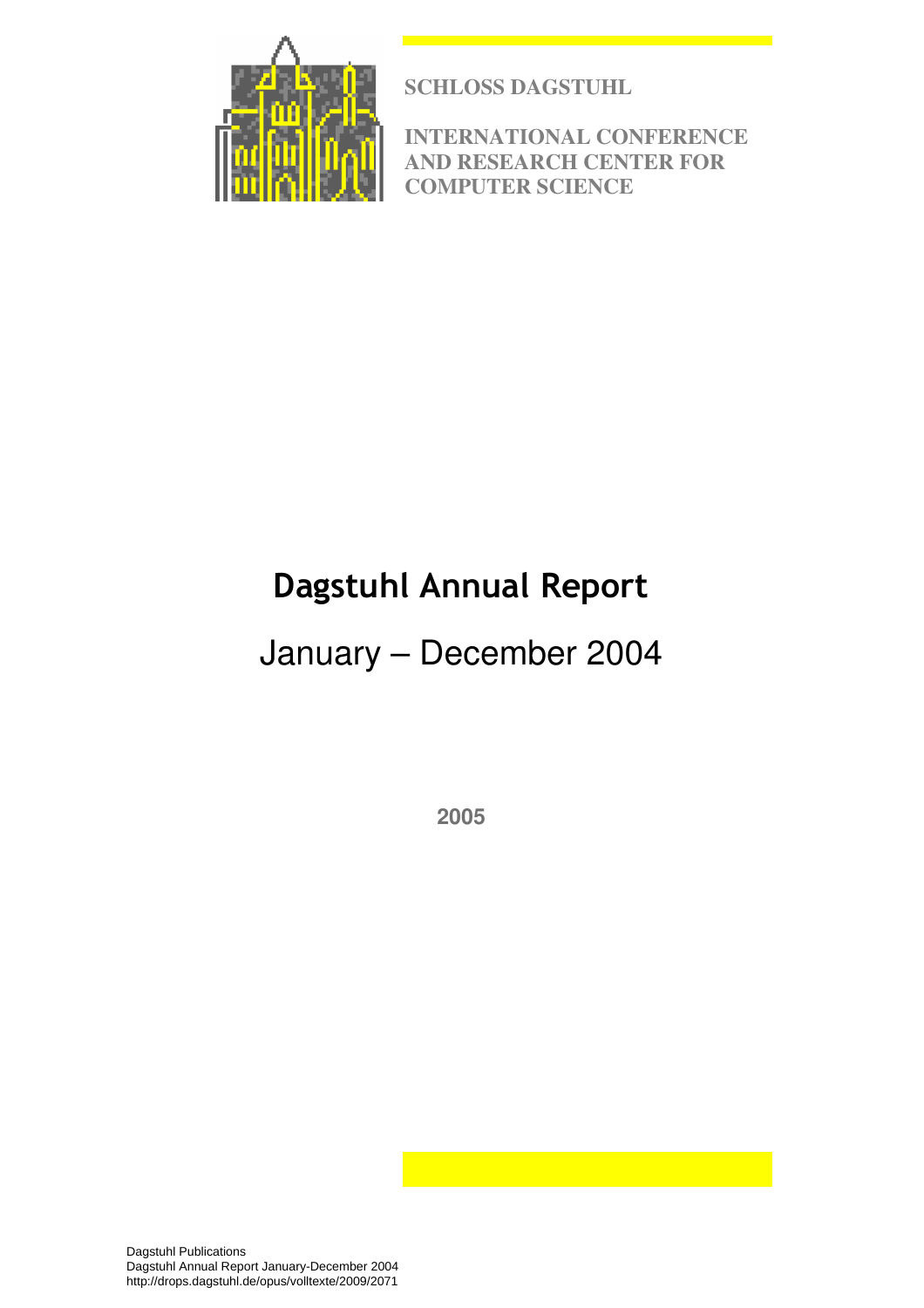

**SCHLOSS DAGSTUHL** 

**INTERNATIONAL CONFERENCE AND RESEARCH CENTER FOR COMPUTER SCIENCE** 

# Dagstuhl Annual Report

# January – December 2004

**2005**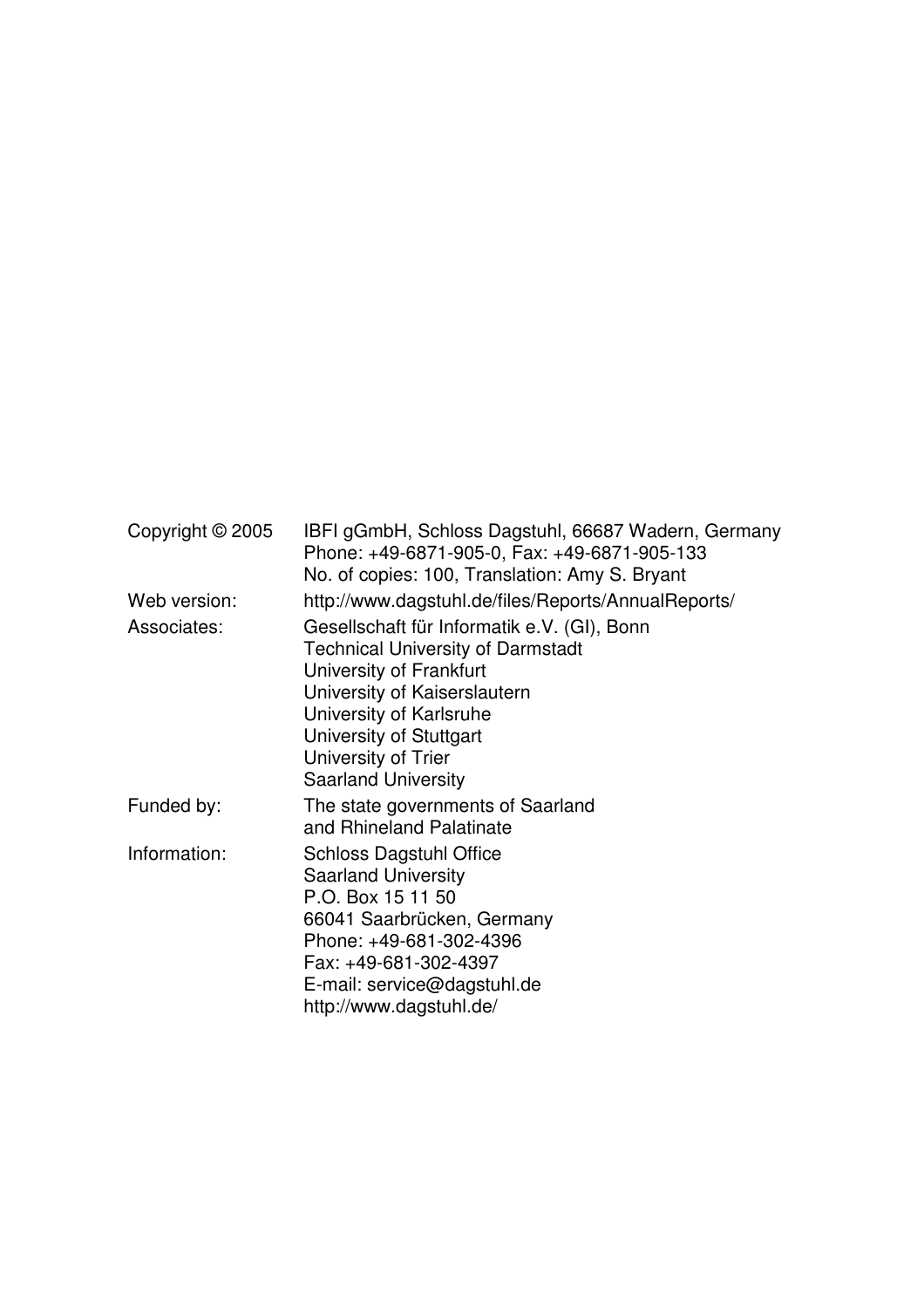| Copyright © 2005 | IBFI gGmbH, Schloss Dagstuhl, 66687 Wadern, Germany<br>Phone: +49-6871-905-0, Fax: +49-6871-905-133<br>No. of copies: 100, Translation: Amy S. Bryant                                                                                                         |
|------------------|---------------------------------------------------------------------------------------------------------------------------------------------------------------------------------------------------------------------------------------------------------------|
| Web version:     | http://www.dagstuhl.de/files/Reports/AnnualReports/                                                                                                                                                                                                           |
| Associates:      | Gesellschaft für Informatik e.V. (GI), Bonn<br><b>Technical University of Darmstadt</b><br>University of Frankfurt<br>University of Kaiserslautern<br>University of Karlsruhe<br>University of Stuttgart<br>University of Trier<br><b>Saarland University</b> |
| Funded by:       | The state governments of Saarland<br>and Rhineland Palatinate                                                                                                                                                                                                 |
| Information:     | <b>Schloss Dagstuhl Office</b><br><b>Saarland University</b><br>P.O. Box 15 11 50<br>66041 Saarbrücken, Germany<br>Phone: +49-681-302-4396<br>Fax: +49-681-302-4397<br>E-mail: service@dagstuhl.de<br>http://www.dagstuhl.de/                                 |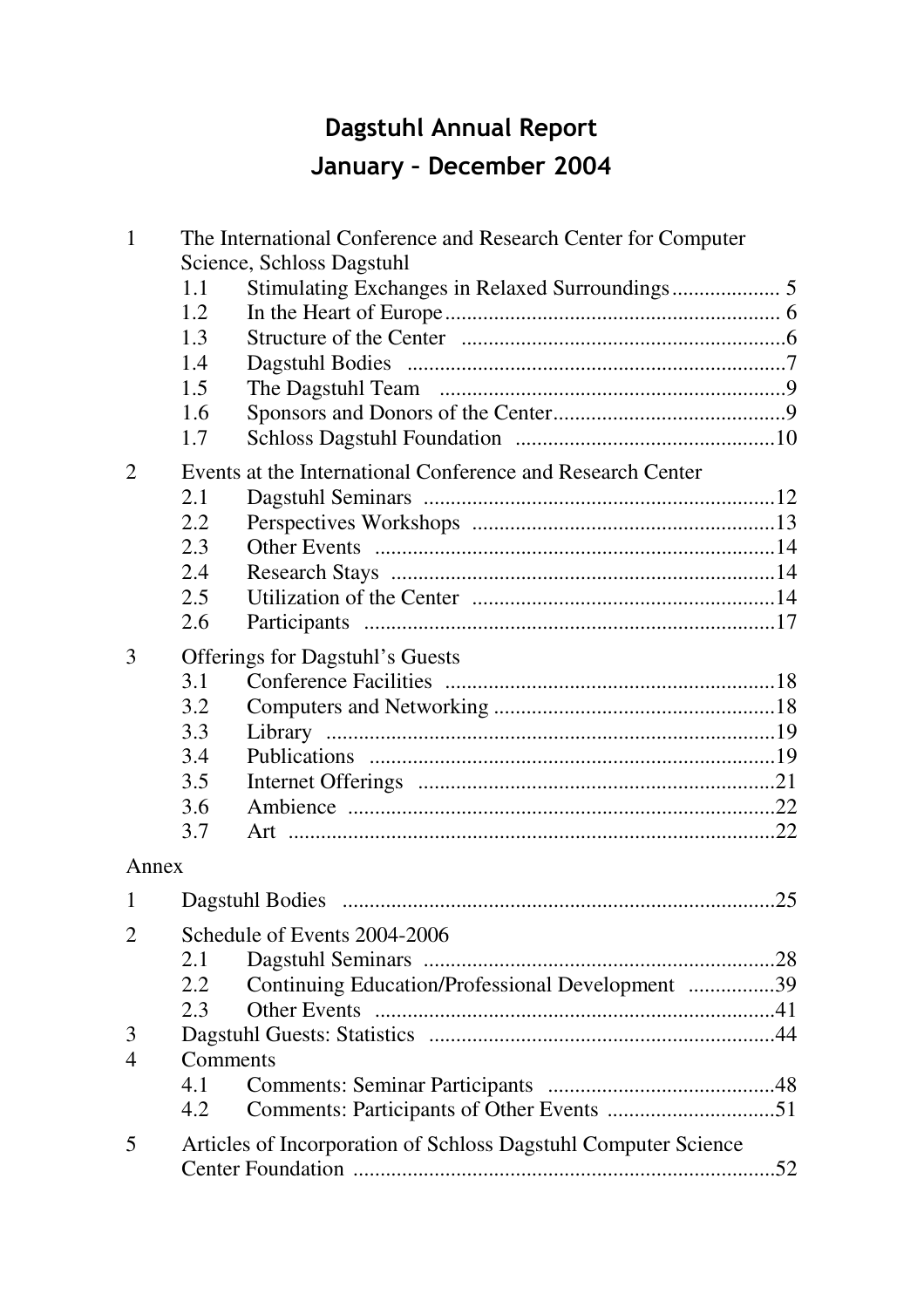# Dagstuhl Annual Report January – December 2004

| $\mathbf{1}$   | The International Conference and Research Center for Computer |                                                                |  |
|----------------|---------------------------------------------------------------|----------------------------------------------------------------|--|
|                |                                                               | Science, Schloss Dagstuhl                                      |  |
|                | 1.1                                                           |                                                                |  |
|                | 1.2                                                           |                                                                |  |
|                | 1.3                                                           |                                                                |  |
|                | 1.4                                                           |                                                                |  |
|                | 1.5                                                           |                                                                |  |
|                | 1.6                                                           |                                                                |  |
|                | 1.7                                                           |                                                                |  |
| $\overline{2}$ |                                                               | Events at the International Conference and Research Center     |  |
|                | 2.1                                                           |                                                                |  |
|                | 2.2                                                           |                                                                |  |
|                | 2.3                                                           |                                                                |  |
|                | 2.4                                                           |                                                                |  |
|                | 2.5                                                           |                                                                |  |
|                | 2.6                                                           |                                                                |  |
| 3              |                                                               | <b>Offerings for Dagstuhl's Guests</b>                         |  |
|                | 3.1                                                           |                                                                |  |
|                | 3.2                                                           |                                                                |  |
|                | 3.3                                                           |                                                                |  |
|                | 3.4                                                           |                                                                |  |
|                | 3.5                                                           |                                                                |  |
|                | 3.6                                                           |                                                                |  |
|                | 3.7                                                           |                                                                |  |
| Annex          |                                                               |                                                                |  |
| 1              |                                                               |                                                                |  |
| $\overline{2}$ |                                                               | Schedule of Events 2004-2006                                   |  |
|                | 2.1                                                           |                                                                |  |
|                | 2.2                                                           | Continuing Education/Professional Development 39               |  |
|                | 2.3                                                           |                                                                |  |
| 3              |                                                               |                                                                |  |
| $\overline{4}$ | Comments                                                      |                                                                |  |
|                | 4.1                                                           |                                                                |  |
|                | 4.2                                                           |                                                                |  |
| 5              |                                                               | Articles of Incorporation of Schloss Dagstuhl Computer Science |  |
|                |                                                               |                                                                |  |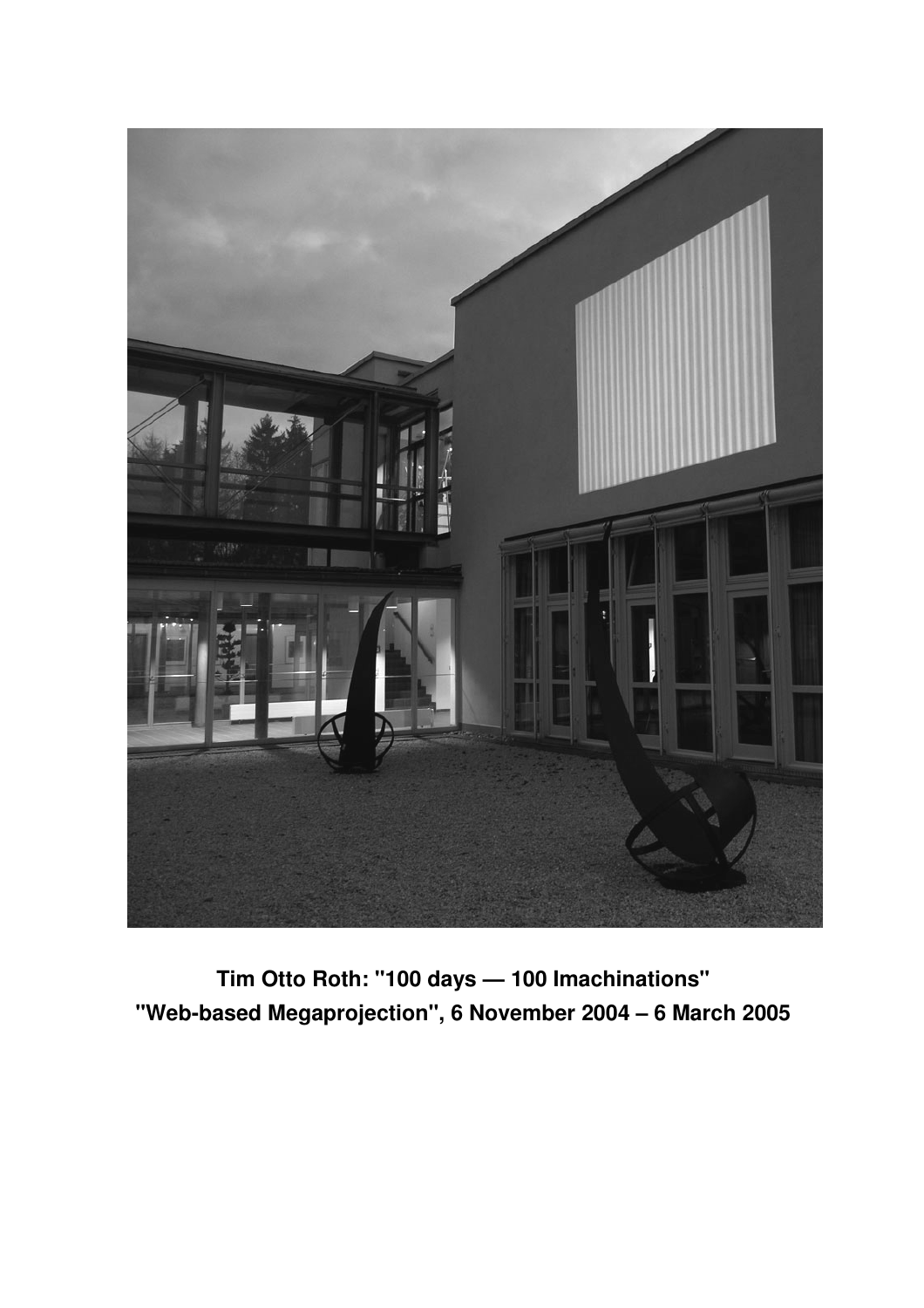

**Tim Otto Roth: "100 days — 100 Imachinations" "Web-based Megaprojection", 6 November 2004 – 6 March 2005**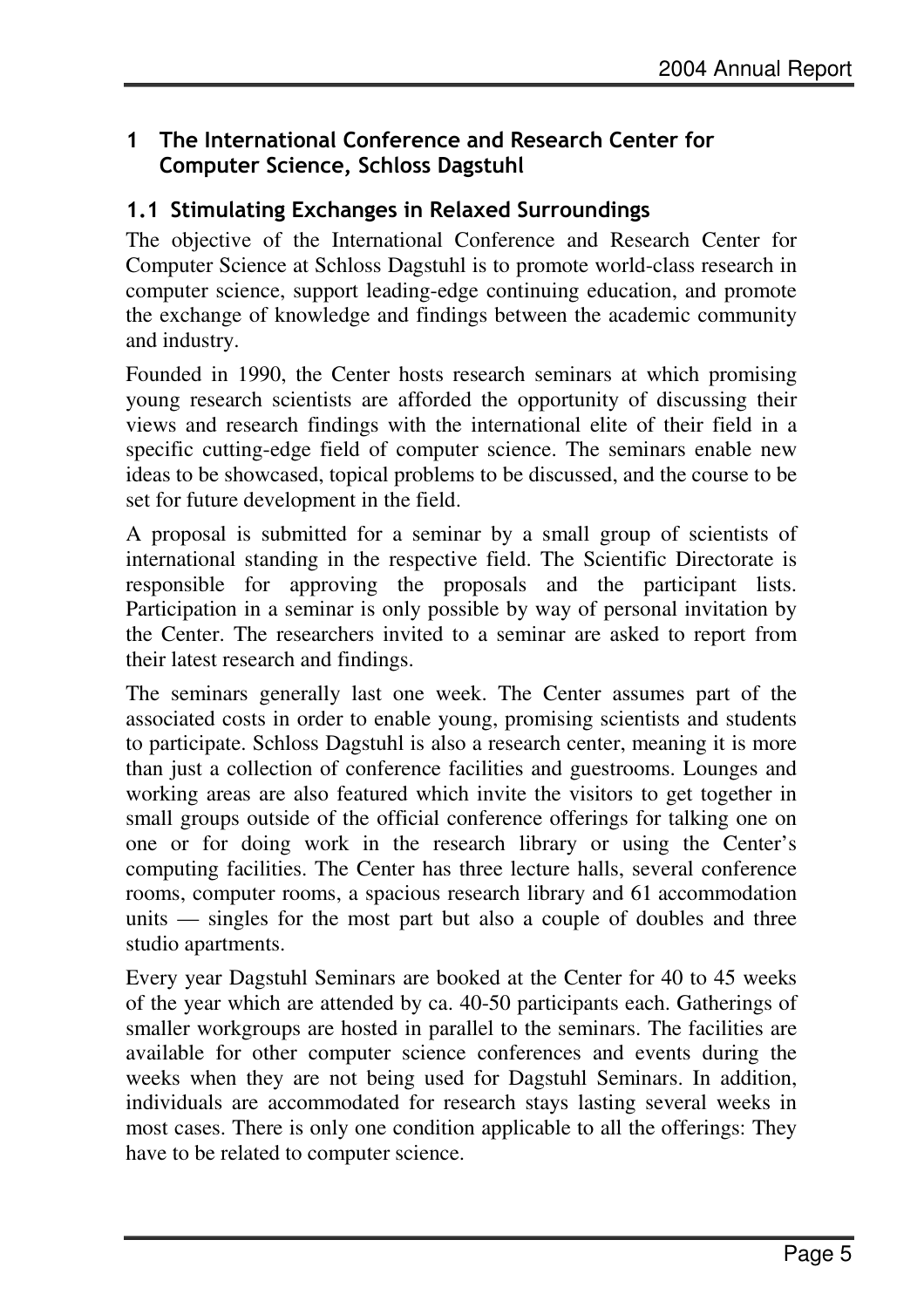## 1 The International Conference and Research Center for Computer Science, Schloss Dagstuhl

## 1.1 Stimulating Exchanges in Relaxed Surroundings

The objective of the International Conference and Research Center for Computer Science at Schloss Dagstuhl is to promote world-class research in computer science, support leading-edge continuing education, and promote the exchange of knowledge and findings between the academic community and industry.

Founded in 1990, the Center hosts research seminars at which promising young research scientists are afforded the opportunity of discussing their views and research findings with the international elite of their field in a specific cutting-edge field of computer science. The seminars enable new ideas to be showcased, topical problems to be discussed, and the course to be set for future development in the field.

A proposal is submitted for a seminar by a small group of scientists of international standing in the respective field. The Scientific Directorate is responsible for approving the proposals and the participant lists. Participation in a seminar is only possible by way of personal invitation by the Center. The researchers invited to a seminar are asked to report from their latest research and findings.

The seminars generally last one week. The Center assumes part of the associated costs in order to enable young, promising scientists and students to participate. Schloss Dagstuhl is also a research center, meaning it is more than just a collection of conference facilities and guestrooms. Lounges and working areas are also featured which invite the visitors to get together in small groups outside of the official conference offerings for talking one on one or for doing work in the research library or using the Center's computing facilities. The Center has three lecture halls, several conference rooms, computer rooms, a spacious research library and 61 accommodation units — singles for the most part but also a couple of doubles and three studio apartments.

Every year Dagstuhl Seminars are booked at the Center for 40 to 45 weeks of the year which are attended by ca. 40-50 participants each. Gatherings of smaller workgroups are hosted in parallel to the seminars. The facilities are available for other computer science conferences and events during the weeks when they are not being used for Dagstuhl Seminars. In addition, individuals are accommodated for research stays lasting several weeks in most cases. There is only one condition applicable to all the offerings: They have to be related to computer science.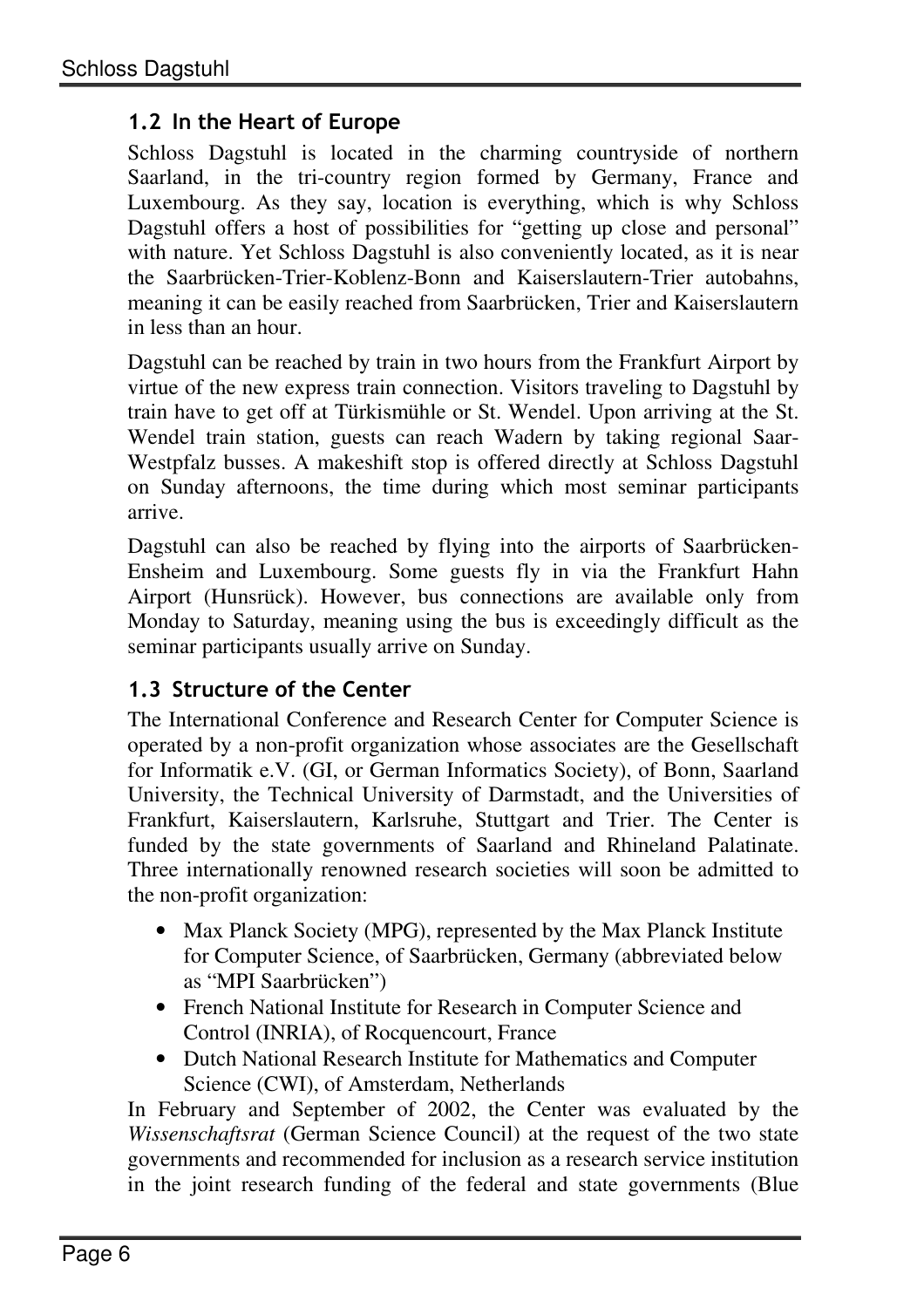## 1.2 In the Heart of Europe

Schloss Dagstuhl is located in the charming countryside of northern Saarland, in the tri-country region formed by Germany, France and Luxembourg. As they say, location is everything, which is why Schloss Dagstuhl offers a host of possibilities for "getting up close and personal" with nature. Yet Schloss Dagstuhl is also conveniently located, as it is near the Saarbrücken-Trier-Koblenz-Bonn and Kaiserslautern-Trier autobahns, meaning it can be easily reached from Saarbrücken, Trier and Kaiserslautern in less than an hour.

Dagstuhl can be reached by train in two hours from the Frankfurt Airport by virtue of the new express train connection. Visitors traveling to Dagstuhl by train have to get off at Türkismühle or St. Wendel. Upon arriving at the St. Wendel train station, guests can reach Wadern by taking regional Saar-Westpfalz busses. A makeshift stop is offered directly at Schloss Dagstuhl on Sunday afternoons, the time during which most seminar participants arrive.

Dagstuhl can also be reached by flying into the airports of Saarbrücken-Ensheim and Luxembourg. Some guests fly in via the Frankfurt Hahn Airport (Hunsrück). However, bus connections are available only from Monday to Saturday, meaning using the bus is exceedingly difficult as the seminar participants usually arrive on Sunday.

## 1.3 Structure of the Center

The International Conference and Research Center for Computer Science is operated by a non-profit organization whose associates are the Gesellschaft for Informatik e.V. (GI, or German Informatics Society), of Bonn, Saarland University, the Technical University of Darmstadt, and the Universities of Frankfurt, Kaiserslautern, Karlsruhe, Stuttgart and Trier. The Center is funded by the state governments of Saarland and Rhineland Palatinate. Three internationally renowned research societies will soon be admitted to the non-profit organization:

- Max Planck Society (MPG), represented by the Max Planck Institute for Computer Science, of Saarbrücken, Germany (abbreviated below as "MPI Saarbrücken")
- French National Institute for Research in Computer Science and Control (INRIA), of Rocquencourt, France
- Dutch National Research Institute for Mathematics and Computer Science (CWI), of Amsterdam, Netherlands

In February and September of 2002, the Center was evaluated by the *Wissenschaftsrat* (German Science Council) at the request of the two state governments and recommended for inclusion as a research service institution in the joint research funding of the federal and state governments (Blue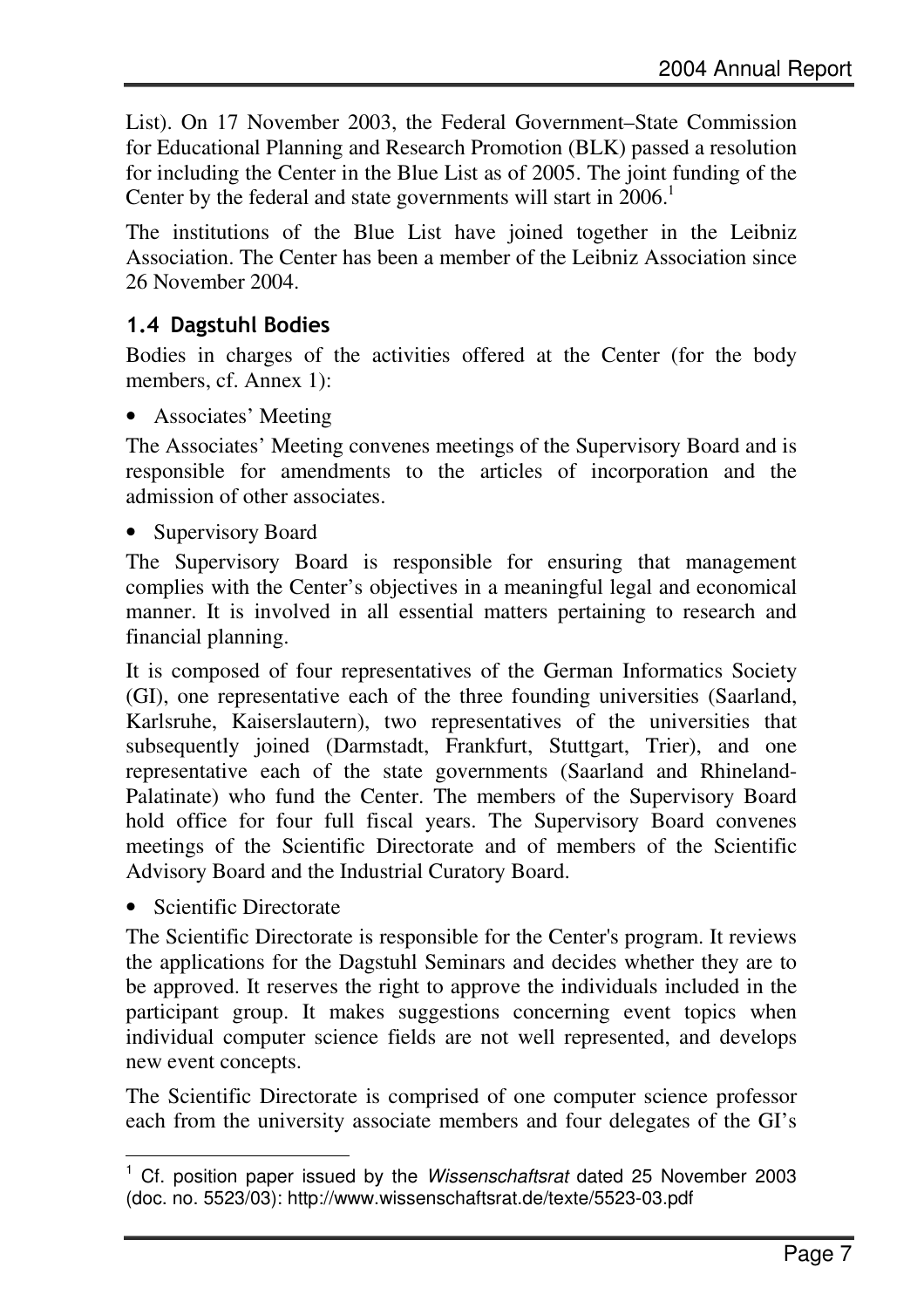List). On 17 November 2003, the Federal Government–State Commission for Educational Planning and Research Promotion (BLK) passed a resolution for including the Center in the Blue List as of 2005. The joint funding of the Center by the federal and state governments will start in 2006.<sup>1</sup>

The institutions of the Blue List have joined together in the Leibniz Association. The Center has been a member of the Leibniz Association since 26 November 2004.

## 1.4 Dagstuhl Bodies

Bodies in charges of the activities offered at the Center (for the body members, cf. Annex 1):

• Associates' Meeting

The Associates' Meeting convenes meetings of the Supervisory Board and is responsible for amendments to the articles of incorporation and the admission of other associates.

• Supervisory Board

The Supervisory Board is responsible for ensuring that management complies with the Center's objectives in a meaningful legal and economical manner. It is involved in all essential matters pertaining to research and financial planning.

It is composed of four representatives of the German Informatics Society (GI), one representative each of the three founding universities (Saarland, Karlsruhe, Kaiserslautern), two representatives of the universities that subsequently joined (Darmstadt, Frankfurt, Stuttgart, Trier), and one representative each of the state governments (Saarland and Rhineland-Palatinate) who fund the Center. The members of the Supervisory Board hold office for four full fiscal years. The Supervisory Board convenes meetings of the Scientific Directorate and of members of the Scientific Advisory Board and the Industrial Curatory Board.

• Scientific Directorate

The Scientific Directorate is responsible for the Center's program. It reviews the applications for the Dagstuhl Seminars and decides whether they are to be approved. It reserves the right to approve the individuals included in the participant group. It makes suggestions concerning event topics when individual computer science fields are not well represented, and develops new event concepts.

The Scientific Directorate is comprised of one computer science professor each from the university associate members and four delegates of the GI's

l <sup>1</sup> Cf. position paper issued by the Wissenschaftsrat dated 25 November 2003 (doc. no. 5523/03): http://www.wissenschaftsrat.de/texte/5523-03.pdf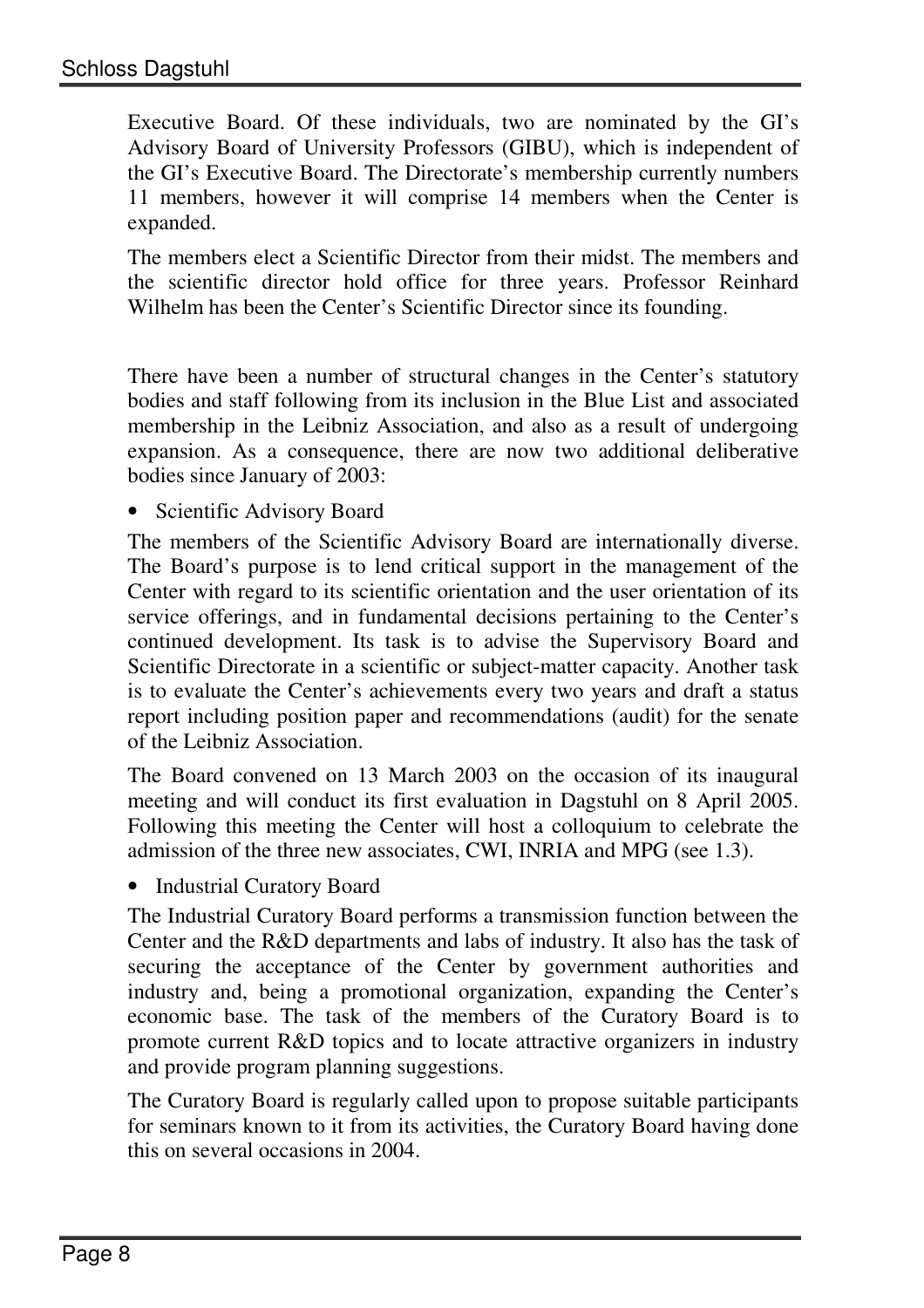Executive Board. Of these individuals, two are nominated by the GI's Advisory Board of University Professors (GIBU), which is independent of the GI's Executive Board. The Directorate's membership currently numbers 11 members, however it will comprise 14 members when the Center is expanded.

The members elect a Scientific Director from their midst. The members and the scientific director hold office for three years. Professor Reinhard Wilhelm has been the Center's Scientific Director since its founding.

There have been a number of structural changes in the Center's statutory bodies and staff following from its inclusion in the Blue List and associated membership in the Leibniz Association, and also as a result of undergoing expansion. As a consequence, there are now two additional deliberative bodies since January of 2003:

• Scientific Advisory Board

The members of the Scientific Advisory Board are internationally diverse. The Board's purpose is to lend critical support in the management of the Center with regard to its scientific orientation and the user orientation of its service offerings, and in fundamental decisions pertaining to the Center's continued development. Its task is to advise the Supervisory Board and Scientific Directorate in a scientific or subject-matter capacity. Another task is to evaluate the Center's achievements every two years and draft a status report including position paper and recommendations (audit) for the senate of the Leibniz Association.

The Board convened on 13 March 2003 on the occasion of its inaugural meeting and will conduct its first evaluation in Dagstuhl on 8 April 2005. Following this meeting the Center will host a colloquium to celebrate the admission of the three new associates, CWI, INRIA and MPG (see 1.3).

• Industrial Curatory Board

The Industrial Curatory Board performs a transmission function between the Center and the R&D departments and labs of industry. It also has the task of securing the acceptance of the Center by government authorities and industry and, being a promotional organization, expanding the Center's economic base. The task of the members of the Curatory Board is to promote current R&D topics and to locate attractive organizers in industry and provide program planning suggestions.

The Curatory Board is regularly called upon to propose suitable participants for seminars known to it from its activities, the Curatory Board having done this on several occasions in 2004.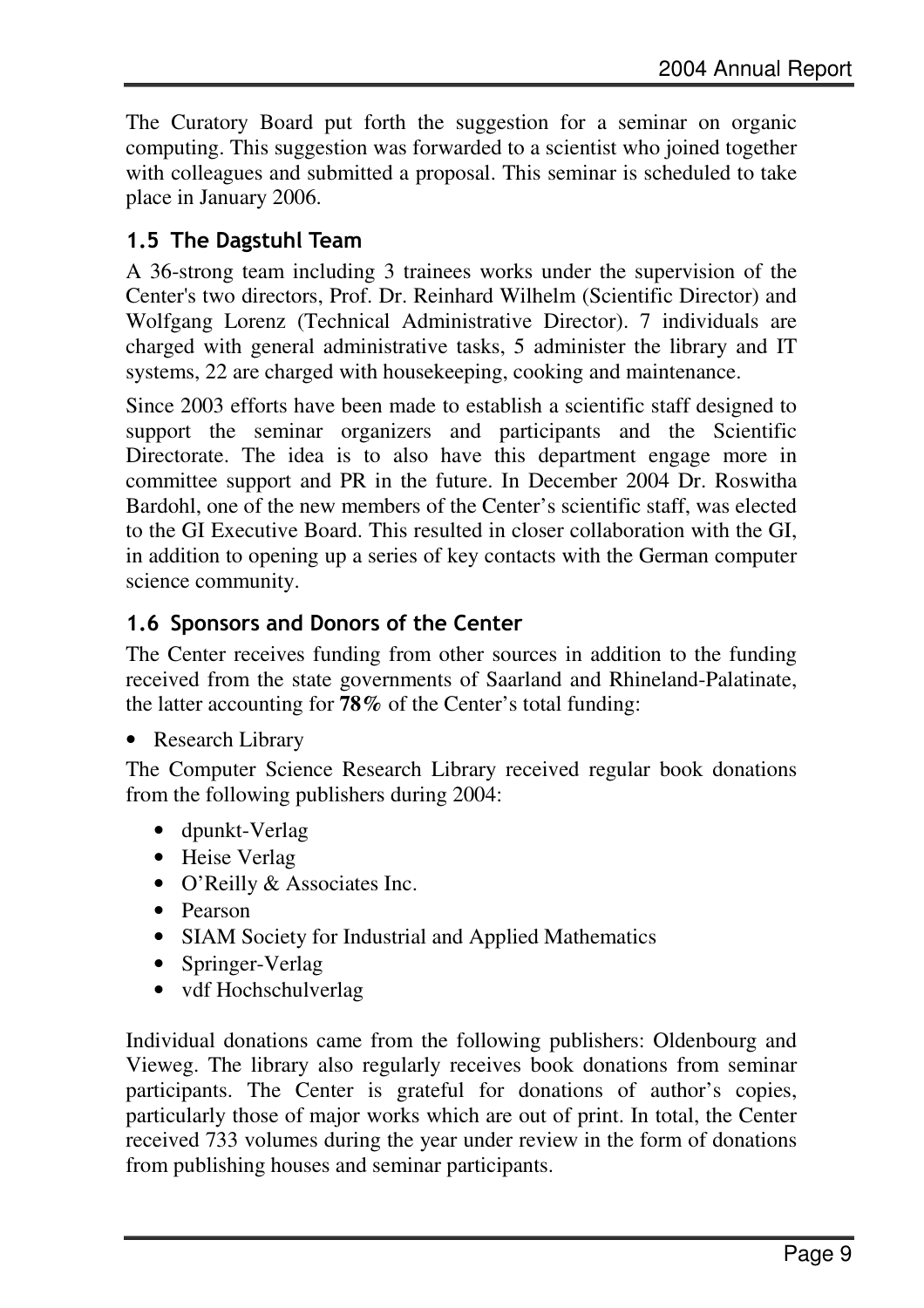The Curatory Board put forth the suggestion for a seminar on organic computing. This suggestion was forwarded to a scientist who joined together with colleagues and submitted a proposal. This seminar is scheduled to take place in January 2006.

## 1.5 The Dagstuhl Team

A 36-strong team including 3 trainees works under the supervision of the Center's two directors, Prof. Dr. Reinhard Wilhelm (Scientific Director) and Wolfgang Lorenz (Technical Administrative Director). 7 individuals are charged with general administrative tasks, 5 administer the library and IT systems, 22 are charged with housekeeping, cooking and maintenance.

Since 2003 efforts have been made to establish a scientific staff designed to support the seminar organizers and participants and the Scientific Directorate. The idea is to also have this department engage more in committee support and PR in the future. In December 2004 Dr. Roswitha Bardohl, one of the new members of the Center's scientific staff, was elected to the GI Executive Board. This resulted in closer collaboration with the GI, in addition to opening up a series of key contacts with the German computer science community.

## 1.6 Sponsors and Donors of the Center

The Center receives funding from other sources in addition to the funding received from the state governments of Saarland and Rhineland-Palatinate, the latter accounting for **78%** of the Center's total funding:

• Research Library

The Computer Science Research Library received regular book donations from the following publishers during 2004:

- dpunkt-Verlag
- Heise Verlag
- O'Reilly & Associates Inc.
- Pearson
- SIAM Society for Industrial and Applied Mathematics
- Springer-Verlag
- vdf Hochschulverlag

Individual donations came from the following publishers: Oldenbourg and Vieweg. The library also regularly receives book donations from seminar participants. The Center is grateful for donations of author's copies, particularly those of major works which are out of print. In total, the Center received 733 volumes during the year under review in the form of donations from publishing houses and seminar participants.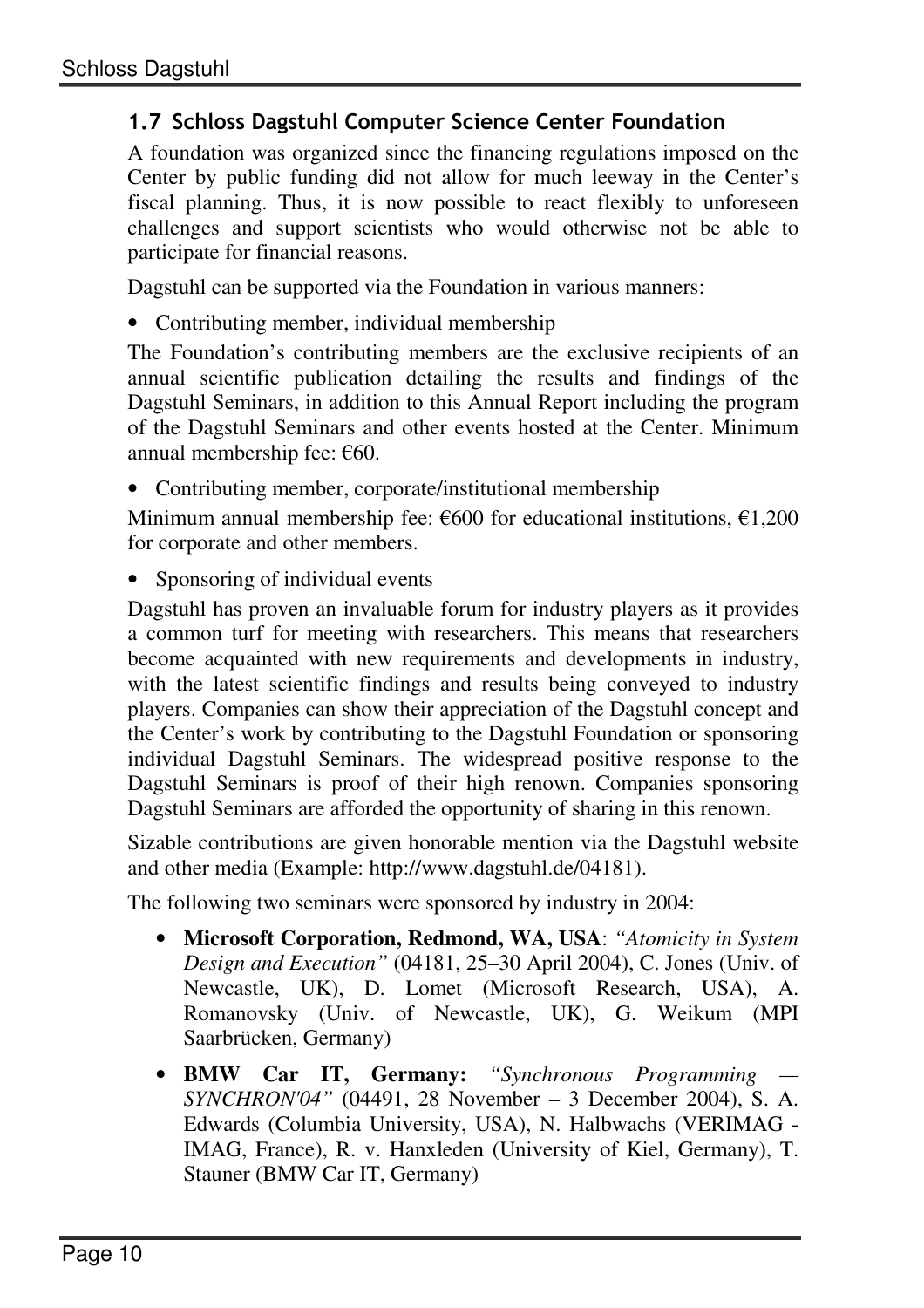## 1.7 Schloss Dagstuhl Computer Science Center Foundation

A foundation was organized since the financing regulations imposed on the Center by public funding did not allow for much leeway in the Center's fiscal planning. Thus, it is now possible to react flexibly to unforeseen challenges and support scientists who would otherwise not be able to participate for financial reasons.

Dagstuhl can be supported via the Foundation in various manners:

• Contributing member, individual membership

The Foundation's contributing members are the exclusive recipients of an annual scientific publication detailing the results and findings of the Dagstuhl Seminars, in addition to this Annual Report including the program of the Dagstuhl Seminars and other events hosted at the Center. Minimum annual membership fee:  $\epsilon$ 60.

• Contributing member, corporate/institutional membership

Minimum annual membership fee:  $\epsilon$ 600 for educational institutions,  $\epsilon$ 1,200 for corporate and other members.

• Sponsoring of individual events

Dagstuhl has proven an invaluable forum for industry players as it provides a common turf for meeting with researchers. This means that researchers become acquainted with new requirements and developments in industry, with the latest scientific findings and results being conveyed to industry players. Companies can show their appreciation of the Dagstuhl concept and the Center's work by contributing to the Dagstuhl Foundation or sponsoring individual Dagstuhl Seminars. The widespread positive response to the Dagstuhl Seminars is proof of their high renown. Companies sponsoring Dagstuhl Seminars are afforded the opportunity of sharing in this renown.

Sizable contributions are given honorable mention via the Dagstuhl website and other media (Example: http://www.dagstuhl.de/04181).

The following two seminars were sponsored by industry in 2004:

- **Microsoft Corporation, Redmond, WA, USA**: *"Atomicity in System Design and Execution"* (04181, 25–30 April 2004), C. Jones (Univ. of Newcastle, UK), D. Lomet (Microsoft Research, USA), A. Romanovsky (Univ. of Newcastle, UK), G. Weikum (MPI Saarbrücken, Germany)
- **BMW Car IT, Germany:** *"Synchronous Programming SYNCHRON'04"* (04491, 28 November – 3 December 2004), S. A. Edwards (Columbia University, USA), N. Halbwachs (VERIMAG - IMAG, France), R. v. Hanxleden (University of Kiel, Germany), T. Stauner (BMW Car IT, Germany)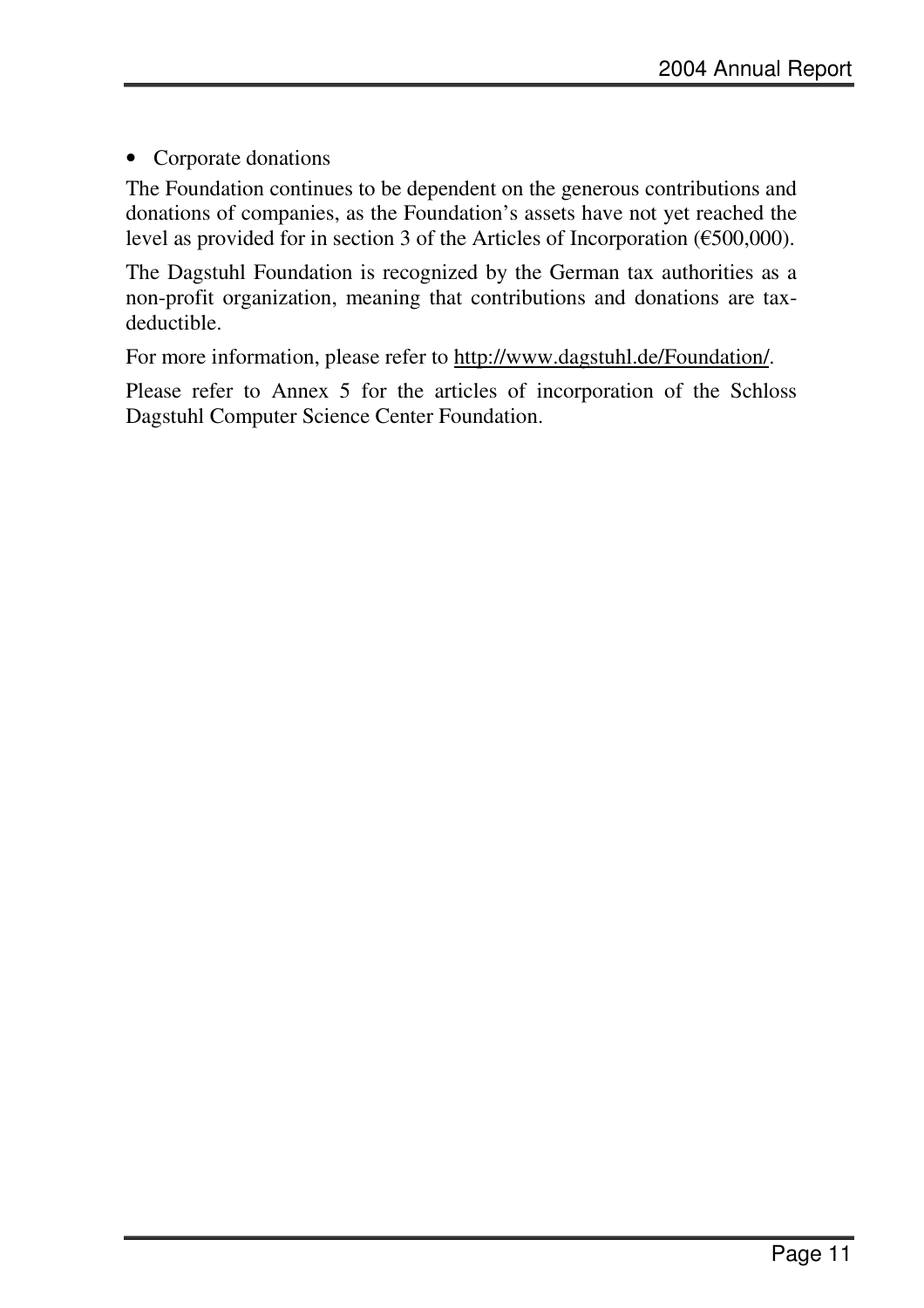### • Corporate donations

The Foundation continues to be dependent on the generous contributions and donations of companies, as the Foundation's assets have not yet reached the level as provided for in section 3 of the Articles of Incorporation (500,000).

The Dagstuhl Foundation is recognized by the German tax authorities as a non-profit organization, meaning that contributions and donations are taxdeductible.

For more information, please refer to http://www.dagstuhl.de/Foundation/.

Please refer to Annex 5 for the articles of incorporation of the Schloss Dagstuhl Computer Science Center Foundation.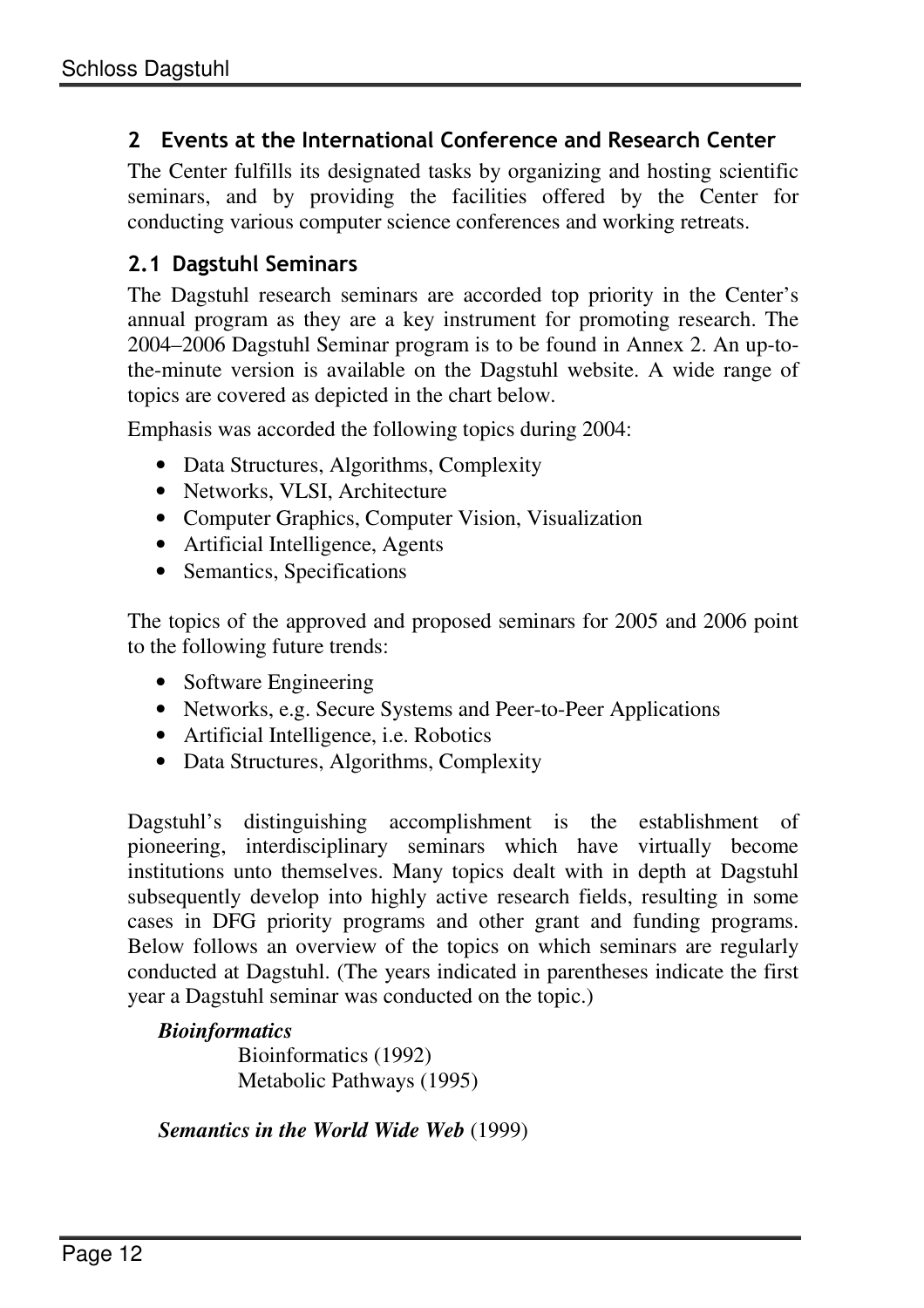## 2 Events at the International Conference and Research Center

The Center fulfills its designated tasks by organizing and hosting scientific seminars, and by providing the facilities offered by the Center for conducting various computer science conferences and working retreats.

## 2.1 Dagstuhl Seminars

The Dagstuhl research seminars are accorded top priority in the Center's annual program as they are a key instrument for promoting research. The 2004–2006 Dagstuhl Seminar program is to be found in Annex 2. An up-tothe-minute version is available on the Dagstuhl website. A wide range of topics are covered as depicted in the chart below.

Emphasis was accorded the following topics during 2004:

- Data Structures, Algorithms, Complexity
- Networks, VLSI, Architecture
- Computer Graphics, Computer Vision, Visualization
- Artificial Intelligence, Agents
- Semantics, Specifications

The topics of the approved and proposed seminars for 2005 and 2006 point to the following future trends:

- Software Engineering
- Networks, e.g. Secure Systems and Peer-to-Peer Applications
- Artificial Intelligence, i.e. Robotics
- Data Structures, Algorithms, Complexity

Dagstuhl's distinguishing accomplishment is the establishment of pioneering, interdisciplinary seminars which have virtually become institutions unto themselves. Many topics dealt with in depth at Dagstuhl subsequently develop into highly active research fields, resulting in some cases in DFG priority programs and other grant and funding programs. Below follows an overview of the topics on which seminars are regularly conducted at Dagstuhl. (The years indicated in parentheses indicate the first year a Dagstuhl seminar was conducted on the topic.)

## *Bioinformatics*

 Bioinformatics (1992) Metabolic Pathways (1995)

*Semantics in the World Wide Web* (1999)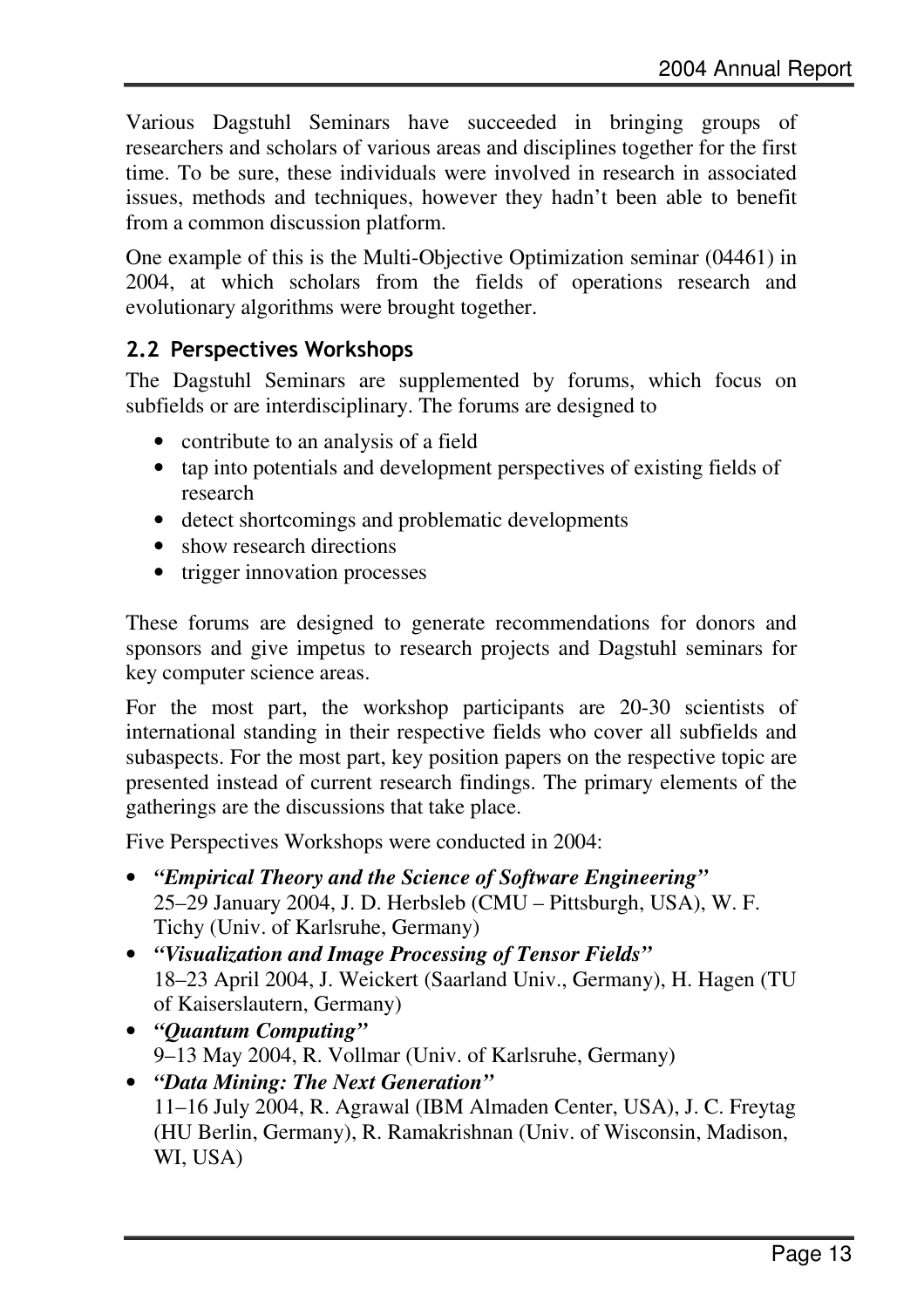Various Dagstuhl Seminars have succeeded in bringing groups of researchers and scholars of various areas and disciplines together for the first time. To be sure, these individuals were involved in research in associated issues, methods and techniques, however they hadn't been able to benefit from a common discussion platform.

One example of this is the Multi-Objective Optimization seminar (04461) in 2004, at which scholars from the fields of operations research and evolutionary algorithms were brought together.

## 2.2 Perspectives Workshops

The Dagstuhl Seminars are supplemented by forums, which focus on subfields or are interdisciplinary. The forums are designed to

- contribute to an analysis of a field
- tap into potentials and development perspectives of existing fields of research
- detect shortcomings and problematic developments
- show research directions
- trigger innovation processes

These forums are designed to generate recommendations for donors and sponsors and give impetus to research projects and Dagstuhl seminars for key computer science areas.

For the most part, the workshop participants are 20-30 scientists of international standing in their respective fields who cover all subfields and subaspects. For the most part, key position papers on the respective topic are presented instead of current research findings. The primary elements of the gatherings are the discussions that take place.

Five Perspectives Workshops were conducted in 2004:

- *"Empirical Theory and the Science of Software Engineering"*  25–29 January 2004, J. D. Herbsleb (CMU – Pittsburgh, USA), W. F. Tichy (Univ. of Karlsruhe, Germany)
- *"Visualization and Image Processing of Tensor Fields"*  18–23 April 2004, J. Weickert (Saarland Univ., Germany), H. Hagen (TU of Kaiserslautern, Germany)
- *"Quantum Computing"*  9–13 May 2004, R. Vollmar (Univ. of Karlsruhe, Germany)
- *"Data Mining: The Next Generation"*  11–16 July 2004, R. Agrawal (IBM Almaden Center, USA), J. C. Freytag (HU Berlin, Germany), R. Ramakrishnan (Univ. of Wisconsin, Madison, WI, USA)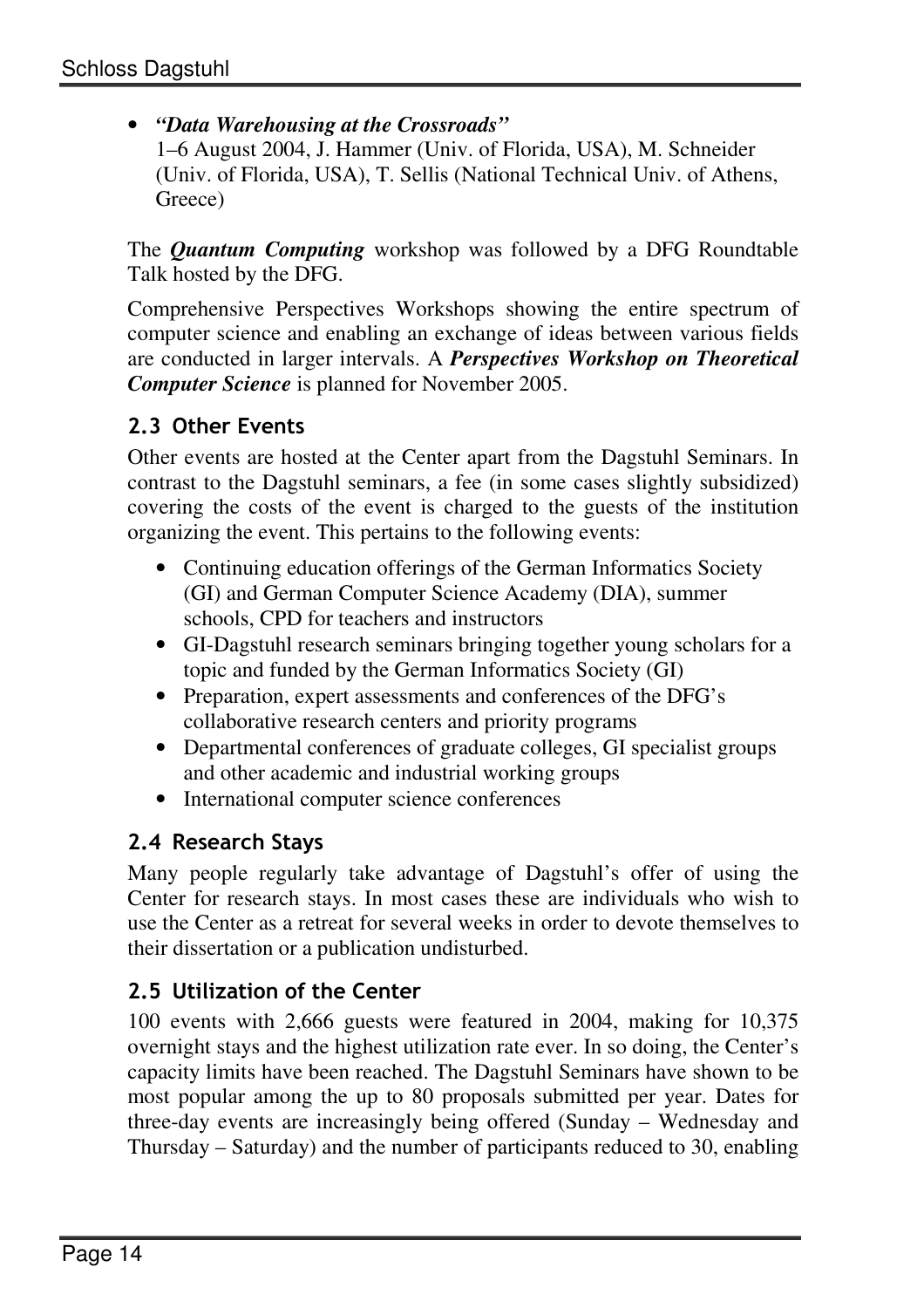## • *"Data Warehousing at the Crossroads"*

1–6 August 2004, J. Hammer (Univ. of Florida, USA), M. Schneider (Univ. of Florida, USA), T. Sellis (National Technical Univ. of Athens, Greece)

The *Quantum Computing* workshop was followed by a DFG Roundtable Talk hosted by the DFG.

Comprehensive Perspectives Workshops showing the entire spectrum of computer science and enabling an exchange of ideas between various fields are conducted in larger intervals. A *Perspectives Workshop on Theoretical Computer Science* is planned for November 2005.

## 2.3 Other Events

Other events are hosted at the Center apart from the Dagstuhl Seminars. In contrast to the Dagstuhl seminars, a fee (in some cases slightly subsidized) covering the costs of the event is charged to the guests of the institution organizing the event. This pertains to the following events:

- Continuing education offerings of the German Informatics Society (GI) and German Computer Science Academy (DIA), summer schools, CPD for teachers and instructors
- GI-Dagstuhl research seminars bringing together young scholars for a topic and funded by the German Informatics Society (GI)
- Preparation, expert assessments and conferences of the DFG's collaborative research centers and priority programs
- Departmental conferences of graduate colleges, GI specialist groups and other academic and industrial working groups
- International computer science conferences

## 2.4 Research Stays

Many people regularly take advantage of Dagstuhl's offer of using the Center for research stays. In most cases these are individuals who wish to use the Center as a retreat for several weeks in order to devote themselves to their dissertation or a publication undisturbed.

## 2.5 Utilization of the Center

100 events with 2,666 guests were featured in 2004, making for 10,375 overnight stays and the highest utilization rate ever. In so doing, the Center's capacity limits have been reached. The Dagstuhl Seminars have shown to be most popular among the up to 80 proposals submitted per year. Dates for three-day events are increasingly being offered (Sunday – Wednesday and Thursday – Saturday) and the number of participants reduced to 30, enabling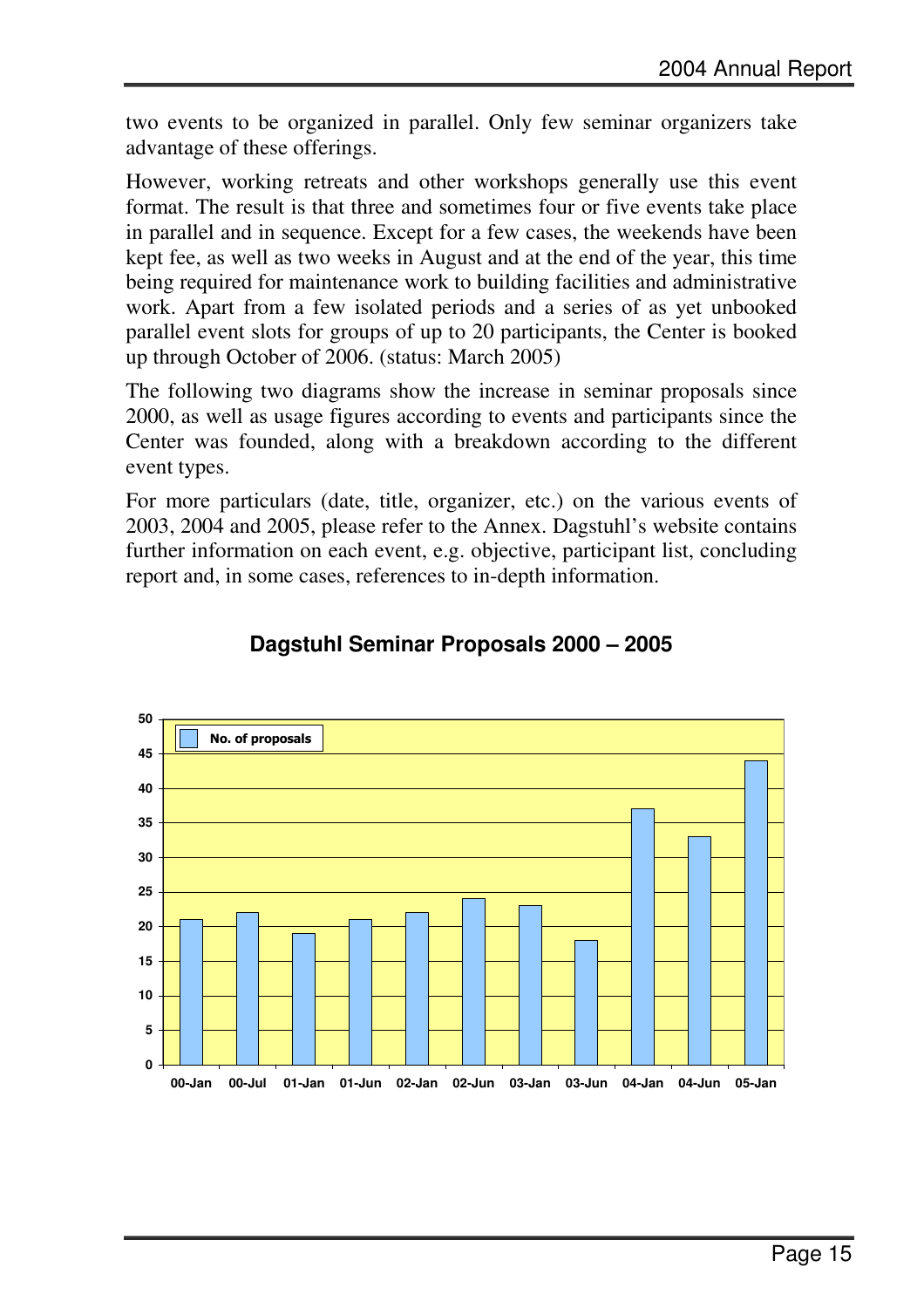two events to be organized in parallel. Only few seminar organizers take advantage of these offerings.

However, working retreats and other workshops generally use this event format. The result is that three and sometimes four or five events take place in parallel and in sequence. Except for a few cases, the weekends have been kept fee, as well as two weeks in August and at the end of the year, this time being required for maintenance work to building facilities and administrative work. Apart from a few isolated periods and a series of as yet unbooked parallel event slots for groups of up to 20 participants, the Center is booked up through October of 2006. (status: March 2005)

The following two diagrams show the increase in seminar proposals since 2000, as well as usage figures according to events and participants since the Center was founded, along with a breakdown according to the different event types.

For more particulars (date, title, organizer, etc.) on the various events of 2003, 2004 and 2005, please refer to the Annex. Dagstuhl's website contains further information on each event, e.g. objective, participant list, concluding report and, in some cases, references to in-depth information.



## **Dagstuhl Seminar Proposals 2000 – 2005**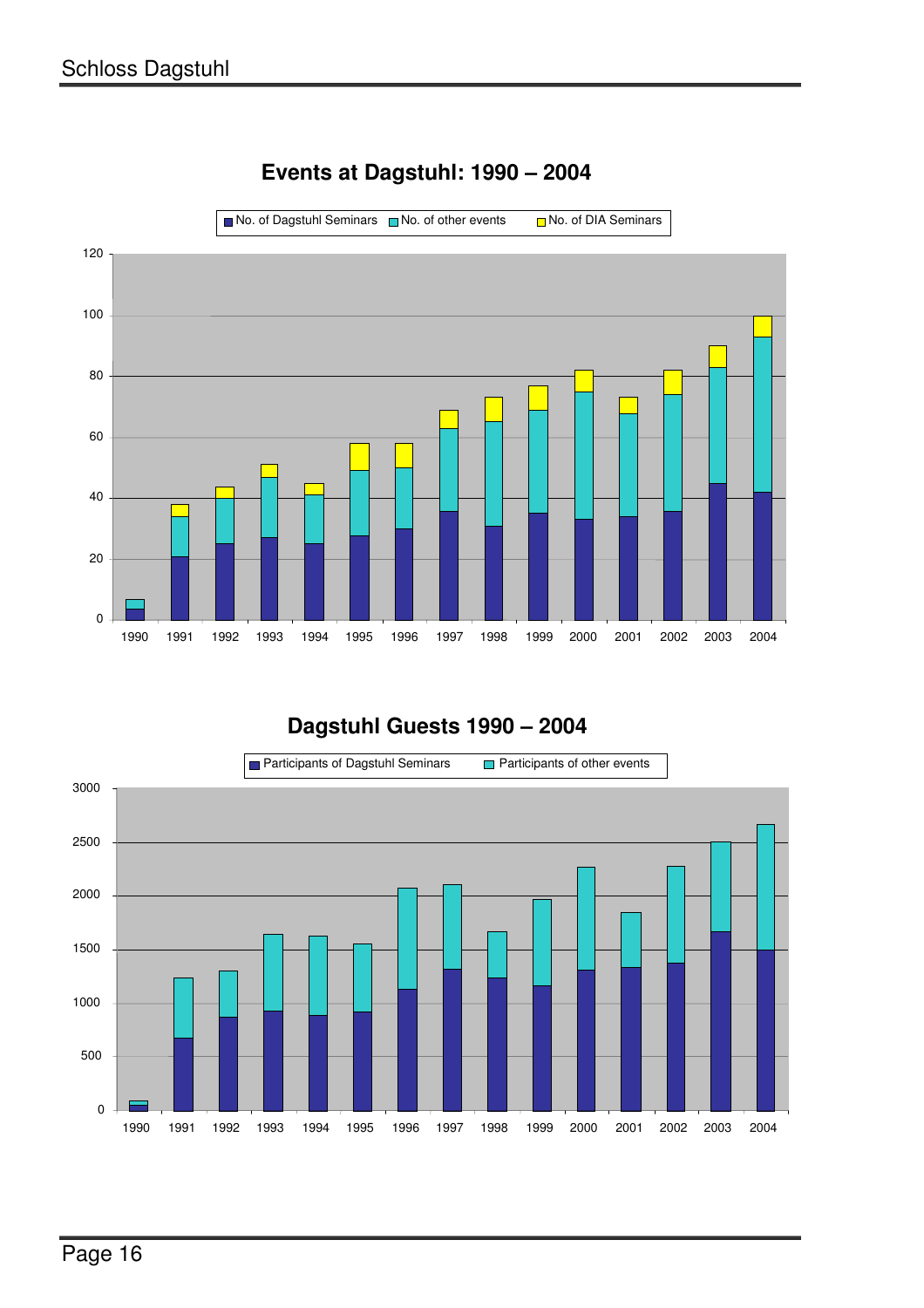

## **Events at Dagstuhl: 1990 – 2004**

## **Dagstuhl Guests 1990 – 2004**

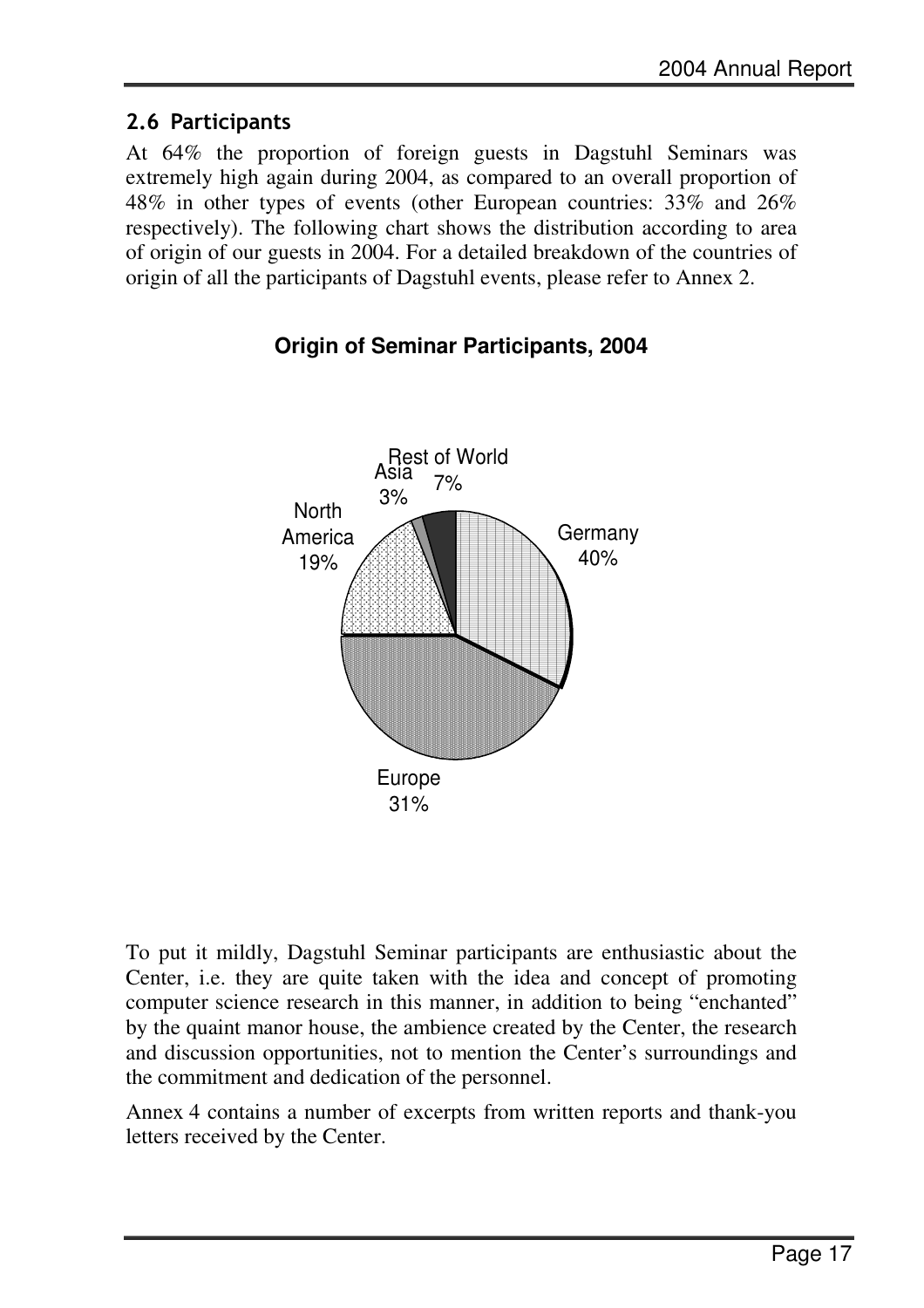## 2.6 Participants

At 64% the proportion of foreign guests in Dagstuhl Seminars was extremely high again during 2004, as compared to an overall proportion of 48% in other types of events (other European countries: 33% and 26% respectively). The following chart shows the distribution according to area of origin of our guests in 2004. For a detailed breakdown of the countries of origin of all the participants of Dagstuhl events, please refer to Annex 2.



## **Origin of Seminar Participants, 2004**

To put it mildly, Dagstuhl Seminar participants are enthusiastic about the Center, i.e. they are quite taken with the idea and concept of promoting computer science research in this manner, in addition to being "enchanted" by the quaint manor house, the ambience created by the Center, the research and discussion opportunities, not to mention the Center's surroundings and the commitment and dedication of the personnel.

Annex 4 contains a number of excerpts from written reports and thank-you letters received by the Center.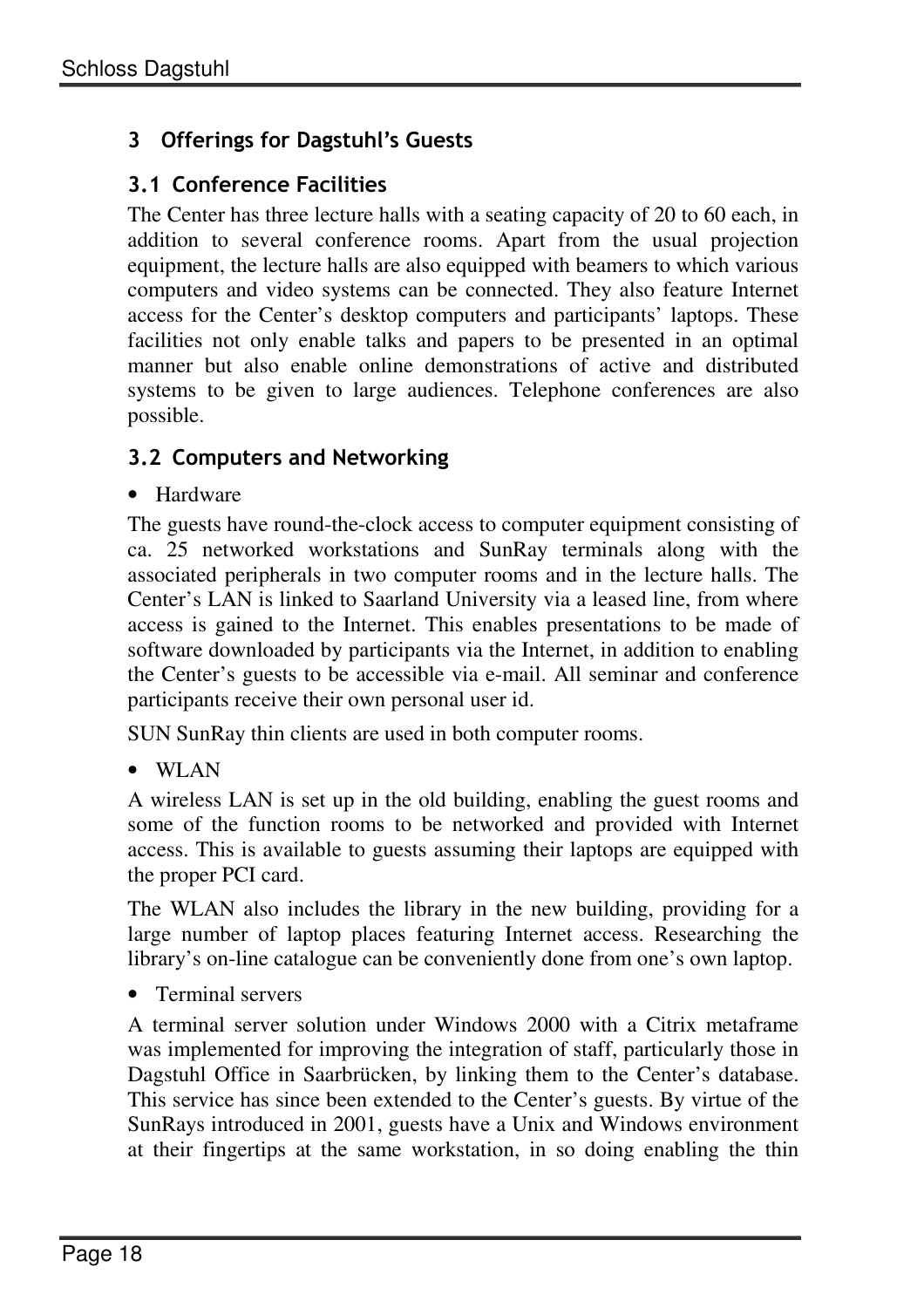## 3 Offerings for Dagstuhl's Guests

## 3.1 Conference Facilities

The Center has three lecture halls with a seating capacity of 20 to 60 each, in addition to several conference rooms. Apart from the usual projection equipment, the lecture halls are also equipped with beamers to which various computers and video systems can be connected. They also feature Internet access for the Center's desktop computers and participants' laptops. These facilities not only enable talks and papers to be presented in an optimal manner but also enable online demonstrations of active and distributed systems to be given to large audiences. Telephone conferences are also possible.

## 3.2 Computers and Networking

• Hardware

The guests have round-the-clock access to computer equipment consisting of ca. 25 networked workstations and SunRay terminals along with the associated peripherals in two computer rooms and in the lecture halls. The Center's LAN is linked to Saarland University via a leased line, from where access is gained to the Internet. This enables presentations to be made of software downloaded by participants via the Internet, in addition to enabling the Center's guests to be accessible via e-mail. All seminar and conference participants receive their own personal user id.

SUN SunRay thin clients are used in both computer rooms.

• WLAN

A wireless LAN is set up in the old building, enabling the guest rooms and some of the function rooms to be networked and provided with Internet access. This is available to guests assuming their laptops are equipped with the proper PCI card.

The WLAN also includes the library in the new building, providing for a large number of laptop places featuring Internet access. Researching the library's on-line catalogue can be conveniently done from one's own laptop.

• Terminal servers

A terminal server solution under Windows 2000 with a Citrix metaframe was implemented for improving the integration of staff, particularly those in Dagstuhl Office in Saarbrücken, by linking them to the Center's database. This service has since been extended to the Center's guests. By virtue of the SunRays introduced in 2001, guests have a Unix and Windows environment at their fingertips at the same workstation, in so doing enabling the thin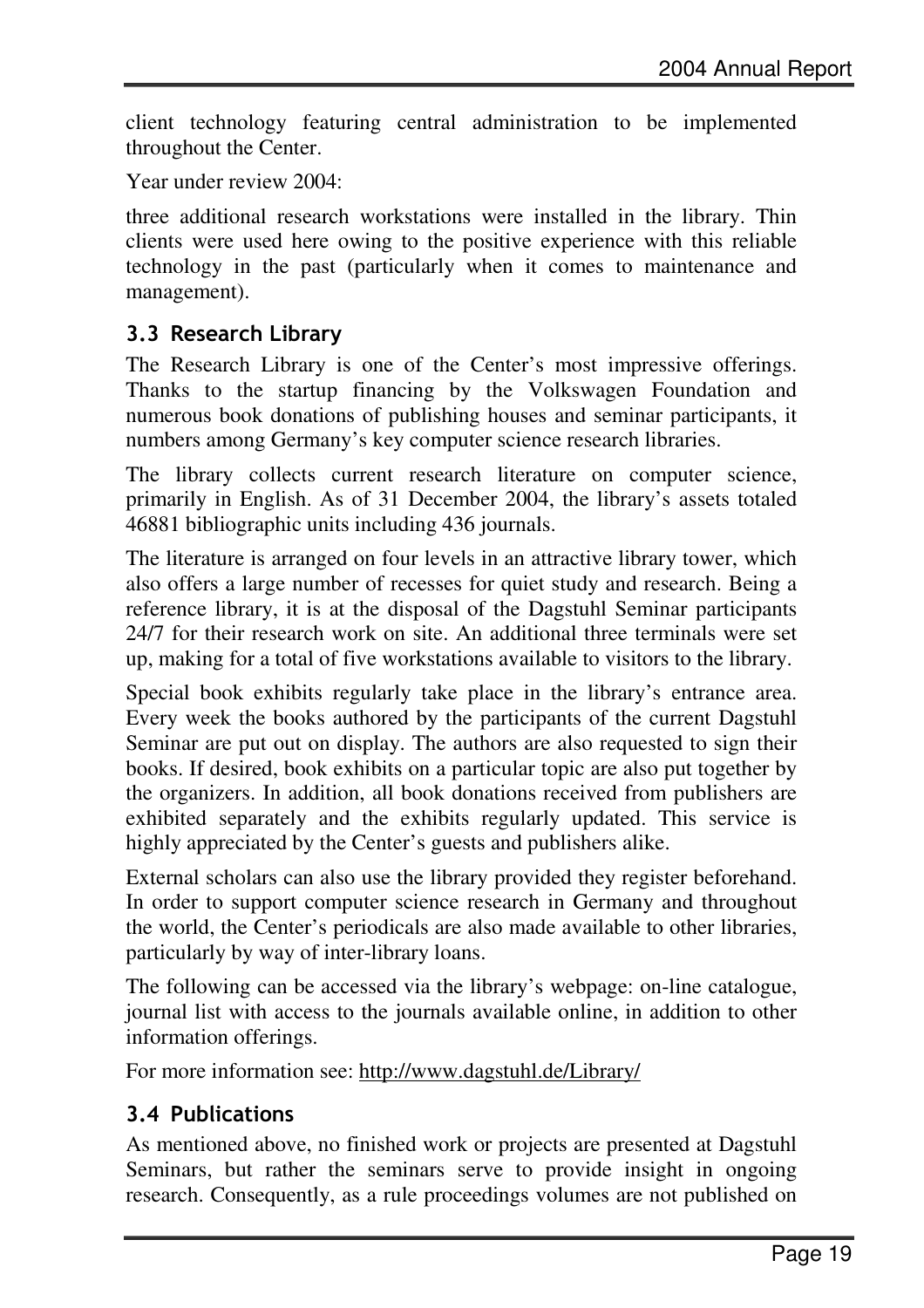client technology featuring central administration to be implemented throughout the Center.

Year under review 2004:

three additional research workstations were installed in the library. Thin clients were used here owing to the positive experience with this reliable technology in the past (particularly when it comes to maintenance and management).

## 3.3 Research Library

The Research Library is one of the Center's most impressive offerings. Thanks to the startup financing by the Volkswagen Foundation and numerous book donations of publishing houses and seminar participants, it numbers among Germany's key computer science research libraries.

The library collects current research literature on computer science, primarily in English. As of 31 December 2004, the library's assets totaled 46881 bibliographic units including 436 journals.

The literature is arranged on four levels in an attractive library tower, which also offers a large number of recesses for quiet study and research. Being a reference library, it is at the disposal of the Dagstuhl Seminar participants 24/7 for their research work on site. An additional three terminals were set up, making for a total of five workstations available to visitors to the library.

Special book exhibits regularly take place in the library's entrance area. Every week the books authored by the participants of the current Dagstuhl Seminar are put out on display. The authors are also requested to sign their books. If desired, book exhibits on a particular topic are also put together by the organizers. In addition, all book donations received from publishers are exhibited separately and the exhibits regularly updated. This service is highly appreciated by the Center's guests and publishers alike.

External scholars can also use the library provided they register beforehand. In order to support computer science research in Germany and throughout the world, the Center's periodicals are also made available to other libraries, particularly by way of inter-library loans.

The following can be accessed via the library's webpage: on-line catalogue, journal list with access to the journals available online, in addition to other information offerings.

For more information see: http://www.dagstuhl.de/Library/

## 3.4 Publications

As mentioned above, no finished work or projects are presented at Dagstuhl Seminars, but rather the seminars serve to provide insight in ongoing research. Consequently, as a rule proceedings volumes are not published on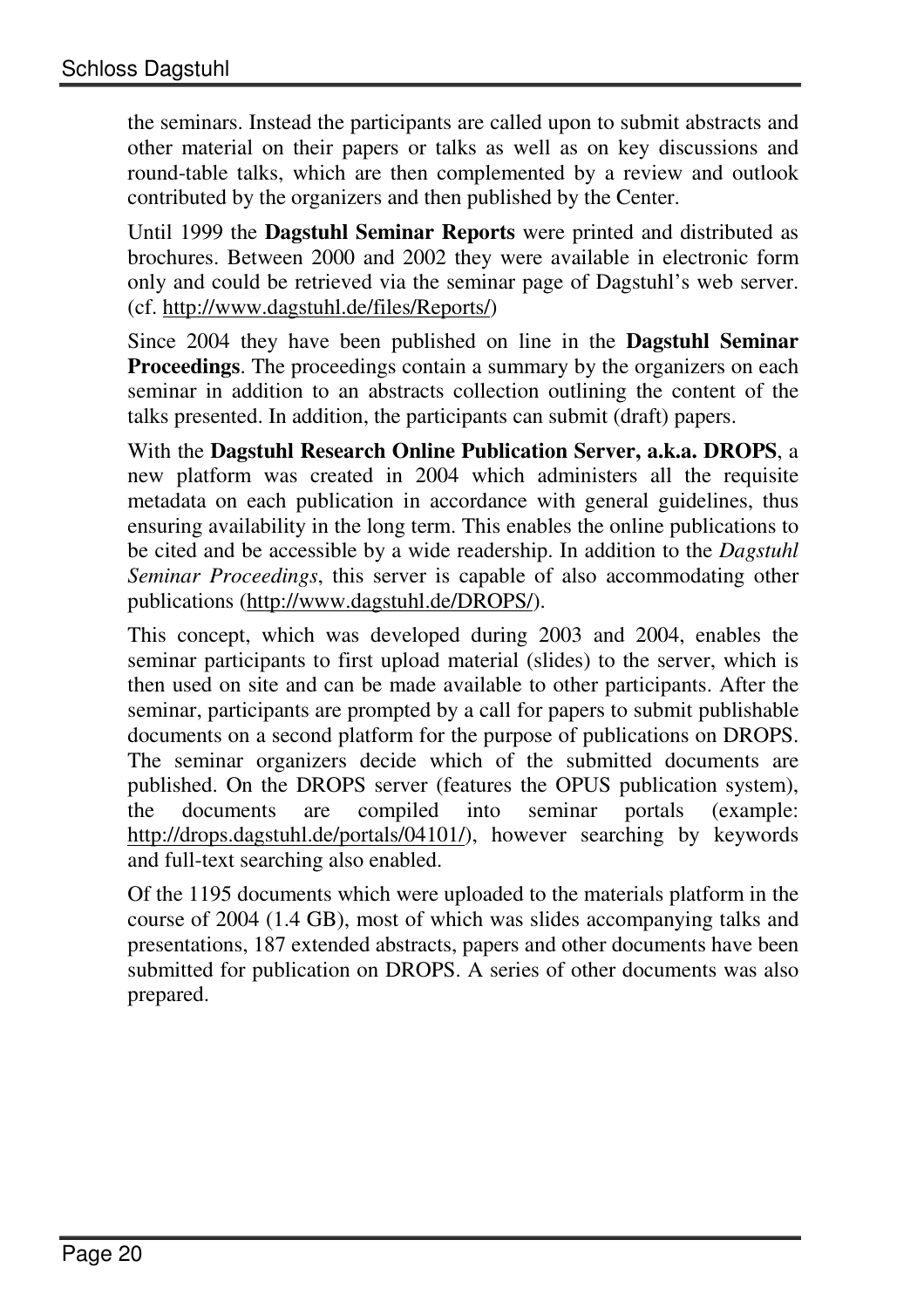the seminars. Instead the participants are called upon to submit abstracts and other material on their papers or talks as well as on key discussions and round-table talks, which are then complemented by a review and outlook contributed by the organizers and then published by the Center.

Until 1999 the **Dagstuhl Seminar Reports** were printed and distributed as brochures. Between 2000 and 2002 they were available in electronic form only and could be retrieved via the seminar page of Dagstuhl's web server. (cf. http://www.dagstuhl.de/files/Reports/)

Since 2004 they have been published on line in the **Dagstuhl Seminar Proceedings**. The proceedings contain a summary by the organizers on each seminar in addition to an abstracts collection outlining the content of the talks presented. In addition, the participants can submit (draft) papers.

With the **Dagstuhl Research Online Publication Server, a.k.a. DROPS**, a new platform was created in 2004 which administers all the requisite metadata on each publication in accordance with general guidelines, thus ensuring availability in the long term. This enables the online publications to be cited and be accessible by a wide readership. In addition to the *Dagstuhl Seminar Proceedings*, this server is capable of also accommodating other publications (http://www.dagstuhl.de/DROPS/).

This concept, which was developed during 2003 and 2004, enables the seminar participants to first upload material (slides) to the server, which is then used on site and can be made available to other participants. After the seminar, participants are prompted by a call for papers to submit publishable documents on a second platform for the purpose of publications on DROPS. The seminar organizers decide which of the submitted documents are published. On the DROPS server (features the OPUS publication system), the documents are compiled into seminar portals (example: http://drops.dagstuhl.de/portals/04101/), however searching by keywords and full-text searching also enabled.

Of the 1195 documents which were uploaded to the materials platform in the course of 2004 (1.4 GB), most of which was slides accompanying talks and presentations, 187 extended abstracts, papers and other documents have been submitted for publication on DROPS. A series of other documents was also prepared.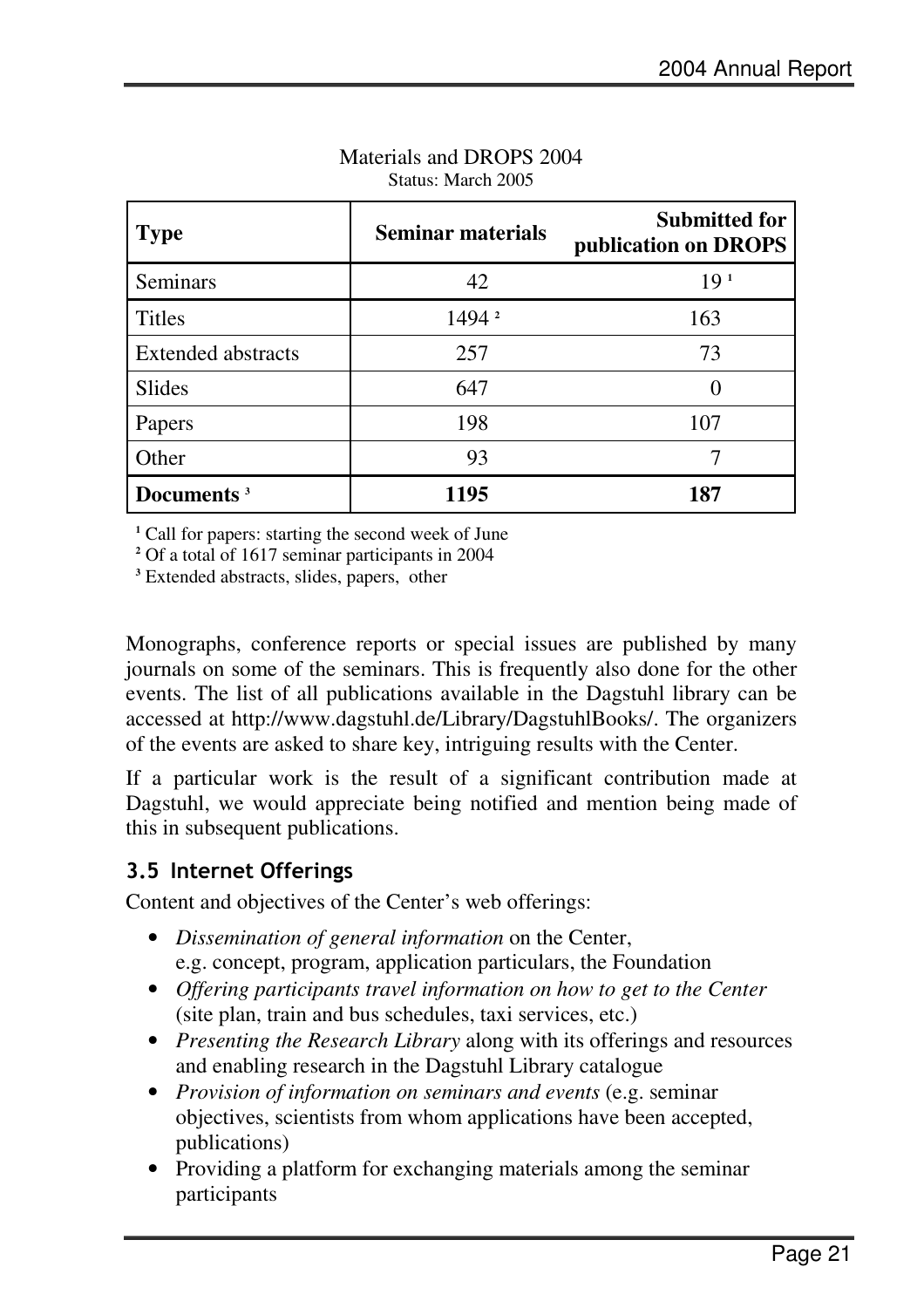| <b>Type</b>               | <b>Seminar materials</b> | <b>Submitted for</b><br>publication on DROPS |  |  |
|---------------------------|--------------------------|----------------------------------------------|--|--|
| <b>Seminars</b>           | 42                       | 19 <sup>1</sup>                              |  |  |
| <b>Titles</b>             | 1494 <sup>2</sup>        | 163                                          |  |  |
| <b>Extended abstracts</b> | 257                      | 73                                           |  |  |
| <b>Slides</b>             | 647                      | $\theta$                                     |  |  |
| Papers                    | 198                      | 107                                          |  |  |
| Other                     | 93                       |                                              |  |  |
| Documents <sup>3</sup>    | 1195                     | 187                                          |  |  |

#### Materials and DROPS 2004 Status: March 2005

<sup>1</sup> Call for papers: starting the second week of June

**2** Of a total of 1617 seminar participants in 2004

**3** Extended abstracts, slides, papers, other

Monographs, conference reports or special issues are published by many journals on some of the seminars. This is frequently also done for the other events. The list of all publications available in the Dagstuhl library can be accessed at http://www.dagstuhl.de/Library/DagstuhlBooks/. The organizers of the events are asked to share key, intriguing results with the Center.

If a particular work is the result of a significant contribution made at Dagstuhl, we would appreciate being notified and mention being made of this in subsequent publications.

## 3.5 Internet Offerings

Content and objectives of the Center's web offerings:

- *Dissemination of general information* on the Center, e.g. concept, program, application particulars, the Foundation
- *Offering participants travel information on how to get to the Center* (site plan, train and bus schedules, taxi services, etc.)
- *Presenting the Research Library* along with its offerings and resources and enabling research in the Dagstuhl Library catalogue
- *Provision of information on seminars and events* (e.g. seminar objectives, scientists from whom applications have been accepted, publications)
- Providing a platform for exchanging materials among the seminar participants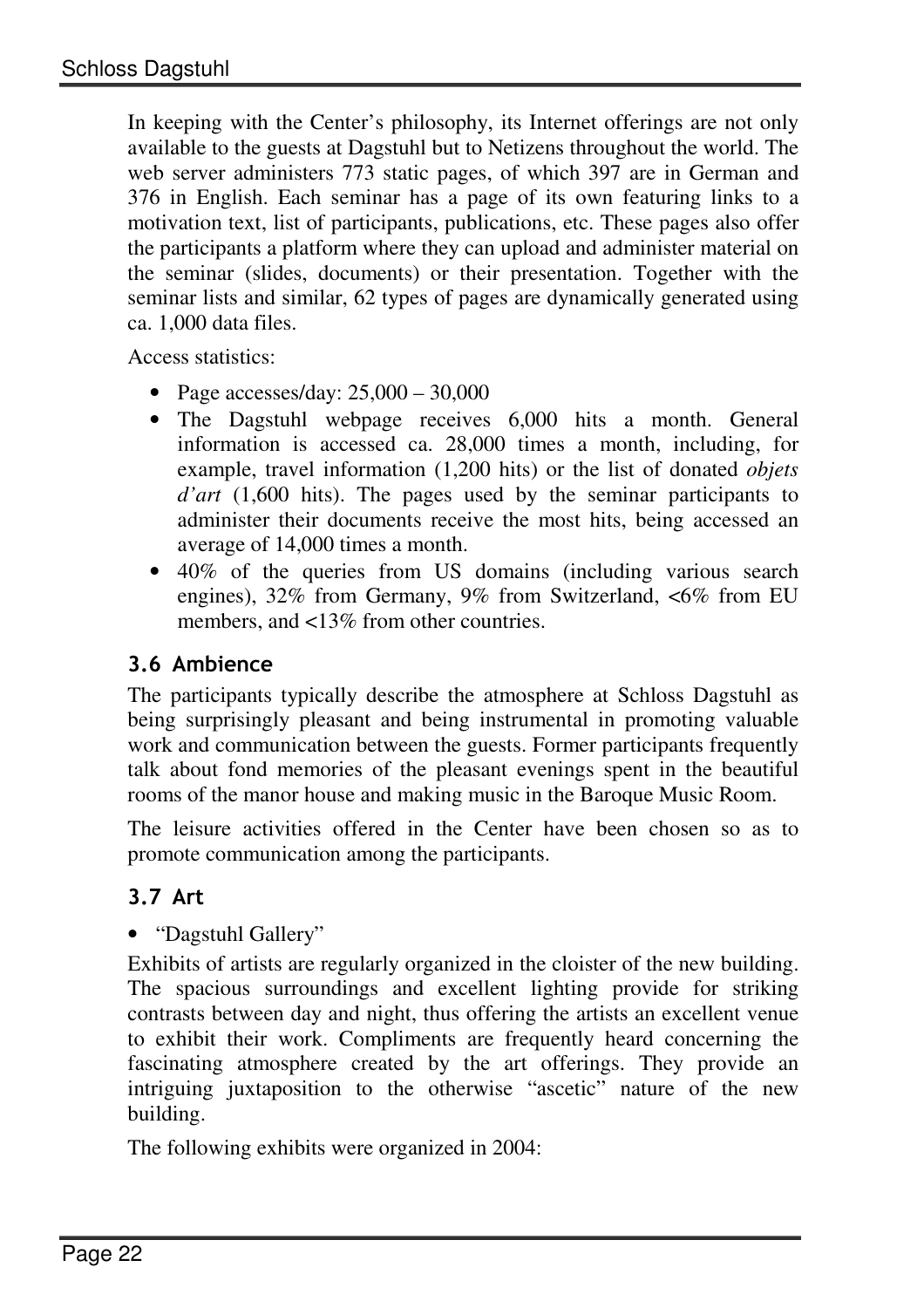In keeping with the Center's philosophy, its Internet offerings are not only available to the guests at Dagstuhl but to Netizens throughout the world. The web server administers 773 static pages, of which 397 are in German and 376 in English. Each seminar has a page of its own featuring links to a motivation text, list of participants, publications, etc. These pages also offer the participants a platform where they can upload and administer material on the seminar (slides, documents) or their presentation. Together with the seminar lists and similar, 62 types of pages are dynamically generated using ca. 1,000 data files.

Access statistics:

- Page accesses/day:  $25,000 30,000$
- The Dagstuhl webpage receives 6,000 hits a month. General information is accessed ca. 28,000 times a month, including, for example, travel information (1,200 hits) or the list of donated *objets d'art* (1,600 hits). The pages used by the seminar participants to administer their documents receive the most hits, being accessed an average of 14,000 times a month.
- 40% of the queries from US domains (including various search engines), 32% from Germany, 9% from Switzerland, <6% from EU members, and <13% from other countries.

## 3.6 Ambience

The participants typically describe the atmosphere at Schloss Dagstuhl as being surprisingly pleasant and being instrumental in promoting valuable work and communication between the guests. Former participants frequently talk about fond memories of the pleasant evenings spent in the beautiful rooms of the manor house and making music in the Baroque Music Room.

The leisure activities offered in the Center have been chosen so as to promote communication among the participants.

## 3.7 Art

• "Dagstuhl Gallery"

Exhibits of artists are regularly organized in the cloister of the new building. The spacious surroundings and excellent lighting provide for striking contrasts between day and night, thus offering the artists an excellent venue to exhibit their work. Compliments are frequently heard concerning the fascinating atmosphere created by the art offerings. They provide an intriguing juxtaposition to the otherwise "ascetic" nature of the new building.

The following exhibits were organized in 2004: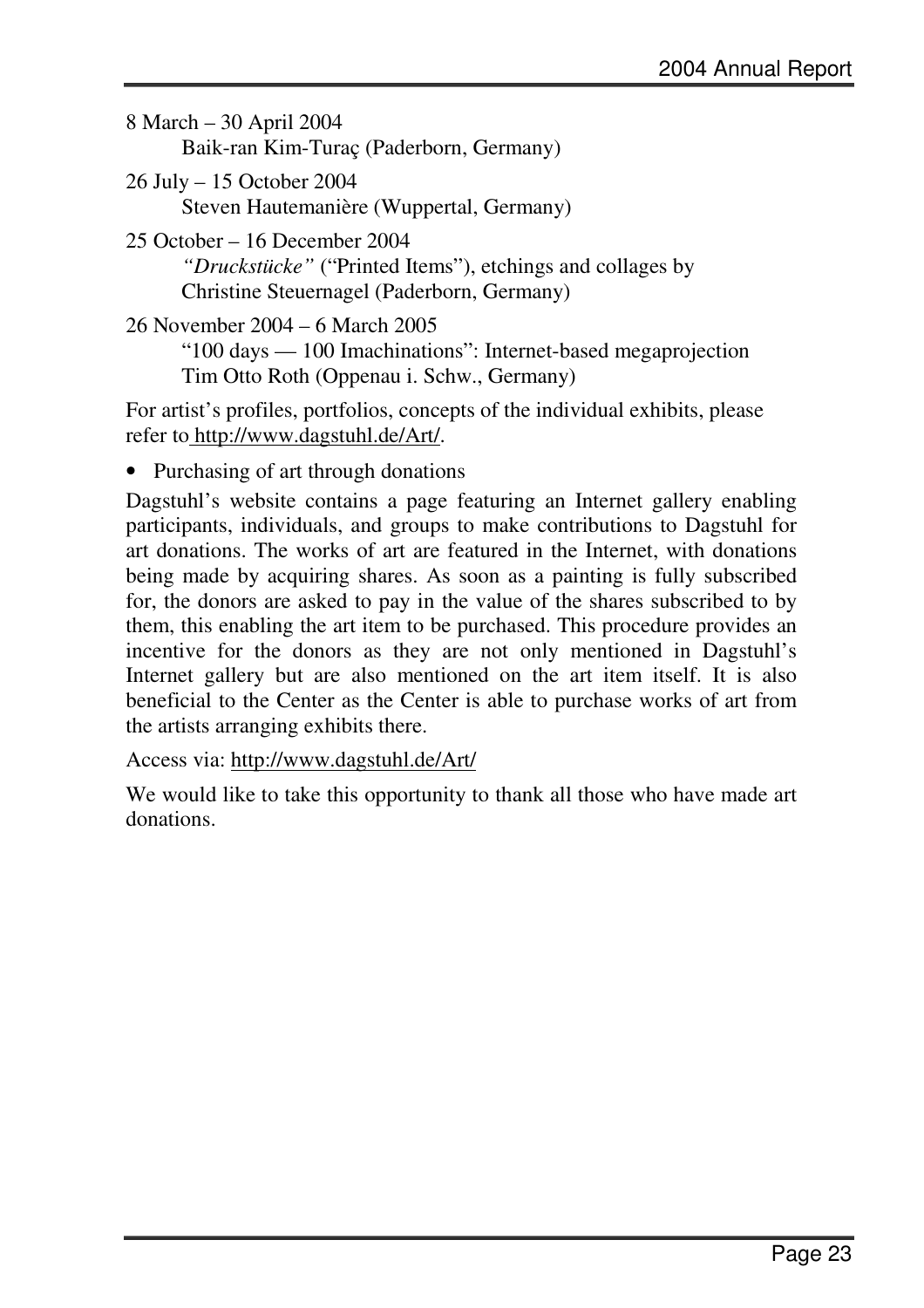```
8 March – 30 April 2004 
Baik-ran Kim-Turaç (Paderborn, Germany)
```
- 26 July 15 October 2004 Steven Hautemanière (Wuppertal, Germany)
- 25 October 16 December 2004 *"Druckstücke"* ("Printed Items"), etchings and collages by Christine Steuernagel (Paderborn, Germany)
- 26 November 2004 6 March 2005

 "100 days — 100 Imachinations": Internet-based megaprojection Tim Otto Roth (Oppenau i. Schw., Germany)

For artist's profiles, portfolios, concepts of the individual exhibits, please refer to http://www.dagstuhl.de/Art/.

• Purchasing of art through donations

Dagstuhl's website contains a page featuring an Internet gallery enabling participants, individuals, and groups to make contributions to Dagstuhl for art donations. The works of art are featured in the Internet, with donations being made by acquiring shares. As soon as a painting is fully subscribed for, the donors are asked to pay in the value of the shares subscribed to by them, this enabling the art item to be purchased. This procedure provides an incentive for the donors as they are not only mentioned in Dagstuhl's Internet gallery but are also mentioned on the art item itself. It is also beneficial to the Center as the Center is able to purchase works of art from the artists arranging exhibits there.

Access via: http://www.dagstuhl.de/Art/

We would like to take this opportunity to thank all those who have made art donations.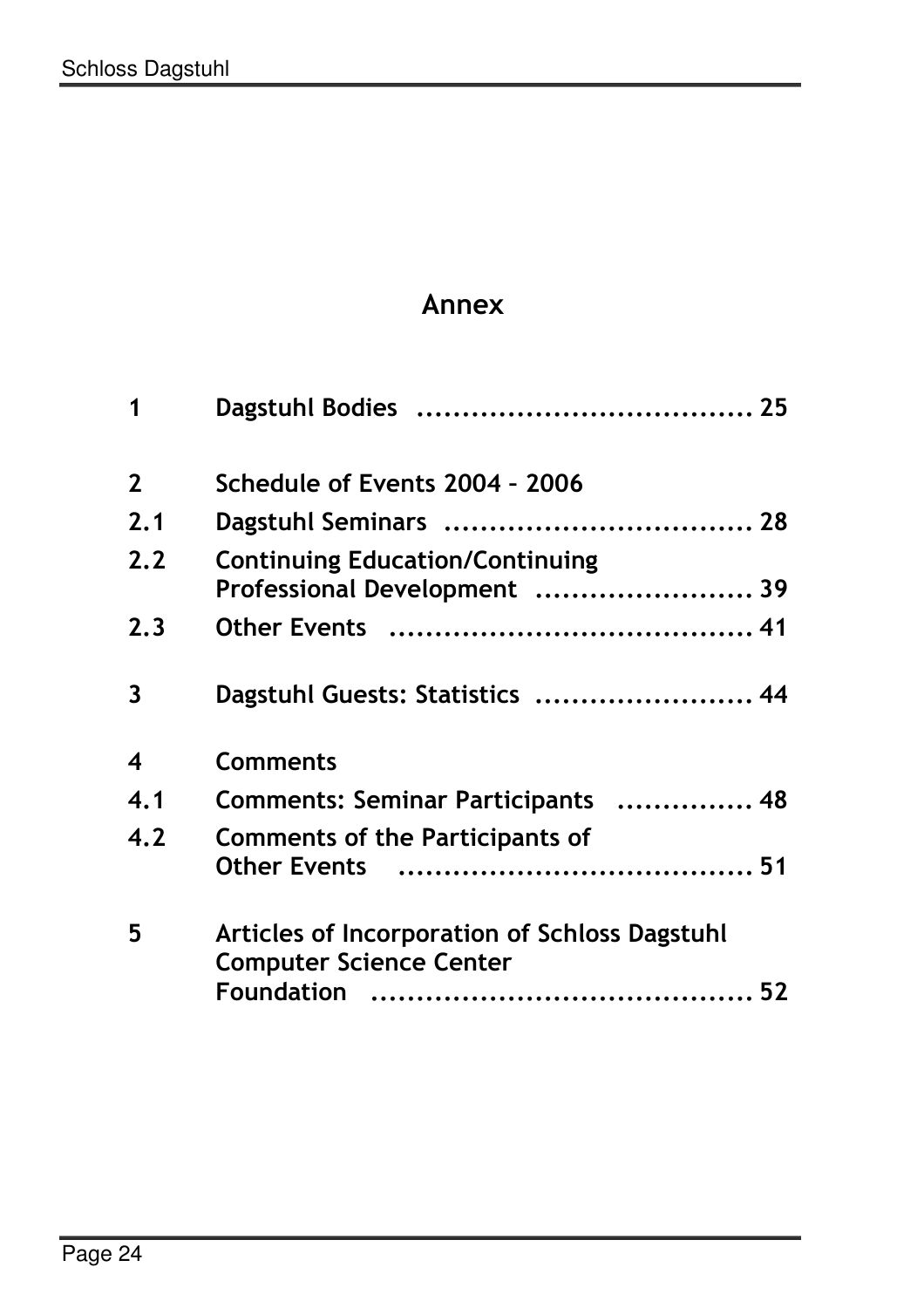## Annex

| 1                       |                                                                                 |
|-------------------------|---------------------------------------------------------------------------------|
| $\overline{2}$          | Schedule of Events 2004 - 2006                                                  |
| 2.1                     |                                                                                 |
| 2.2                     | <b>Continuing Education/Continuing</b><br>Professional Development  39          |
| 2.3                     |                                                                                 |
| $\overline{\mathbf{3}}$ | Dagstuhl Guests: Statistics  44                                                 |
| $\boldsymbol{4}$        | <b>Comments</b>                                                                 |
| 4.1                     | Comments: Seminar Participants  48                                              |
| 4.2                     | <b>Comments of the Participants of</b>                                          |
| 5                       | Articles of Incorporation of Schloss Dagstuhl<br><b>Computer Science Center</b> |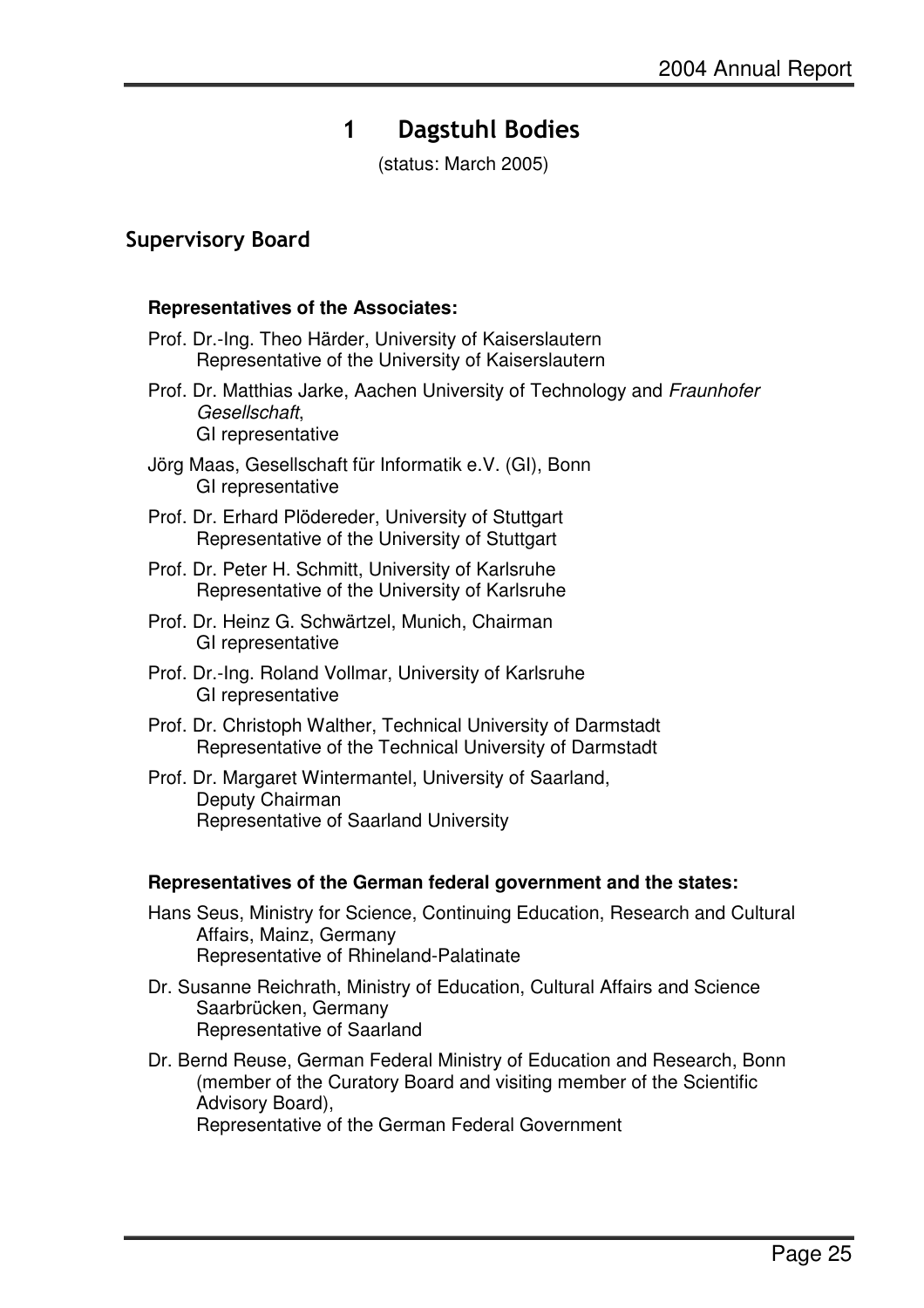## 1 Dagstuhl Bodies

(status: March 2005)

### Supervisory Board

#### **Representatives of the Associates:**

- Prof. Dr.-Ing. Theo Härder, University of Kaiserslautern Representative of the University of Kaiserslautern
- Prof. Dr. Matthias Jarke, Aachen University of Technology and Fraunhofer Gesellschaft, GI representative
- Jörg Maas, Gesellschaft für Informatik e.V. (GI), Bonn GI representative
- Prof. Dr. Erhard Plödereder, University of Stuttgart Representative of the University of Stuttgart
- Prof. Dr. Peter H. Schmitt, University of Karlsruhe Representative of the University of Karlsruhe
- Prof. Dr. Heinz G. Schwärtzel, Munich, Chairman GI representative
- Prof. Dr.-Ing. Roland Vollmar, University of Karlsruhe GI representative
- Prof. Dr. Christoph Walther, Technical University of Darmstadt Representative of the Technical University of Darmstadt
- Prof. Dr. Margaret Wintermantel, University of Saarland, Deputy Chairman Representative of Saarland University

#### **Representatives of the German federal government and the states:**

- Hans Seus, Ministry for Science, Continuing Education, Research and Cultural Affairs, Mainz, Germany Representative of Rhineland-Palatinate
- Dr. Susanne Reichrath, Ministry of Education, Cultural Affairs and Science Saarbrücken, Germany Representative of Saarland
- Dr. Bernd Reuse, German Federal Ministry of Education and Research, Bonn (member of the Curatory Board and visiting member of the Scientific Advisory Board),

Representative of the German Federal Government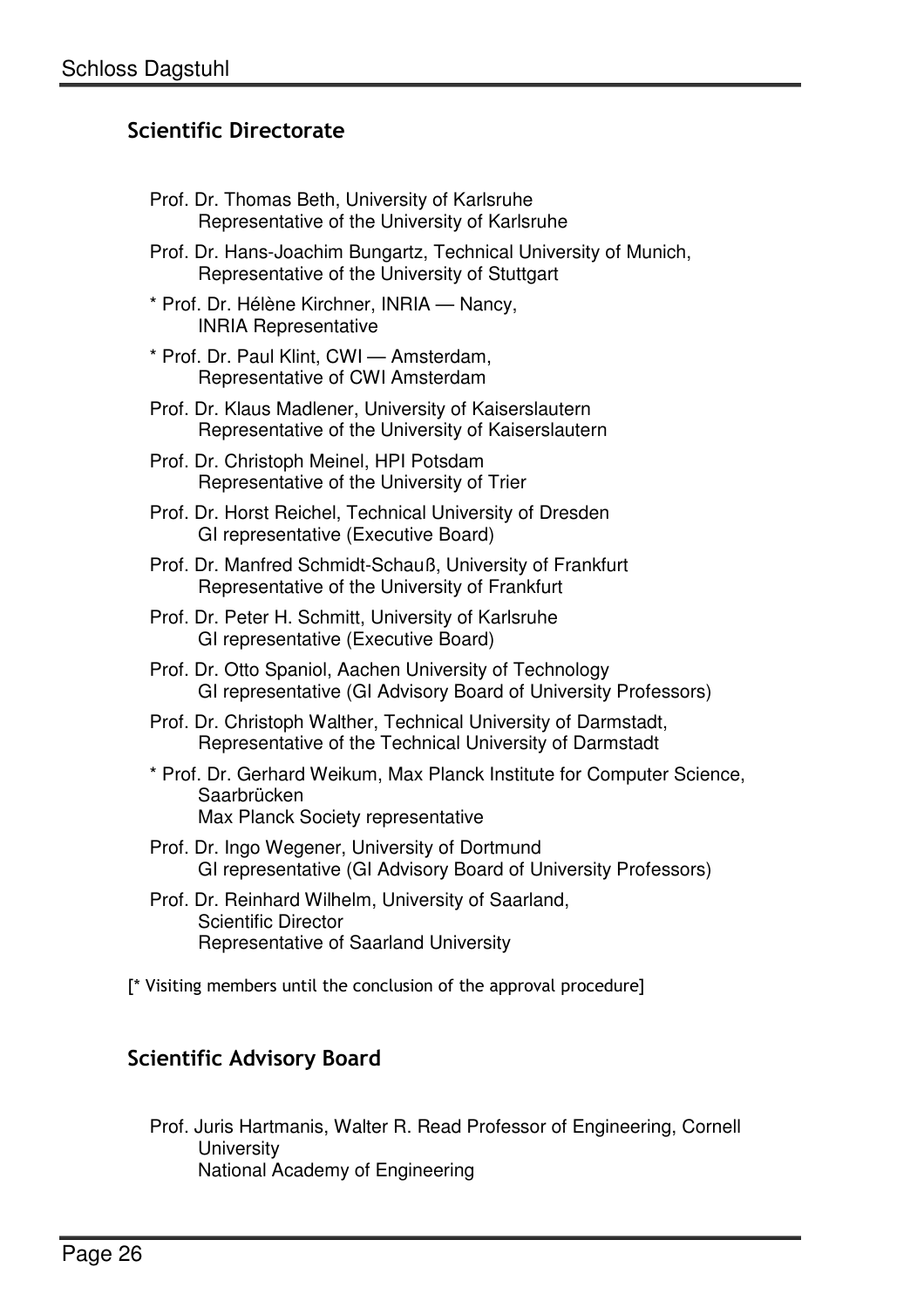## Scientific Directorate

- Prof. Dr. Thomas Beth, University of Karlsruhe Representative of the University of Karlsruhe
- Prof. Dr. Hans-Joachim Bungartz, Technical University of Munich, Representative of the University of Stuttgart
- \* Prof. Dr. Hélène Kirchner, INRIA Nancy, INRIA Representative
- \* Prof. Dr. Paul Klint, CWI Amsterdam, Representative of CWI Amsterdam
- Prof. Dr. Klaus Madlener, University of Kaiserslautern Representative of the University of Kaiserslautern
- Prof. Dr. Christoph Meinel, HPI Potsdam Representative of the University of Trier
- Prof. Dr. Horst Reichel, Technical University of Dresden GI representative (Executive Board)
- Prof. Dr. Manfred Schmidt-Schauß, University of Frankfurt Representative of the University of Frankfurt
- Prof. Dr. Peter H. Schmitt, University of Karlsruhe GI representative (Executive Board)
- Prof. Dr. Otto Spaniol, Aachen University of Technology GI representative (GI Advisory Board of University Professors)
- Prof. Dr. Christoph Walther, Technical University of Darmstadt, Representative of the Technical University of Darmstadt
- \* Prof. Dr. Gerhard Weikum, Max Planck Institute for Computer Science, Saarbrücken Max Planck Society representative
- Prof. Dr. Ingo Wegener, University of Dortmund GI representative (GI Advisory Board of University Professors)
- Prof. Dr. Reinhard Wilhelm, University of Saarland, Scientific Director Representative of Saarland University
- [\* Visiting members until the conclusion of the approval procedure]

## Scientific Advisory Board

Prof. Juris Hartmanis, Walter R. Read Professor of Engineering, Cornell **University** National Academy of Engineering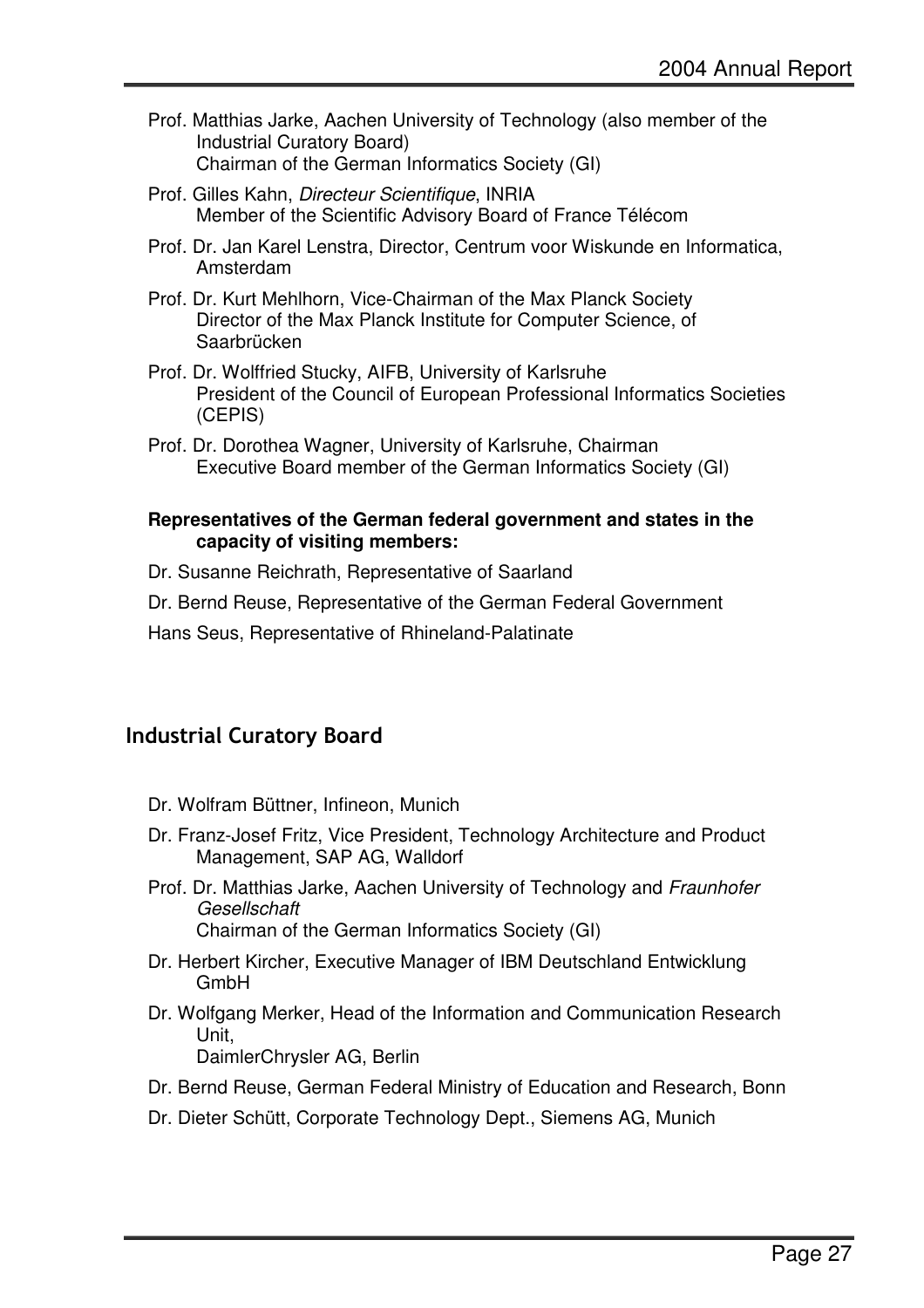- Prof. Matthias Jarke, Aachen University of Technology (also member of the Industrial Curatory Board) Chairman of the German Informatics Society (GI)
- Prof. Gilles Kahn, Directeur Scientifique, INRIA Member of the Scientific Advisory Board of France Télécom
- Prof. Dr. Jan Karel Lenstra, Director, Centrum voor Wiskunde en Informatica, Amsterdam
- Prof. Dr. Kurt Mehlhorn, Vice-Chairman of the Max Planck Society Director of the Max Planck Institute for Computer Science, of Saarbrücken
- Prof. Dr. Wolffried Stucky, AIFB, University of Karlsruhe President of the Council of European Professional Informatics Societies (CEPIS)
- Prof. Dr. Dorothea Wagner, University of Karlsruhe, Chairman Executive Board member of the German Informatics Society (GI)

#### **Representatives of the German federal government and states in the capacity of visiting members:**

- Dr. Susanne Reichrath, Representative of Saarland
- Dr. Bernd Reuse, Representative of the German Federal Government
- Hans Seus, Representative of Rhineland-Palatinate

## Industrial Curatory Board

- Dr. Wolfram Büttner, Infineon, Munich
- Dr. Franz-Josef Fritz, Vice President, Technology Architecture and Product Management, SAP AG, Walldorf
- Prof. Dr. Matthias Jarke, Aachen University of Technology and Fraunhofer **Gesellschaft** Chairman of the German Informatics Society (GI)
- Dr. Herbert Kircher, Executive Manager of IBM Deutschland Entwicklung GmbH
- Dr. Wolfgang Merker, Head of the Information and Communication Research Unit, DaimlerChrysler AG, Berlin

Dr. Bernd Reuse, German Federal Ministry of Education and Research, Bonn

Dr. Dieter Schütt, Corporate Technology Dept., Siemens AG, Munich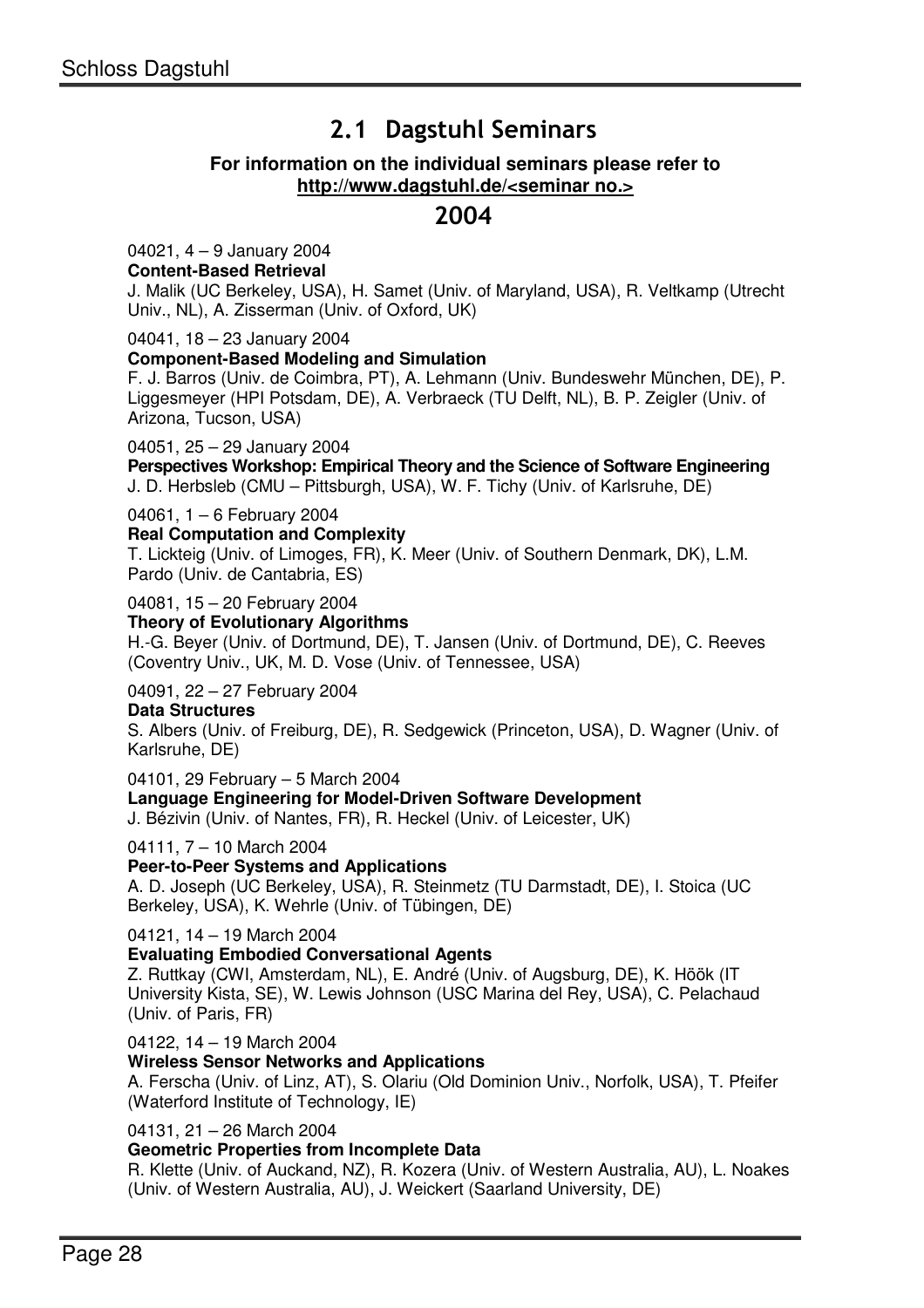## 2.1 Dagstuhl Seminars

#### **For information on the individual seminars please refer to http://www.dagstuhl.de/<seminar no.>**

## 2004

04021, 4 – 9 January 2004

#### **Content-Based Retrieval**

J. Malik (UC Berkeley, USA), H. Samet (Univ. of Maryland, USA), R. Veltkamp (Utrecht Univ., NL), A. Zisserman (Univ. of Oxford, UK)

04041, 18 – 23 January 2004

#### **Component-Based Modeling and Simulation**

F. J. Barros (Univ. de Coimbra, PT), A. Lehmann (Univ. Bundeswehr München, DE), P. Liggesmeyer (HPI Potsdam, DE), A. Verbraeck (TU Delft, NL), B. P. Zeigler (Univ. of Arizona, Tucson, USA)

04051, 25 – 29 January 2004

**Perspectives Workshop: Empirical Theory and the Science of Software Engineering**  J. D. Herbsleb (CMU – Pittsburgh, USA), W. F. Tichy (Univ. of Karlsruhe, DE)

04061, 1 – 6 February 2004

**Real Computation and Complexity** 

T. Lickteig (Univ. of Limoges, FR), K. Meer (Univ. of Southern Denmark, DK), L.M. Pardo (Univ. de Cantabria, ES)

04081, 15 – 20 February 2004

**Theory of Evolutionary Algorithms** 

H.-G. Beyer (Univ. of Dortmund, DE), T. Jansen (Univ. of Dortmund, DE), C. Reeves (Coventry Univ., UK, M. D. Vose (Univ. of Tennessee, USA)

04091, 22 – 27 February 2004

**Data Structures** 

S. Albers (Univ. of Freiburg, DE), R. Sedgewick (Princeton, USA), D. Wagner (Univ. of Karlsruhe, DE)

04101, 29 February – 5 March 2004

**Language Engineering for Model-Driven Software Development** 

J. Bézivin (Univ. of Nantes, FR), R. Heckel (Univ. of Leicester, UK)

04111, 7 – 10 March 2004

**Peer-to-Peer Systems and Applications** 

A. D. Joseph (UC Berkeley, USA), R. Steinmetz (TU Darmstadt, DE), I. Stoica (UC Berkeley, USA), K. Wehrle (Univ. of Tübingen, DE)

04121, 14 – 19 March 2004

#### **Evaluating Embodied Conversational Agents**

Z. Ruttkay (CWI, Amsterdam, NL), E. André (Univ. of Augsburg, DE), K. Höök (IT University Kista, SE), W. Lewis Johnson (USC Marina del Rey, USA), C. Pelachaud (Univ. of Paris, FR)

04122, 14 – 19 March 2004

**Wireless Sensor Networks and Applications** 

A. Ferscha (Univ. of Linz, AT), S. Olariu (Old Dominion Univ., Norfolk, USA), T. Pfeifer (Waterford Institute of Technology, IE)

04131, 21 – 26 March 2004

**Geometric Properties from Incomplete Data** 

R. Klette (Univ. of Auckand, NZ), R. Kozera (Univ. of Western Australia, AU), L. Noakes (Univ. of Western Australia, AU), J. Weickert (Saarland University, DE)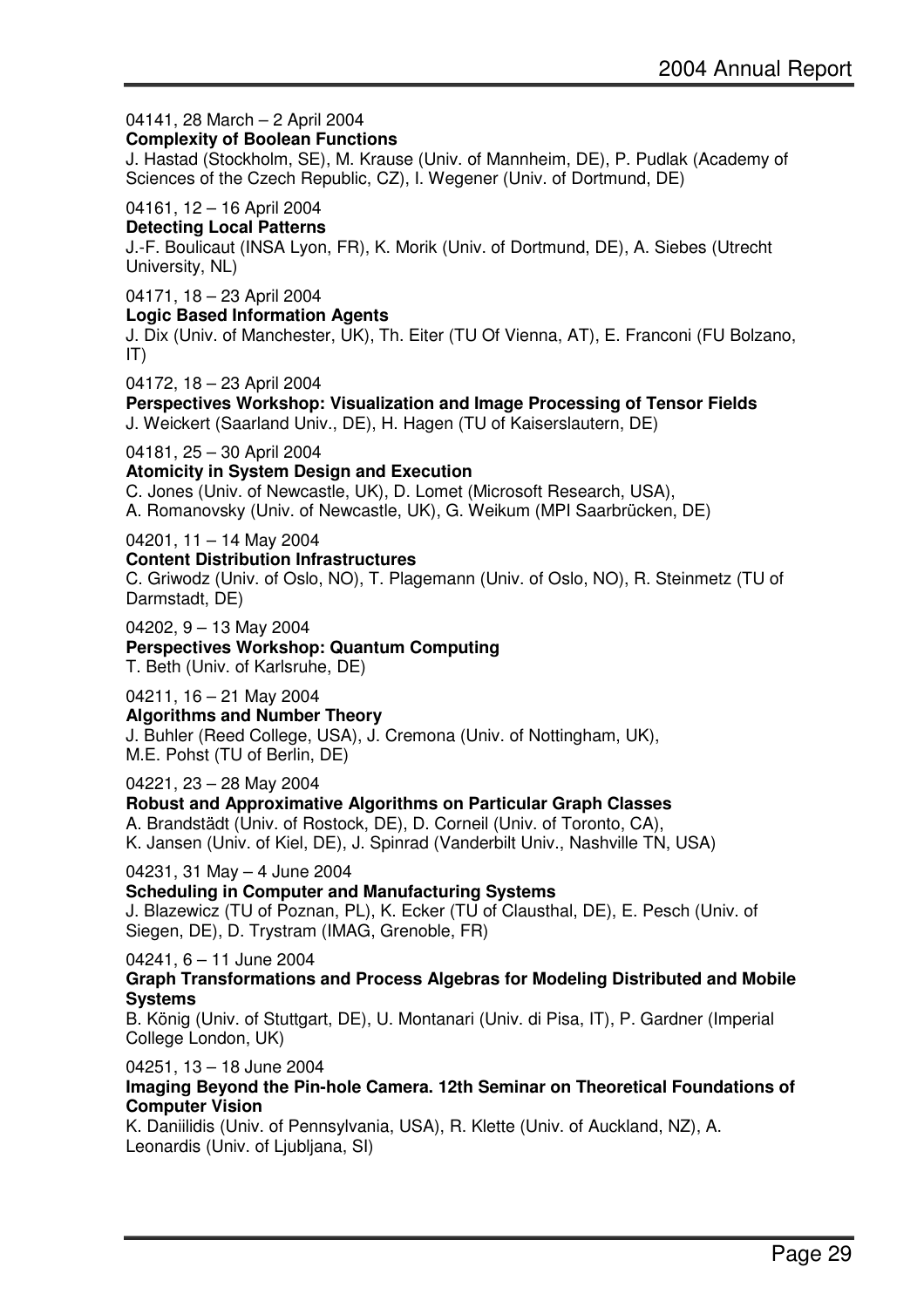### 04141, 28 March – 2 April 2004

**Complexity of Boolean Functions** 

J. Hastad (Stockholm, SE), M. Krause (Univ. of Mannheim, DE), P. Pudlak (Academy of Sciences of the Czech Republic, CZ), I. Wegener (Univ. of Dortmund, DE)

#### 04161, 12 – 16 April 2004 **Detecting Local Patterns**

J.-F. Boulicaut (INSA Lyon, FR), K. Morik (Univ. of Dortmund, DE), A. Siebes (Utrecht University, NL)

04171, 18 – 23 April 2004

#### **Logic Based Information Agents**

J. Dix (Univ. of Manchester, UK), Th. Eiter (TU Of Vienna, AT), E. Franconi (FU Bolzano, IT)

04172, 18 – 23 April 2004 **Perspectives Workshop: Visualization and Image Processing of Tensor Fields**  J. Weickert (Saarland Univ., DE), H. Hagen (TU of Kaiserslautern, DE)

04181, 25 – 30 April 2004

#### **Atomicity in System Design and Execution**

C. Jones (Univ. of Newcastle, UK), D. Lomet (Microsoft Research, USA), A. Romanovsky (Univ. of Newcastle, UK), G. Weikum (MPI Saarbrücken, DE)

04201, 11 – 14 May 2004

**Content Distribution Infrastructures** 

C. Griwodz (Univ. of Oslo, NO), T. Plagemann (Univ. of Oslo, NO), R. Steinmetz (TU of Darmstadt, DE)

04202, 9 – 13 May 2004

**Perspectives Workshop: Quantum Computing** 

T. Beth (Univ. of Karlsruhe, DE)

04211, 16 – 21 May 2004

**Algorithms and Number Theory** 

J. Buhler (Reed College, USA), J. Cremona (Univ. of Nottingham, UK), M.E. Pohst (TU of Berlin, DE)

04221, 23 – 28 May 2004

#### **Robust and Approximative Algorithms on Particular Graph Classes**

A. Brandstädt (Univ. of Rostock, DE), D. Corneil (Univ. of Toronto, CA), K. Jansen (Univ. of Kiel, DE), J. Spinrad (Vanderbilt Univ., Nashville TN, USA)

04231, 31 May – 4 June 2004

**Scheduling in Computer and Manufacturing Systems** 

J. Blazewicz (TU of Poznan, PL), K. Ecker (TU of Clausthal, DE), E. Pesch (Univ. of Siegen, DE), D. Trystram (IMAG, Grenoble, FR)

04241, 6 – 11 June 2004

#### **Graph Transformations and Process Algebras for Modeling Distributed and Mobile Systems**

B. König (Univ. of Stuttgart, DE), U. Montanari (Univ. di Pisa, IT), P. Gardner (Imperial College London, UK)

04251, 13 – 18 June 2004

**Imaging Beyond the Pin-hole Camera. 12th Seminar on Theoretical Foundations of Computer Vision** 

K. Daniilidis (Univ. of Pennsylvania, USA), R. Klette (Univ. of Auckland, NZ), A. Leonardis (Univ. of Ljubljana, SI)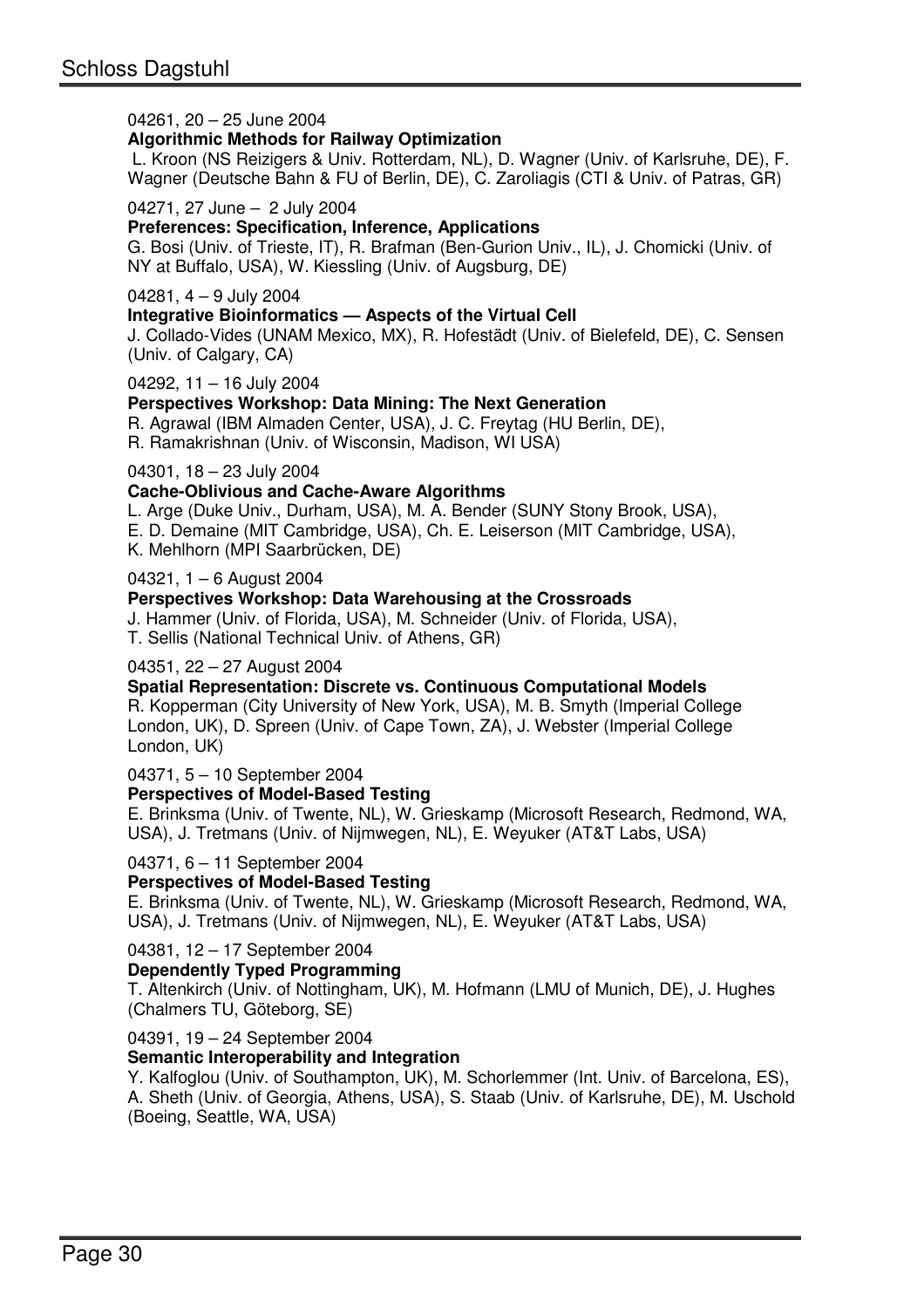#### 04261, 20 – 25 June 2004

#### **Algorithmic Methods for Railway Optimization**

 L. Kroon (NS Reizigers & Univ. Rotterdam, NL), D. Wagner (Univ. of Karlsruhe, DE), F. Wagner (Deutsche Bahn & FU of Berlin, DE), C. Zaroliagis (CTI & Univ. of Patras, GR)

#### 04271, 27 June – 2 July 2004

#### **Preferences: Specification, Inference, Applications**

G. Bosi (Univ. of Trieste, IT), R. Brafman (Ben-Gurion Univ., IL), J. Chomicki (Univ. of NY at Buffalo, USA), W. Kiessling (Univ. of Augsburg, DE)

#### 04281, 4 – 9 July 2004

**Integrative Bioinformatics — Aspects of the Virtual Cell** 

J. Collado-Vides (UNAM Mexico, MX), R. Hofestädt (Univ. of Bielefeld, DE), C. Sensen (Univ. of Calgary, CA)

04292, 11 – 16 July 2004

#### **Perspectives Workshop: Data Mining: The Next Generation**

R. Agrawal (IBM Almaden Center, USA), J. C. Freytag (HU Berlin, DE), R. Ramakrishnan (Univ. of Wisconsin, Madison, WI USA)

04301, 18 – 23 July 2004

#### **Cache-Oblivious and Cache-Aware Algorithms**

L. Arge (Duke Univ., Durham, USA), M. A. Bender (SUNY Stony Brook, USA), E. D. Demaine (MIT Cambridge, USA), Ch. E. Leiserson (MIT Cambridge, USA), K. Mehlhorn (MPI Saarbrücken, DE)

04321, 1 – 6 August 2004

#### **Perspectives Workshop: Data Warehousing at the Crossroads**

J. Hammer (Univ. of Florida, USA), M. Schneider (Univ. of Florida, USA),

T. Sellis (National Technical Univ. of Athens, GR)

#### 04351, 22 – 27 August 2004

**Spatial Representation: Discrete vs. Continuous Computational Models** 

R. Kopperman (City University of New York, USA), M. B. Smyth (Imperial College London, UK), D. Spreen (Univ. of Cape Town, ZA), J. Webster (Imperial College London, UK)

04371, 5 – 10 September 2004

#### **Perspectives of Model-Based Testing**

E. Brinksma (Univ. of Twente, NL), W. Grieskamp (Microsoft Research, Redmond, WA, USA), J. Tretmans (Univ. of Nijmwegen, NL), E. Weyuker (AT&T Labs, USA)

#### 04371, 6 – 11 September 2004

#### **Perspectives of Model-Based Testing**

E. Brinksma (Univ. of Twente, NL), W. Grieskamp (Microsoft Research, Redmond, WA, USA), J. Tretmans (Univ. of Nijmwegen, NL), E. Weyuker (AT&T Labs, USA)

04381, 12 – 17 September 2004

#### **Dependently Typed Programming**

T. Altenkirch (Univ. of Nottingham, UK), M. Hofmann (LMU of Munich, DE), J. Hughes (Chalmers TU, Göteborg, SE)

04391, 19 – 24 September 2004

#### **Semantic Interoperability and Integration**

Y. Kalfoglou (Univ. of Southampton, UK), M. Schorlemmer (Int. Univ. of Barcelona, ES), A. Sheth (Univ. of Georgia, Athens, USA), S. Staab (Univ. of Karlsruhe, DE), M. Uschold (Boeing, Seattle, WA, USA)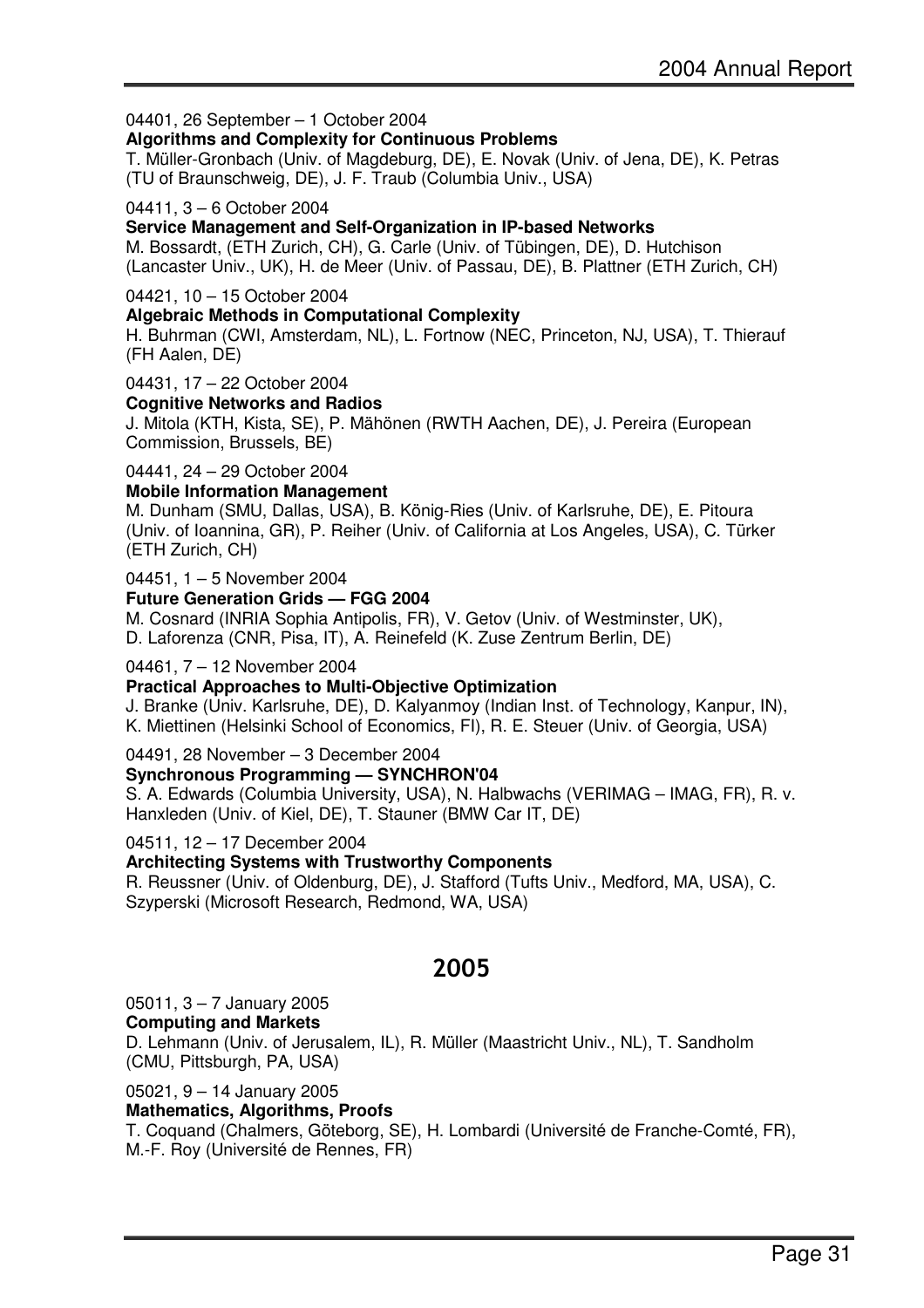#### 04401, 26 September – 1 October 2004

#### **Algorithms and Complexity for Continuous Problems**

T. Müller-Gronbach (Univ. of Magdeburg, DE), E. Novak (Univ. of Jena, DE), K. Petras (TU of Braunschweig, DE), J. F. Traub (Columbia Univ., USA)

#### 04411, 3 – 6 October 2004

#### **Service Management and Self-Organization in IP-based Networks**

M. Bossardt, (ETH Zurich, CH), G. Carle (Univ. of Tübingen, DE), D. Hutchison (Lancaster Univ., UK), H. de Meer (Univ. of Passau, DE), B. Plattner (ETH Zurich, CH)

#### 04421, 10 – 15 October 2004

#### **Algebraic Methods in Computational Complexity**

H. Buhrman (CWI, Amsterdam, NL), L. Fortnow (NEC, Princeton, NJ, USA), T. Thierauf (FH Aalen, DE)

04431, 17 – 22 October 2004

**Cognitive Networks and Radios** 

J. Mitola (KTH, Kista, SE), P. Mähönen (RWTH Aachen, DE), J. Pereira (European Commission, Brussels, BE)

#### 04441, 24 – 29 October 2004

#### **Mobile Information Management**

M. Dunham (SMU, Dallas, USA), B. König-Ries (Univ. of Karlsruhe, DE), E. Pitoura (Univ. of Ioannina, GR), P. Reiher (Univ. of California at Los Angeles, USA), C. Türker (ETH Zurich, CH)

04451, 1 – 5 November 2004

#### **Future Generation Grids — FGG 2004**

M. Cosnard (INRIA Sophia Antipolis, FR), V. Getov (Univ. of Westminster, UK), D. Laforenza (CNR, Pisa, IT), A. Reinefeld (K. Zuse Zentrum Berlin, DE)

#### 04461, 7 – 12 November 2004

#### **Practical Approaches to Multi-Objective Optimization**

J. Branke (Univ. Karlsruhe, DE), D. Kalyanmoy (Indian Inst. of Technology, Kanpur, IN), K. Miettinen (Helsinki School of Economics, FI), R. E. Steuer (Univ. of Georgia, USA)

#### 04491, 28 November – 3 December 2004

#### **Synchronous Programming — SYNCHRON'04**

S. A. Edwards (Columbia University, USA), N. Halbwachs (VERIMAG – IMAG, FR), R. v. Hanxleden (Univ. of Kiel, DE), T. Stauner (BMW Car IT, DE)

04511, 12 – 17 December 2004

#### **Architecting Systems with Trustworthy Components**

R. Reussner (Univ. of Oldenburg, DE), J. Stafford (Tufts Univ., Medford, MA, USA), C. Szyperski (Microsoft Research, Redmond, WA, USA)

## 2005

#### 05011, 3 – 7 January 2005

#### **Computing and Markets**

D. Lehmann (Univ. of Jerusalem, IL), R. Müller (Maastricht Univ., NL), T. Sandholm (CMU, Pittsburgh, PA, USA)

#### 05021, 9 – 14 January 2005

#### **Mathematics, Algorithms, Proofs**

T. Coquand (Chalmers, Göteborg, SE), H. Lombardi (Université de Franche-Comté, FR), M.-F. Roy (Université de Rennes, FR)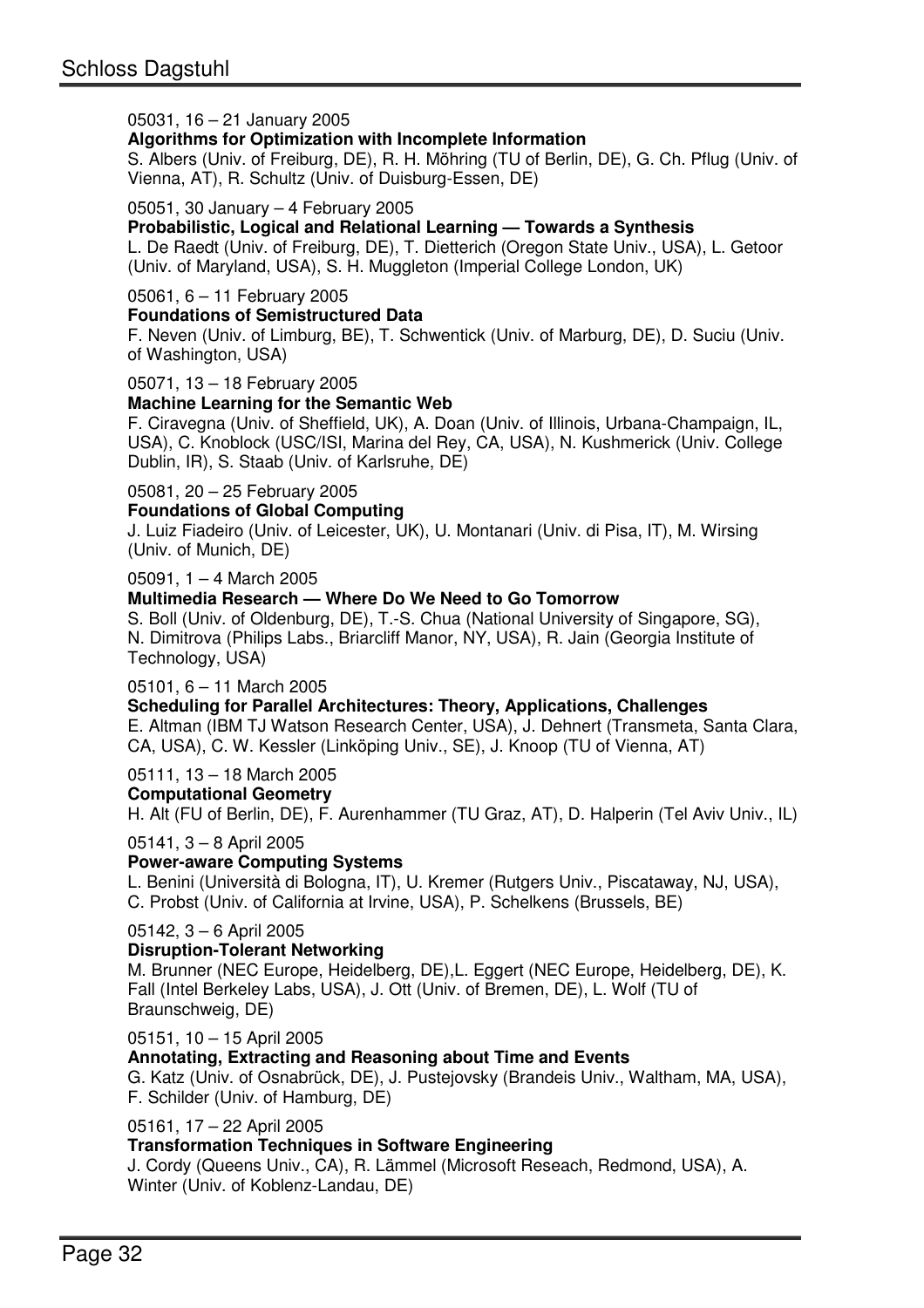#### 05031, 16 – 21 January 2005

#### **Algorithms for Optimization with Incomplete Information**

S. Albers (Univ. of Freiburg, DE), R. H. Möhring (TU of Berlin, DE), G. Ch. Pflug (Univ. of Vienna, AT), R. Schultz (Univ. of Duisburg-Essen, DE)

#### 05051, 30 January – 4 February 2005

#### **Probabilistic, Logical and Relational Learning — Towards a Synthesis**

L. De Raedt (Univ. of Freiburg, DE), T. Dietterich (Oregon State Univ., USA), L. Getoor (Univ. of Maryland, USA), S. H. Muggleton (Imperial College London, UK)

05061, 6 – 11 February 2005

#### **Foundations of Semistructured Data**

F. Neven (Univ. of Limburg, BE), T. Schwentick (Univ. of Marburg, DE), D. Suciu (Univ. of Washington, USA)

#### 05071, 13 – 18 February 2005

#### **Machine Learning for the Semantic Web**

F. Ciravegna (Univ. of Sheffield, UK), A. Doan (Univ. of Illinois, Urbana-Champaign, IL, USA), C. Knoblock (USC/ISI, Marina del Rey, CA, USA), N. Kushmerick (Univ. College Dublin, IR), S. Staab (Univ. of Karlsruhe, DE)

05081, 20 – 25 February 2005

#### **Foundations of Global Computing**

J. Luiz Fiadeiro (Univ. of Leicester, UK), U. Montanari (Univ. di Pisa, IT), M. Wirsing (Univ. of Munich, DE)

05091, 1 – 4 March 2005

#### **Multimedia Research — Where Do We Need to Go Tomorrow**

S. Boll (Univ. of Oldenburg, DE), T.-S. Chua (National University of Singapore, SG), N. Dimitrova (Philips Labs., Briarcliff Manor, NY, USA), R. Jain (Georgia Institute of Technology, USA)

#### 05101, 6 – 11 March 2005

#### **Scheduling for Parallel Architectures: Theory, Applications, Challenges**

E. Altman (IBM TJ Watson Research Center, USA), J. Dehnert (Transmeta, Santa Clara, CA, USA), C. W. Kessler (Linköping Univ., SE), J. Knoop (TU of Vienna, AT)

05111, 13 – 18 March 2005

#### **Computational Geometry**

H. Alt (FU of Berlin, DE), F. Aurenhammer (TU Graz, AT), D. Halperin (Tel Aviv Univ., IL)

05141, 3 – 8 April 2005

#### **Power-aware Computing Systems**

L. Benini (Università di Bologna, IT), U. Kremer (Rutgers Univ., Piscataway, NJ, USA), C. Probst (Univ. of California at Irvine, USA), P. Schelkens (Brussels, BE)

05142, 3 – 6 April 2005

#### **Disruption-Tolerant Networking**

M. Brunner (NEC Europe, Heidelberg, DE),L. Eggert (NEC Europe, Heidelberg, DE), K. Fall (Intel Berkeley Labs, USA), J. Ott (Univ. of Bremen, DE), L. Wolf (TU of Braunschweig, DE)

05151, 10 – 15 April 2005

#### **Annotating, Extracting and Reasoning about Time and Events**

G. Katz (Univ. of Osnabrück, DE), J. Pustejovsky (Brandeis Univ., Waltham, MA, USA), F. Schilder (Univ. of Hamburg, DE)

05161, 17 – 22 April 2005

#### **Transformation Techniques in Software Engineering**

J. Cordy (Queens Univ., CA), R. Lämmel (Microsoft Reseach, Redmond, USA), A. Winter (Univ. of Koblenz-Landau, DE)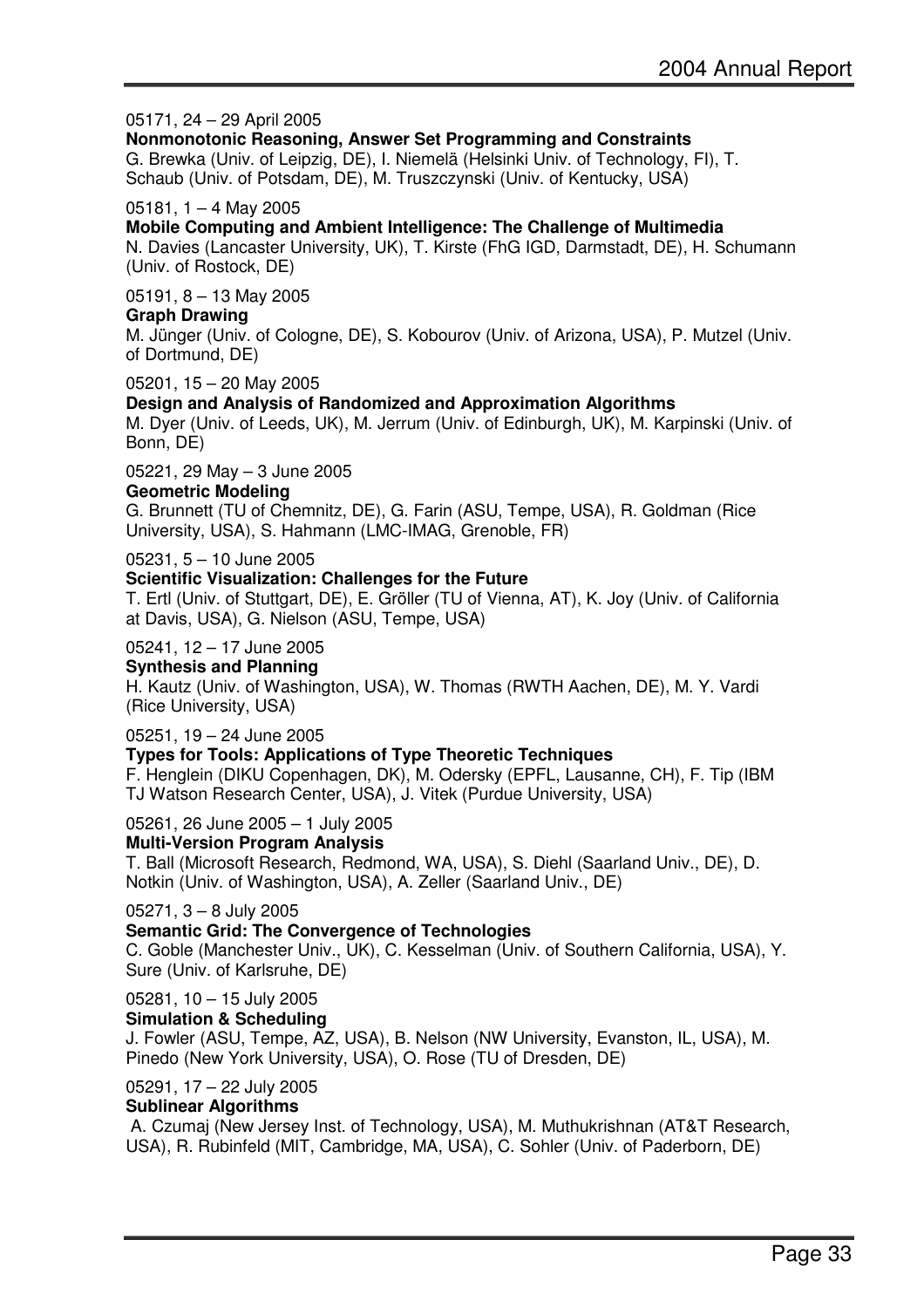#### 05171, 24 – 29 April 2005

**Nonmonotonic Reasoning, Answer Set Programming and Constraints** 

G. Brewka (Univ. of Leipzig, DE), I. Niemelä (Helsinki Univ. of Technology, FI), T. Schaub (Univ. of Potsdam, DE), M. Truszczynski (Univ. of Kentucky, USA)

#### 05181, 1 – 4 May 2005

**Mobile Computing and Ambient Intelligence: The Challenge of Multimedia** 

N. Davies (Lancaster University, UK), T. Kirste (FhG IGD, Darmstadt, DE), H. Schumann (Univ. of Rostock, DE)

05191, 8 – 13 May 2005

#### **Graph Drawing**

M. Jünger (Univ. of Cologne, DE), S. Kobourov (Univ. of Arizona, USA), P. Mutzel (Univ. of Dortmund, DE)

05201, 15 – 20 May 2005

**Design and Analysis of Randomized and Approximation Algorithms** 

M. Dyer (Univ. of Leeds, UK), M. Jerrum (Univ. of Edinburgh, UK), M. Karpinski (Univ. of Bonn, DE)

05221, 29 May – 3 June 2005

#### **Geometric Modeling**

G. Brunnett (TU of Chemnitz, DE), G. Farin (ASU, Tempe, USA), R. Goldman (Rice University, USA), S. Hahmann (LMC-IMAG, Grenoble, FR)

05231, 5 – 10 June 2005

#### **Scientific Visualization: Challenges for the Future**

T. Ertl (Univ. of Stuttgart, DE), E. Gröller (TU of Vienna, AT), K. Joy (Univ. of California at Davis, USA), G. Nielson (ASU, Tempe, USA)

05241, 12 – 17 June 2005

#### **Synthesis and Planning**

H. Kautz (Univ. of Washington, USA), W. Thomas (RWTH Aachen, DE), M. Y. Vardi (Rice University, USA)

05251, 19 – 24 June 2005

#### **Types for Tools: Applications of Type Theoretic Techniques**

F. Henglein (DIKU Copenhagen, DK), M. Odersky (EPFL, Lausanne, CH), F. Tip (IBM TJ Watson Research Center, USA), J. Vitek (Purdue University, USA)

05261, 26 June 2005 – 1 July 2005

**Multi-Version Program Analysis** 

T. Ball (Microsoft Research, Redmond, WA, USA), S. Diehl (Saarland Univ., DE), D. Notkin (Univ. of Washington, USA), A. Zeller (Saarland Univ., DE)

05271, 3 – 8 July 2005

#### **Semantic Grid: The Convergence of Technologies**

C. Goble (Manchester Univ., UK), C. Kesselman (Univ. of Southern California, USA), Y. Sure (Univ. of Karlsruhe, DE)

## 05281, 10 – 15 July 2005

**Simulation & Scheduling** 

J. Fowler (ASU, Tempe, AZ, USA), B. Nelson (NW University, Evanston, IL, USA), M. Pinedo (New York University, USA), O. Rose (TU of Dresden, DE)

05291, 17 – 22 July 2005

#### **Sublinear Algorithms**

 A. Czumaj (New Jersey Inst. of Technology, USA), M. Muthukrishnan (AT&T Research, USA), R. Rubinfeld (MIT, Cambridge, MA, USA), C. Sohler (Univ. of Paderborn, DE)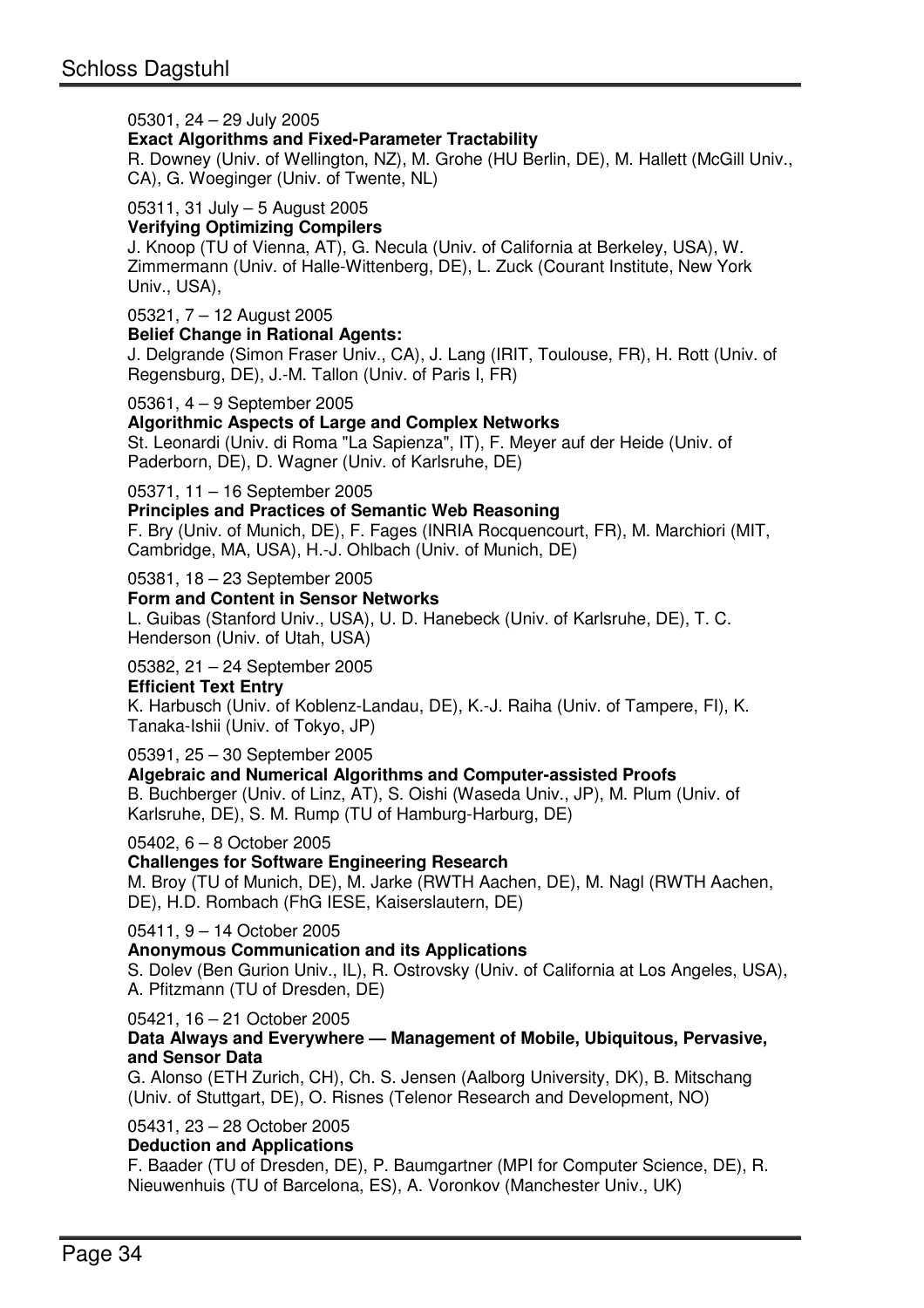#### 05301, 24 – 29 July 2005

#### **Exact Algorithms and Fixed-Parameter Tractability**

R. Downey (Univ. of Wellington, NZ), M. Grohe (HU Berlin, DE), M. Hallett (McGill Univ., CA), G. Woeginger (Univ. of Twente, NL)

#### 05311, 31 July – 5 August 2005 **Verifying Optimizing Compilers**

J. Knoop (TU of Vienna, AT), G. Necula (Univ. of California at Berkeley, USA), W. Zimmermann (Univ. of Halle-Wittenberg, DE), L. Zuck (Courant Institute, New York Univ., USA),

#### 05321, 7 – 12 August 2005

**Belief Change in Rational Agents:** 

J. Delgrande (Simon Fraser Univ., CA), J. Lang (IRIT, Toulouse, FR), H. Rott (Univ. of Regensburg, DE), J.-M. Tallon (Univ. of Paris I, FR)

05361, 4 – 9 September 2005

#### **Algorithmic Aspects of Large and Complex Networks**

St. Leonardi (Univ. di Roma "La Sapienza", IT), F. Meyer auf der Heide (Univ. of Paderborn, DE), D. Wagner (Univ. of Karlsruhe, DE)

05371, 11 – 16 September 2005

#### **Principles and Practices of Semantic Web Reasoning**

F. Bry (Univ. of Munich, DE), F. Fages (INRIA Rocquencourt, FR), M. Marchiori (MIT, Cambridge, MA, USA), H.-J. Ohlbach (Univ. of Munich, DE)

05381, 18 – 23 September 2005

#### **Form and Content in Sensor Networks**

L. Guibas (Stanford Univ., USA), U. D. Hanebeck (Univ. of Karlsruhe, DE), T. C. Henderson (Univ. of Utah, USA)

#### 05382, 21 – 24 September 2005

#### **Efficient Text Entry**

K. Harbusch (Univ. of Koblenz-Landau, DE), K.-J. Raiha (Univ. of Tampere, FI), K. Tanaka-Ishii (Univ. of Tokyo, JP)

#### 05391, 25 – 30 September 2005

#### **Algebraic and Numerical Algorithms and Computer-assisted Proofs**

B. Buchberger (Univ. of Linz, AT), S. Oishi (Waseda Univ., JP), M. Plum (Univ. of Karlsruhe, DE), S. M. Rump (TU of Hamburg-Harburg, DE)

05402, 6 – 8 October 2005

#### **Challenges for Software Engineering Research**

M. Broy (TU of Munich, DE), M. Jarke (RWTH Aachen, DE), M. Nagl (RWTH Aachen, DE), H.D. Rombach (FhG IESE, Kaiserslautern, DE)

05411, 9 – 14 October 2005

#### **Anonymous Communication and its Applications**

S. Dolev (Ben Gurion Univ., IL), R. Ostrovsky (Univ. of California at Los Angeles, USA), A. Pfitzmann (TU of Dresden, DE)

05421, 16 – 21 October 2005

#### **Data Always and Everywhere — Management of Mobile, Ubiquitous, Pervasive, and Sensor Data**

G. Alonso (ETH Zurich, CH), Ch. S. Jensen (Aalborg University, DK), B. Mitschang (Univ. of Stuttgart, DE), O. Risnes (Telenor Research and Development, NO)

#### 05431, 23 – 28 October 2005

#### **Deduction and Applications**

F. Baader (TU of Dresden, DE), P. Baumgartner (MPI for Computer Science, DE), R. Nieuwenhuis (TU of Barcelona, ES), A. Voronkov (Manchester Univ., UK)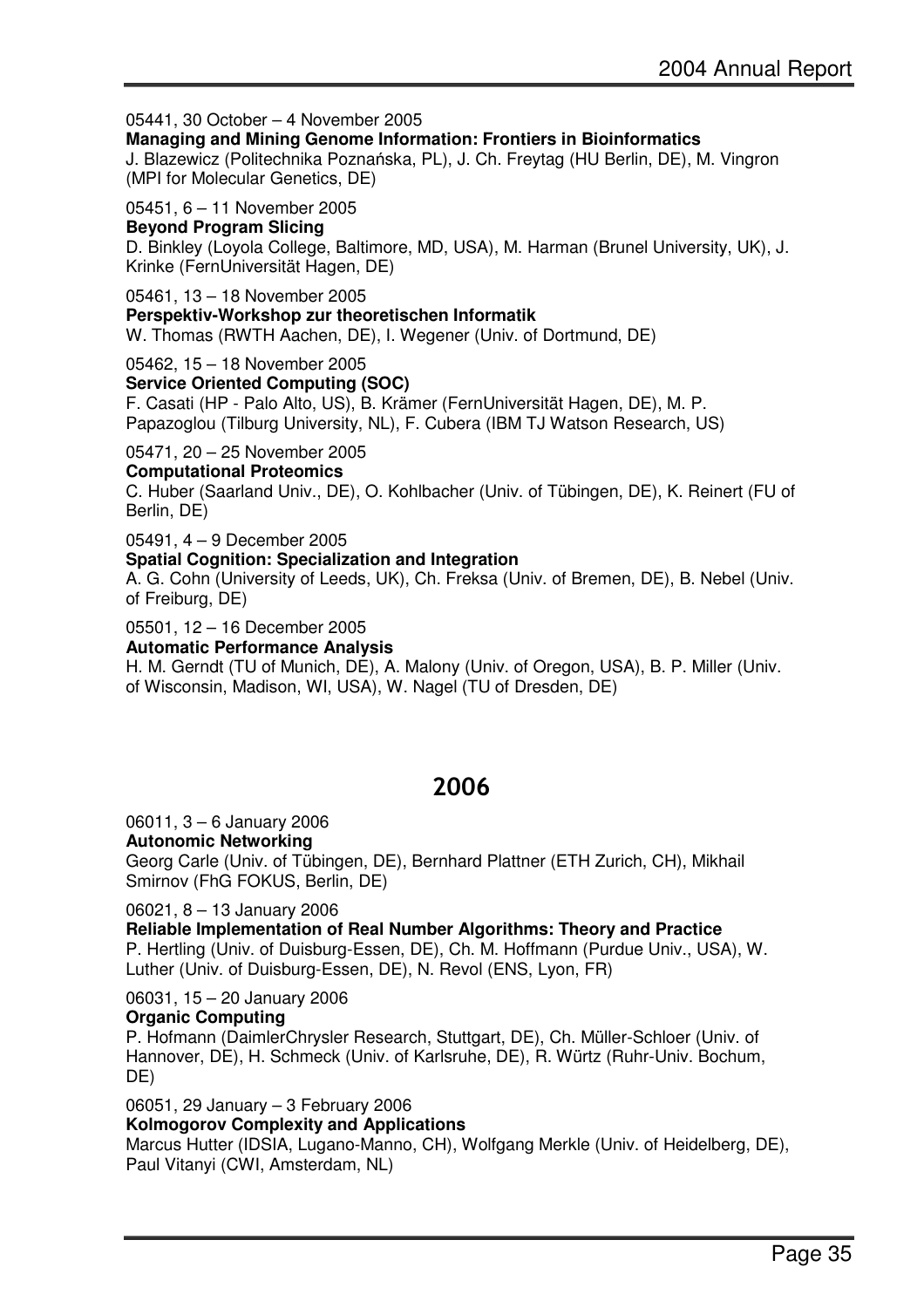#### 05441, 30 October – 4 November 2005

**Managing and Mining Genome Information: Frontiers in Bioinformatics** 

J. Blazewicz (Politechnika Poznańska, PL), J. Ch. Freytag (HU Berlin, DE), M. Vingron (MPI for Molecular Genetics, DE)

#### 05451, 6 – 11 November 2005

#### **Beyond Program Slicing**

D. Binkley (Loyola College, Baltimore, MD, USA), M. Harman (Brunel University, UK), J. Krinke (FernUniversität Hagen, DE)

05461, 13 – 18 November 2005

#### **Perspektiv-Workshop zur theoretischen Informatik**

W. Thomas (RWTH Aachen, DE), I. Wegener (Univ. of Dortmund, DE)

05462, 15 – 18 November 2005

#### **Service Oriented Computing (SOC)**

F. Casati (HP - Palo Alto, US), B. Krämer (FernUniversität Hagen, DE), M. P. Papazoglou (Tilburg University, NL), F. Cubera (IBM TJ Watson Research, US)

05471, 20 – 25 November 2005

#### **Computational Proteomics**

C. Huber (Saarland Univ., DE), O. Kohlbacher (Univ. of Tübingen, DE), K. Reinert (FU of Berlin, DE)

05491, 4 – 9 December 2005

#### **Spatial Cognition: Specialization and Integration**

A. G. Cohn (University of Leeds, UK), Ch. Freksa (Univ. of Bremen, DE), B. Nebel (Univ. of Freiburg, DE)

05501, 12 – 16 December 2005

#### **Automatic Performance Analysis**

H. M. Gerndt (TU of Munich, DE), A. Malony (Univ. of Oregon, USA), B. P. Miller (Univ. of Wisconsin, Madison, WI, USA), W. Nagel (TU of Dresden, DE)

## 2006

#### 06011, 3 – 6 January 2006

**Autonomic Networking** 

Georg Carle (Univ. of Tübingen, DE), Bernhard Plattner (ETH Zurich, CH), Mikhail Smirnov (FhG FOKUS, Berlin, DE)

06021, 8 – 13 January 2006

#### **Reliable Implementation of Real Number Algorithms: Theory and Practice**

P. Hertling (Univ. of Duisburg-Essen, DE), Ch. M. Hoffmann (Purdue Univ., USA), W. Luther (Univ. of Duisburg-Essen, DE), N. Revol (ENS, Lyon, FR)

06031, 15 – 20 January 2006

Paul Vitanyi (CWI, Amsterdam, NL)

#### **Organic Computing**

P. Hofmann (DaimlerChrysler Research, Stuttgart, DE), Ch. Müller-Schloer (Univ. of Hannover, DE), H. Schmeck (Univ. of Karlsruhe, DE), R. Würtz (Ruhr-Univ. Bochum, DE)

06051, 29 January – 3 February 2006 **Kolmogorov Complexity and Applications**  Marcus Hutter (IDSIA, Lugano-Manno, CH), Wolfgang Merkle (Univ. of Heidelberg, DE),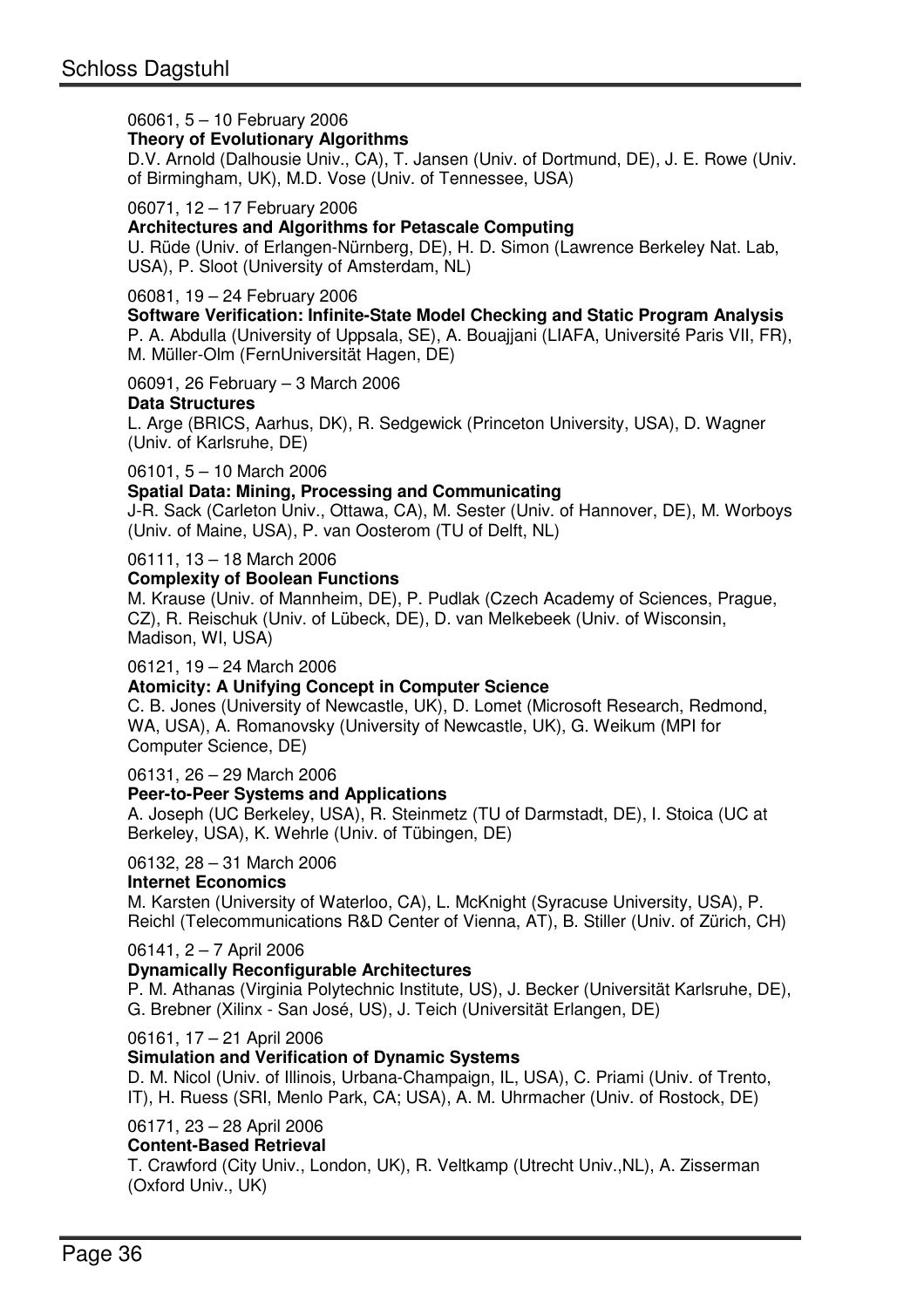#### 06061, 5 – 10 February 2006

**Theory of Evolutionary Algorithms** 

D.V. Arnold (Dalhousie Univ., CA), T. Jansen (Univ. of Dortmund, DE), J. E. Rowe (Univ. of Birmingham, UK), M.D. Vose (Univ. of Tennessee, USA)

#### 06071, 12 – 17 February 2006

#### **Architectures and Algorithms for Petascale Computing**

U. Rüde (Univ. of Erlangen-Nürnberg, DE), H. D. Simon (Lawrence Berkeley Nat. Lab, USA), P. Sloot (University of Amsterdam, NL)

#### 06081, 19 – 24 February 2006

#### **Software Verification: Infinite-State Model Checking and Static Program Analysis**

P. A. Abdulla (University of Uppsala, SE), A. Bouajjani (LIAFA, Université Paris VII, FR), M. Müller-Olm (FernUniversität Hagen, DE)

06091, 26 February – 3 March 2006

#### **Data Structures**

L. Arge (BRICS, Aarhus, DK), R. Sedgewick (Princeton University, USA), D. Wagner (Univ. of Karlsruhe, DE)

#### 06101, 5 – 10 March 2006

#### **Spatial Data: Mining, Processing and Communicating**

J-R. Sack (Carleton Univ., Ottawa, CA), M. Sester (Univ. of Hannover, DE), M. Worboys (Univ. of Maine, USA), P. van Oosterom (TU of Delft, NL)

06111, 13 – 18 March 2006

#### **Complexity of Boolean Functions**

M. Krause (Univ. of Mannheim, DE), P. Pudlak (Czech Academy of Sciences, Prague, CZ), R. Reischuk (Univ. of Lübeck, DE), D. van Melkebeek (Univ. of Wisconsin, Madison, WI, USA)

#### 06121, 19 – 24 March 2006

#### **Atomicity: A Unifying Concept in Computer Science**

C. B. Jones (University of Newcastle, UK), D. Lomet (Microsoft Research, Redmond, WA, USA), A. Romanovsky (University of Newcastle, UK), G. Weikum (MPI for Computer Science, DE)

06131, 26 – 29 March 2006

#### **Peer-to-Peer Systems and Applications**

A. Joseph (UC Berkeley, USA), R. Steinmetz (TU of Darmstadt, DE), I. Stoica (UC at Berkeley, USA), K. Wehrle (Univ. of Tübingen, DE)

#### 06132, 28 – 31 March 2006

#### **Internet Economics**

M. Karsten (University of Waterloo, CA), L. McKnight (Syracuse University, USA), P. Reichl (Telecommunications R&D Center of Vienna, AT), B. Stiller (Univ. of Zürich, CH)

06141, 2 – 7 April 2006

#### **Dynamically Reconfigurable Architectures**

P. M. Athanas (Virginia Polytechnic Institute, US), J. Becker (Universität Karlsruhe, DE), G. Brebner (Xilinx - San José, US), J. Teich (Universität Erlangen, DE)

#### 06161, 17 – 21 April 2006

#### **Simulation and Verification of Dynamic Systems**

D. M. Nicol (Univ. of Illinois, Urbana-Champaign, IL, USA), C. Priami (Univ. of Trento, IT), H. Ruess (SRI, Menlo Park, CA; USA), A. M. Uhrmacher (Univ. of Rostock, DE)

#### 06171, 23 – 28 April 2006

#### **Content-Based Retrieval**

T. Crawford (City Univ., London, UK), R. Veltkamp (Utrecht Univ.,NL), A. Zisserman (Oxford Univ., UK)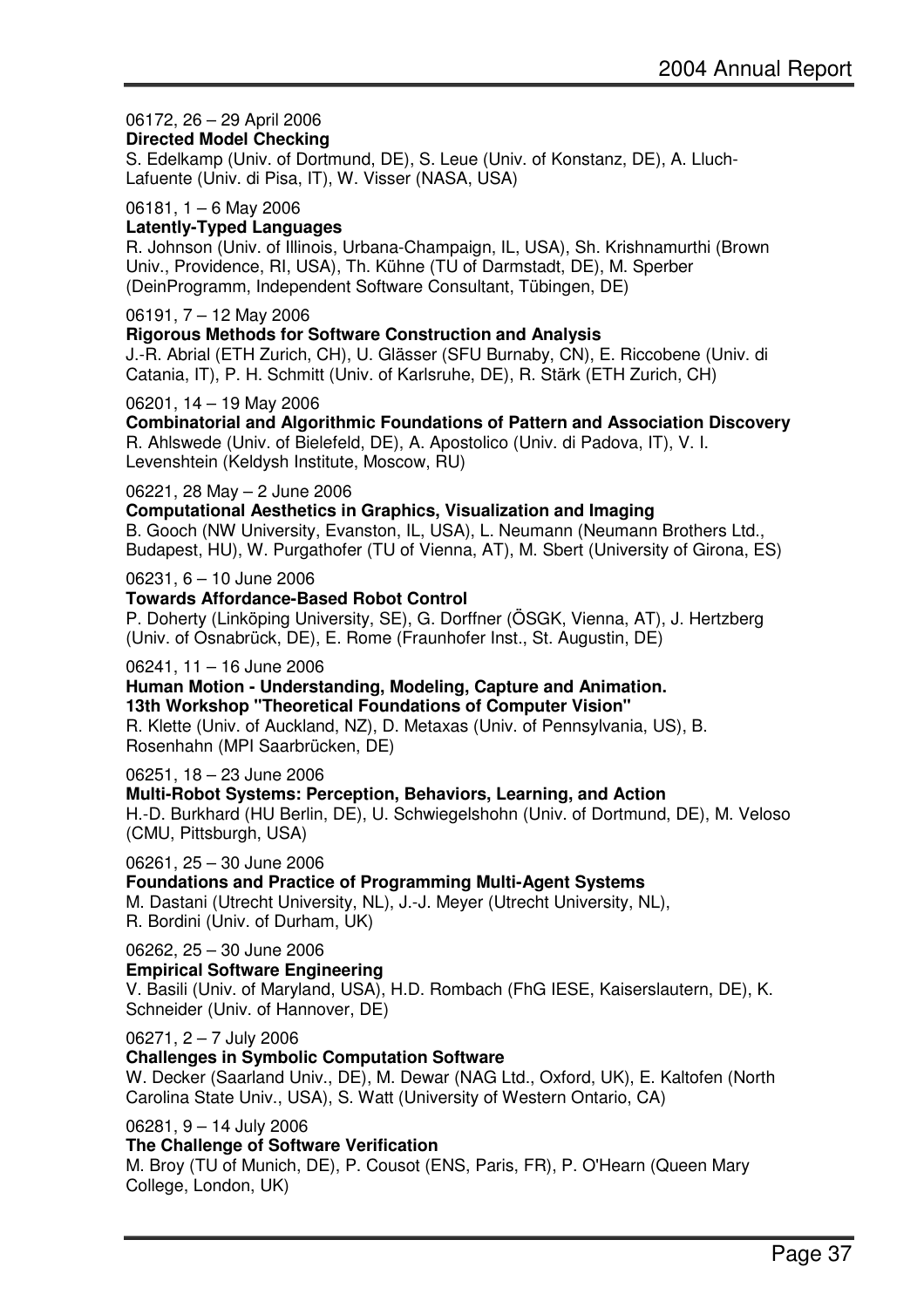#### 06172, 26 – 29 April 2006 **Directed Model Checking**

S. Edelkamp (Univ. of Dortmund, DE), S. Leue (Univ. of Konstanz, DE), A. Lluch-Lafuente (Univ. di Pisa, IT), W. Visser (NASA, USA)

#### 06181, 1 – 6 May 2006

#### **Latently-Typed Languages**

R. Johnson (Univ. of Illinois, Urbana-Champaign, IL, USA), Sh. Krishnamurthi (Brown Univ., Providence, RI, USA), Th. Kühne (TU of Darmstadt, DE), M. Sperber (DeinProgramm, Independent Software Consultant, Tübingen, DE)

#### 06191, 7 – 12 May 2006

#### **Rigorous Methods for Software Construction and Analysis**

J.-R. Abrial (ETH Zurich, CH), U. Glässer (SFU Burnaby, CN), E. Riccobene (Univ. di Catania, IT), P. H. Schmitt (Univ. of Karlsruhe, DE), R. Stärk (ETH Zurich, CH)

06201, 14 – 19 May 2006

**Combinatorial and Algorithmic Foundations of Pattern and Association Discovery** 

R. Ahlswede (Univ. of Bielefeld, DE), A. Apostolico (Univ. di Padova, IT), V. I. Levenshtein (Keldysh Institute, Moscow, RU)

06221, 28 May – 2 June 2006

#### **Computational Aesthetics in Graphics, Visualization and Imaging**

B. Gooch (NW University, Evanston, IL, USA), L. Neumann (Neumann Brothers Ltd., Budapest, HU), W. Purgathofer (TU of Vienna, AT), M. Sbert (University of Girona, ES)

06231, 6 – 10 June 2006

#### **Towards Affordance-Based Robot Control**

P. Doherty (Linköping University, SE), G. Dorffner (ÖSGK, Vienna, AT), J. Hertzberg (Univ. of Osnabrück, DE), E. Rome (Fraunhofer Inst., St. Augustin, DE)

06241, 11 – 16 June 2006

**Human Motion - Understanding, Modeling, Capture and Animation. 13th Workshop "Theoretical Foundations of Computer Vision"** 

R. Klette (Univ. of Auckland, NZ), D. Metaxas (Univ. of Pennsylvania, US), B. Rosenhahn (MPI Saarbrücken, DE)

06251, 18 – 23 June 2006

**Multi-Robot Systems: Perception, Behaviors, Learning, and Action**  H.-D. Burkhard (HU Berlin, DE), U. Schwiegelshohn (Univ. of Dortmund, DE), M. Veloso (CMU, Pittsburgh, USA)

06261, 25 – 30 June 2006

#### **Foundations and Practice of Programming Multi-Agent Systems**

M. Dastani (Utrecht University, NL), J.-J. Meyer (Utrecht University, NL), R. Bordini (Univ. of Durham, UK)

06262, 25 – 30 June 2006

#### **Empirical Software Engineering**

V. Basili (Univ. of Maryland, USA), H.D. Rombach (FhG IESE, Kaiserslautern, DE), K. Schneider (Univ. of Hannover, DE)

06271, 2 – 7 July 2006

**Challenges in Symbolic Computation Software** 

W. Decker (Saarland Univ., DE), M. Dewar (NAG Ltd., Oxford, UK), E. Kaltofen (North Carolina State Univ., USA), S. Watt (University of Western Ontario, CA)

06281, 9 – 14 July 2006

**The Challenge of Software Verification** 

M. Broy (TU of Munich, DE), P. Cousot (ENS, Paris, FR), P. O'Hearn (Queen Mary College, London, UK)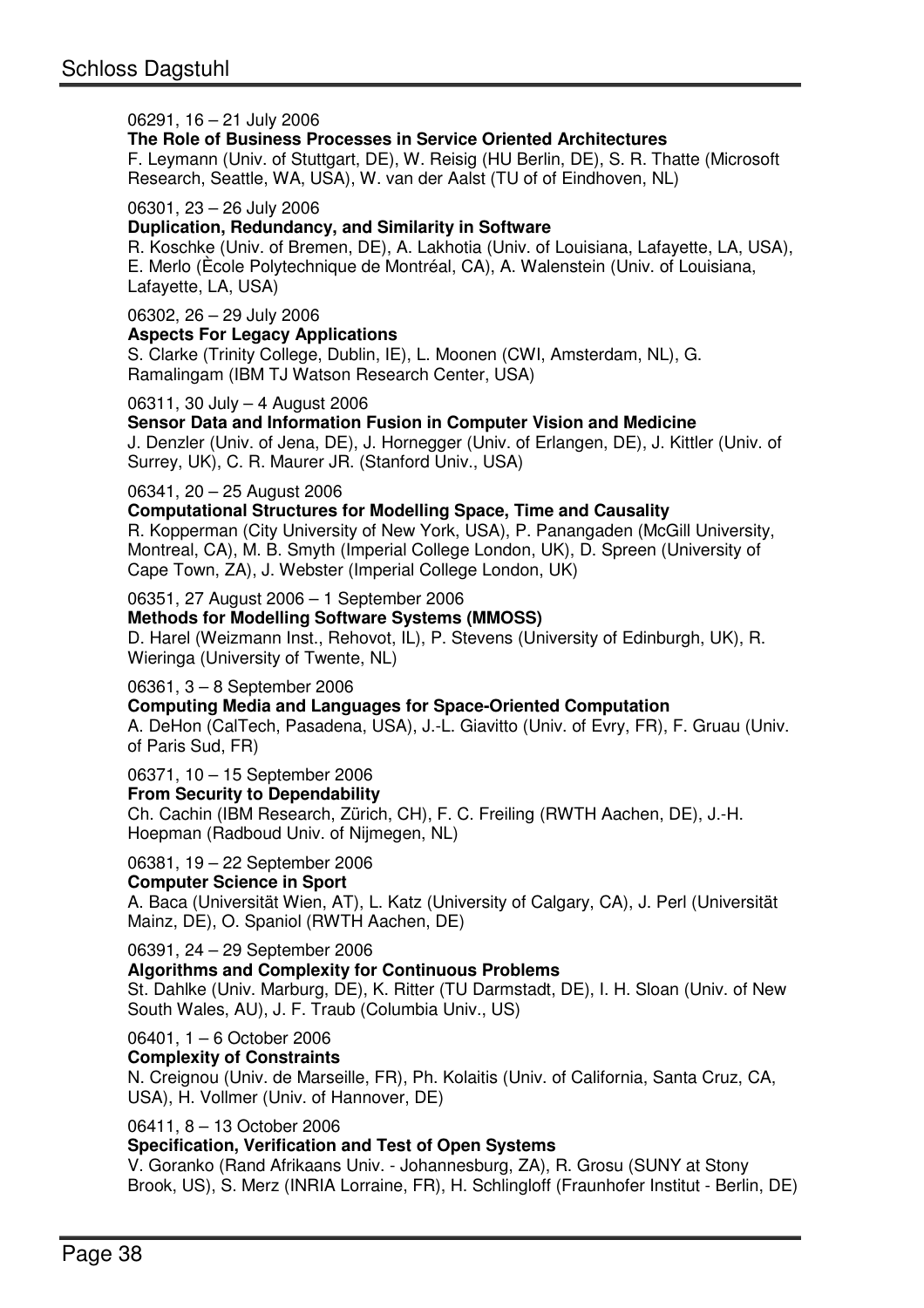#### 06291, 16 – 21 July 2006

#### **The Role of Business Processes in Service Oriented Architectures**

F. Leymann (Univ. of Stuttgart, DE), W. Reisig (HU Berlin, DE), S. R. Thatte (Microsoft Research, Seattle, WA, USA), W. van der Aalst (TU of of Eindhoven, NL)

#### 06301, 23 – 26 July 2006

#### **Duplication, Redundancy, and Similarity in Software**

R. Koschke (Univ. of Bremen, DE), A. Lakhotia (Univ. of Louisiana, Lafayette, LA, USA), E. Merlo (Ècole Polytechnique de Montréal, CA), A. Walenstein (Univ. of Louisiana, Lafayette, LA, USA)

#### 06302, 26 – 29 July 2006

#### **Aspects For Legacy Applications**

S. Clarke (Trinity College, Dublin, IE), L. Moonen (CWI, Amsterdam, NL), G. Ramalingam (IBM TJ Watson Research Center, USA)

06311, 30 July – 4 August 2006

#### **Sensor Data and Information Fusion in Computer Vision and Medicine**

J. Denzler (Univ. of Jena, DE), J. Hornegger (Univ. of Erlangen, DE), J. Kittler (Univ. of Surrey, UK), C. R. Maurer JR. (Stanford Univ., USA)

06341, 20 – 25 August 2006

#### **Computational Structures for Modelling Space, Time and Causality**

R. Kopperman (City University of New York, USA), P. Panangaden (McGill University, Montreal, CA), M. B. Smyth (Imperial College London, UK), D. Spreen (University of Cape Town, ZA), J. Webster (Imperial College London, UK)

06351, 27 August 2006 – 1 September 2006

#### **Methods for Modelling Software Systems (MMOSS)**

D. Harel (Weizmann Inst., Rehovot, IL), P. Stevens (University of Edinburgh, UK), R. Wieringa (University of Twente, NL)

06361, 3 – 8 September 2006

#### **Computing Media and Languages for Space-Oriented Computation**

A. DeHon (CalTech, Pasadena, USA), J.-L. Giavitto (Univ. of Evry, FR), F. Gruau (Univ. of Paris Sud, FR)

06371, 10 – 15 September 2006

#### **From Security to Dependability**

Ch. Cachin (IBM Research, Zürich, CH), F. C. Freiling (RWTH Aachen, DE), J.-H. Hoepman (Radboud Univ. of Nijmegen, NL)

#### 06381, 19 – 22 September 2006

#### **Computer Science in Sport**

A. Baca (Universität Wien, AT), L. Katz (University of Calgary, CA), J. Perl (Universität Mainz, DE), O. Spaniol (RWTH Aachen, DE)

06391, 24 – 29 September 2006

#### **Algorithms and Complexity for Continuous Problems**

St. Dahlke (Univ. Marburg, DE), K. Ritter (TU Darmstadt, DE), I. H. Sloan (Univ. of New South Wales, AU), J. F. Traub (Columbia Univ., US)

#### 06401, 1 – 6 October 2006

**Complexity of Constraints** 

N. Creignou (Univ. de Marseille, FR), Ph. Kolaitis (Univ. of California, Santa Cruz, CA, USA), H. Vollmer (Univ. of Hannover, DE)

06411, 8 – 13 October 2006

#### **Specification, Verification and Test of Open Systems**

V. Goranko (Rand Afrikaans Univ. - Johannesburg, ZA), R. Grosu (SUNY at Stony Brook, US), S. Merz (INRIA Lorraine, FR), H. Schlingloff (Fraunhofer Institut - Berlin, DE)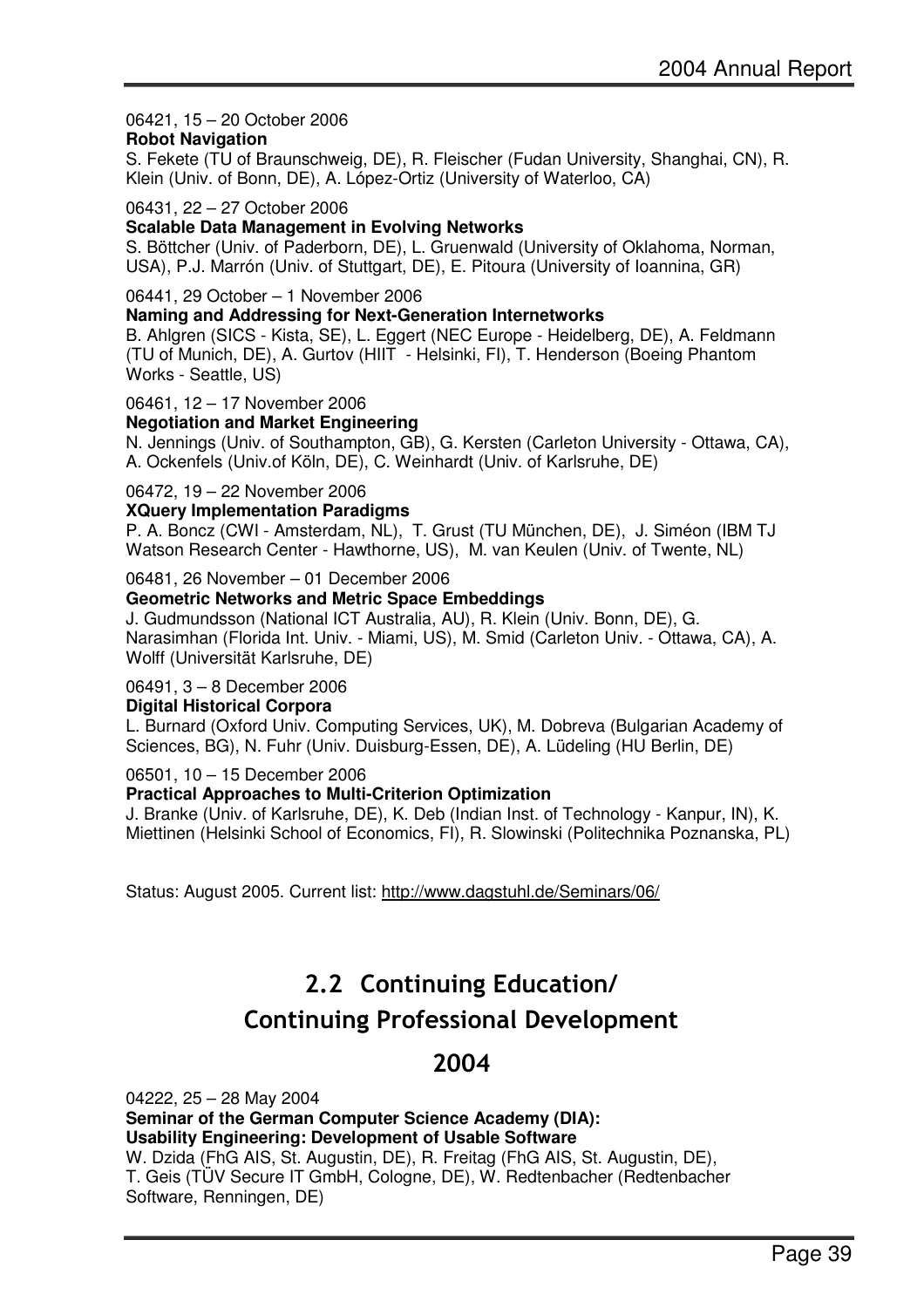#### 06421, 15 – 20 October 2006

#### **Robot Navigation**

S. Fekete (TU of Braunschweig, DE), R. Fleischer (Fudan University, Shanghai, CN), R. Klein (Univ. of Bonn, DE), A. López-Ortiz (University of Waterloo, CA)

#### 06431, 22 – 27 October 2006

#### **Scalable Data Management in Evolving Networks**

S. Böttcher (Univ. of Paderborn, DE), L. Gruenwald (University of Oklahoma, Norman, USA), P.J. Marrón (Univ. of Stuttgart, DE), E. Pitoura (University of Ioannina, GR)

#### 06441, 29 October – 1 November 2006

#### **Naming and Addressing for Next-Generation Internetworks**

B. Ahlgren (SICS - Kista, SE), L. Eggert (NEC Europe - Heidelberg, DE), A. Feldmann (TU of Munich, DE), A. Gurtov (HIIT - Helsinki, FI), T. Henderson (Boeing Phantom Works - Seattle, US)

#### 06461, 12 – 17 November 2006

#### **Negotiation and Market Engineering**

N. Jennings (Univ. of Southampton, GB), G. Kersten (Carleton University - Ottawa, CA), A. Ockenfels (Univ.of Köln, DE), C. Weinhardt (Univ. of Karlsruhe, DE)

06472, 19 – 22 November 2006

#### **XQuery Implementation Paradigms**

P. A. Boncz (CWI - Amsterdam, NL), T. Grust (TU München, DE), J. Siméon (IBM TJ Watson Research Center - Hawthorne, US), M. van Keulen (Univ. of Twente, NL)

06481, 26 November – 01 December 2006

#### **Geometric Networks and Metric Space Embeddings**

J. Gudmundsson (National ICT Australia, AU), R. Klein (Univ. Bonn, DE), G. Narasimhan (Florida Int. Univ. - Miami, US), M. Smid (Carleton Univ. - Ottawa, CA), A. Wolff (Universität Karlsruhe, DE)

#### 06491, 3 – 8 December 2006

#### **Digital Historical Corpora**

L. Burnard (Oxford Univ. Computing Services, UK), M. Dobreva (Bulgarian Academy of Sciences, BG), N. Fuhr (Univ. Duisburg-Essen, DE), A. Lüdeling (HU Berlin, DE)

#### 06501, 10 – 15 December 2006

#### **Practical Approaches to Multi-Criterion Optimization**

J. Branke (Univ. of Karlsruhe, DE), K. Deb (Indian Inst. of Technology - Kanpur, IN), K. Miettinen (Helsinki School of Economics, FI), R. Slowinski (Politechnika Poznanska, PL)

Status: August 2005. Current list: http://www.dagstuhl.de/Seminars/06/

# 2.2 Continuing Education/

## Continuing Professional Development

## 2004

04222, 25 – 28 May 2004 **Seminar of the German Computer Science Academy (DIA): Usability Engineering: Development of Usable Software** W. Dzida (FhG AIS, St. Augustin, DE), R. Freitag (FhG AIS, St. Augustin, DE), T. Geis (TÜV Secure IT GmbH, Cologne, DE), W. Redtenbacher (Redtenbacher Software, Renningen, DE)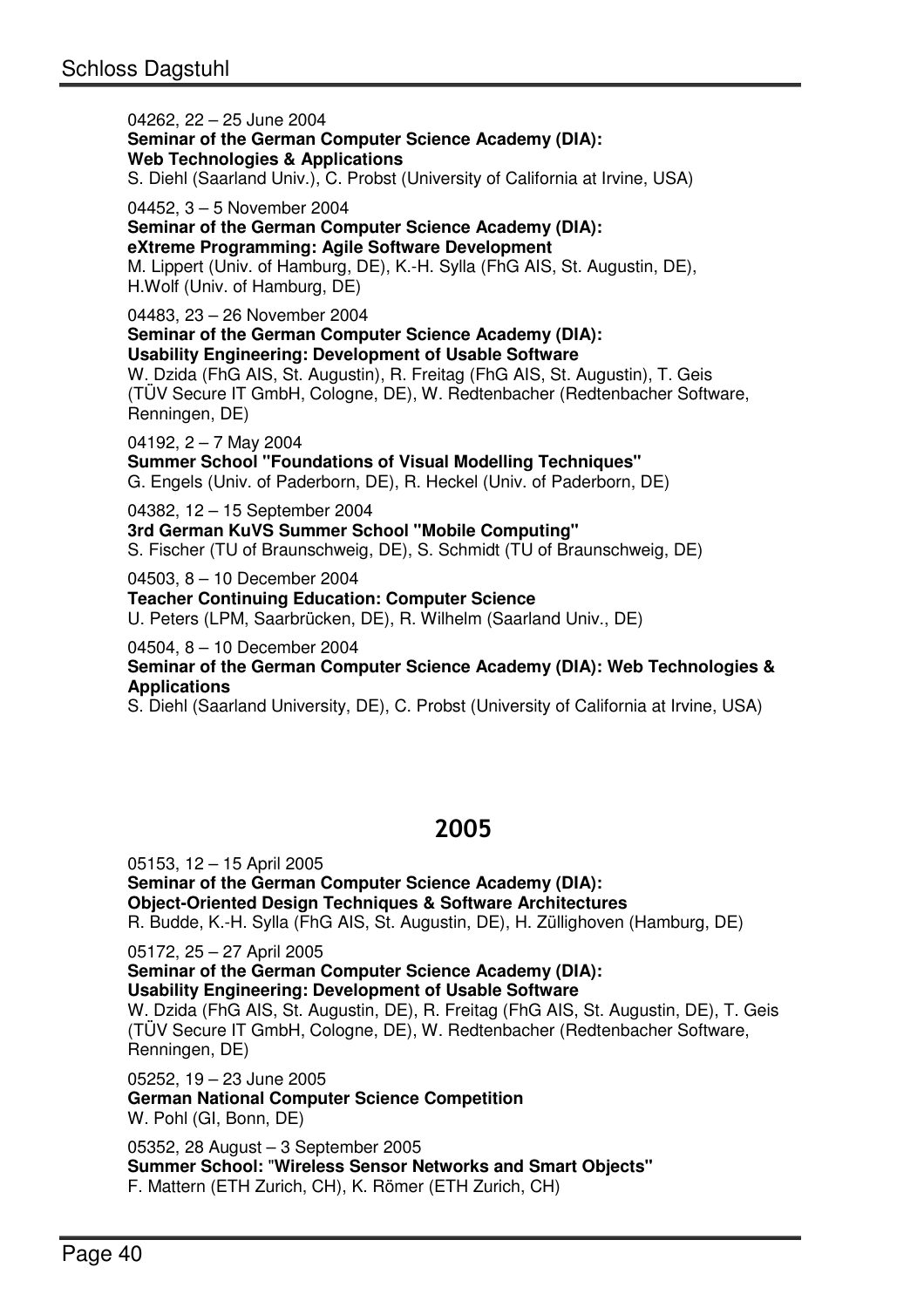04262, 22 – 25 June 2004 **Seminar of the German Computer Science Academy (DIA): Web Technologies & Applications** S. Diehl (Saarland Univ.), C. Probst (University of California at Irvine, USA)

04452, 3 – 5 November 2004 **Seminar of the German Computer Science Academy (DIA): eXtreme Programming: Agile Software Development** M. Lippert (Univ. of Hamburg, DE), K.-H. Sylla (FhG AIS, St. Augustin, DE), H.Wolf (Univ. of Hamburg, DE)

04483, 23 – 26 November 2004 **Seminar of the German Computer Science Academy (DIA): Usability Engineering: Development of Usable Software**

W. Dzida (FhG AIS, St. Augustin), R. Freitag (FhG AIS, St. Augustin), T. Geis (TÜV Secure IT GmbH, Cologne, DE), W. Redtenbacher (Redtenbacher Software, Renningen, DE)

04192, 2 – 7 May 2004

**Summer School "Foundations of Visual Modelling Techniques"**  G. Engels (Univ. of Paderborn, DE), R. Heckel (Univ. of Paderborn, DE)

04382, 12 – 15 September 2004

**3rd German KuVS Summer School "Mobile Computing"** 

S. Fischer (TU of Braunschweig, DE), S. Schmidt (TU of Braunschweig, DE)

04503, 8 – 10 December 2004

**Teacher Continuing Education: Computer Science** 

U. Peters (LPM, Saarbrücken, DE), R. Wilhelm (Saarland Univ., DE)

04504, 8 – 10 December 2004

#### **Seminar of the German Computer Science Academy (DIA): Web Technologies & Applications**

S. Diehl (Saarland University, DE), C. Probst (University of California at Irvine, USA)

## 2005

05153, 12 – 15 April 2005 **Seminar of the German Computer Science Academy (DIA): Object-Oriented Design Techniques & Software Architectures**  R. Budde, K.-H. Sylla (FhG AIS, St. Augustin, DE), H. Züllighoven (Hamburg, DE)

05172, 25 – 27 April 2005

**Seminar of the German Computer Science Academy (DIA): Usability Engineering: Development of Usable Software**  W. Dzida (FhG AIS, St. Augustin, DE), R. Freitag (FhG AIS, St. Augustin, DE), T. Geis (TÜV Secure IT GmbH, Cologne, DE), W. Redtenbacher (Redtenbacher Software, Renningen, DE)

05252, 19 – 23 June 2005 **German National Computer Science Competition**  W. Pohl (GI, Bonn, DE)

05352, 28 August – 3 September 2005 **Summer School:** "**Wireless Sensor Networks and Smart Objects"**  F. Mattern (ETH Zurich, CH), K. Römer (ETH Zurich, CH)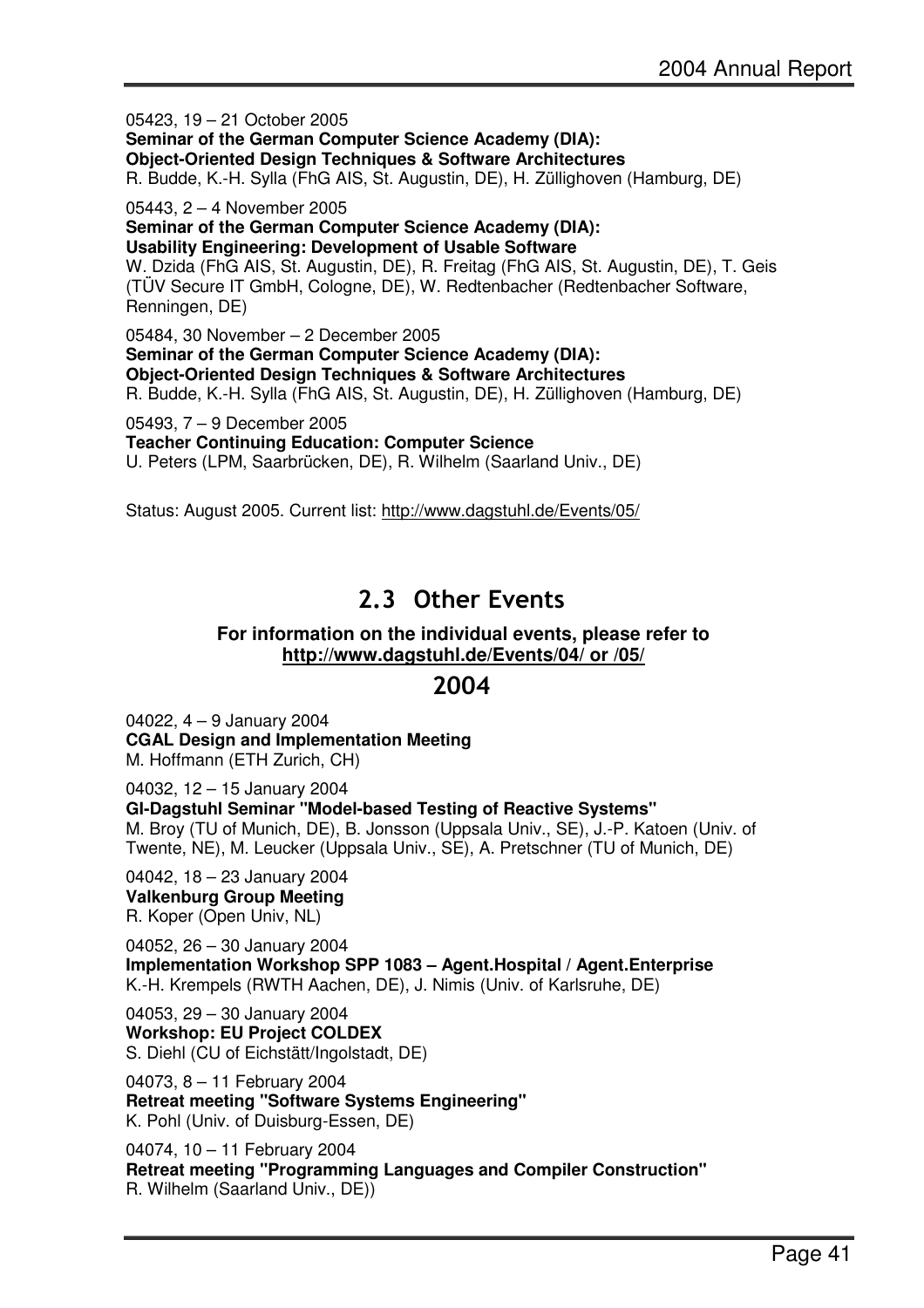05423, 19 – 21 October 2005 **Seminar of the German Computer Science Academy (DIA): Object-Oriented Design Techniques & Software Architectures**  R. Budde, K.-H. Sylla (FhG AIS, St. Augustin, DE), H. Züllighoven (Hamburg, DE)

05443, 2 – 4 November 2005

**Seminar of the German Computer Science Academy (DIA): Usability Engineering: Development of Usable Software** 

W. Dzida (FhG AIS, St. Augustin, DE), R. Freitag (FhG AIS, St. Augustin, DE), T. Geis (TÜV Secure IT GmbH, Cologne, DE), W. Redtenbacher (Redtenbacher Software, Renningen, DE)

05484, 30 November – 2 December 2005 **Seminar of the German Computer Science Academy (DIA): Object-Oriented Design Techniques & Software Architectures**  R. Budde, K.-H. Sylla (FhG AIS, St. Augustin, DE), H. Züllighoven (Hamburg, DE)

05493, 7 – 9 December 2005

**Teacher Continuing Education: Computer Science** 

U. Peters (LPM, Saarbrücken, DE), R. Wilhelm (Saarland Univ., DE)

Status: August 2005. Current list: http://www.dagstuhl.de/Events/05/

## 2.3 Other Events

#### **For information on the individual events, please refer to http://www.dagstuhl.de/Events/04/ or /05/**

## 2004

04022, 4 – 9 January 2004 **CGAL Design and Implementation Meeting**  M. Hoffmann (ETH Zurich, CH)

04032, 12 – 15 January 2004 **GI-Dagstuhl Seminar "Model-based Testing of Reactive Systems"**  M. Broy (TU of Munich, DE), B. Jonsson (Uppsala Univ., SE), J.-P. Katoen (Univ. of Twente, NE), M. Leucker (Uppsala Univ., SE), A. Pretschner (TU of Munich, DE)

04042, 18 – 23 January 2004 **Valkenburg Group Meeting**  R. Koper (Open Univ, NL)

04052, 26 – 30 January 2004 **Implementation Workshop SPP 1083 – Agent.Hospital / Agent.Enterprise**  K.-H. Krempels (RWTH Aachen, DE), J. Nimis (Univ. of Karlsruhe, DE)

04053, 29 – 30 January 2004 **Workshop: EU Project COLDEX**  S. Diehl (CU of Eichstätt/Ingolstadt, DE)

04073, 8 – 11 February 2004 **Retreat meeting "Software Systems Engineering"**  K. Pohl (Univ. of Duisburg-Essen, DE)

04074, 10 – 11 February 2004 **Retreat meeting "Programming Languages and Compiler Construction"**  R. Wilhelm (Saarland Univ., DE))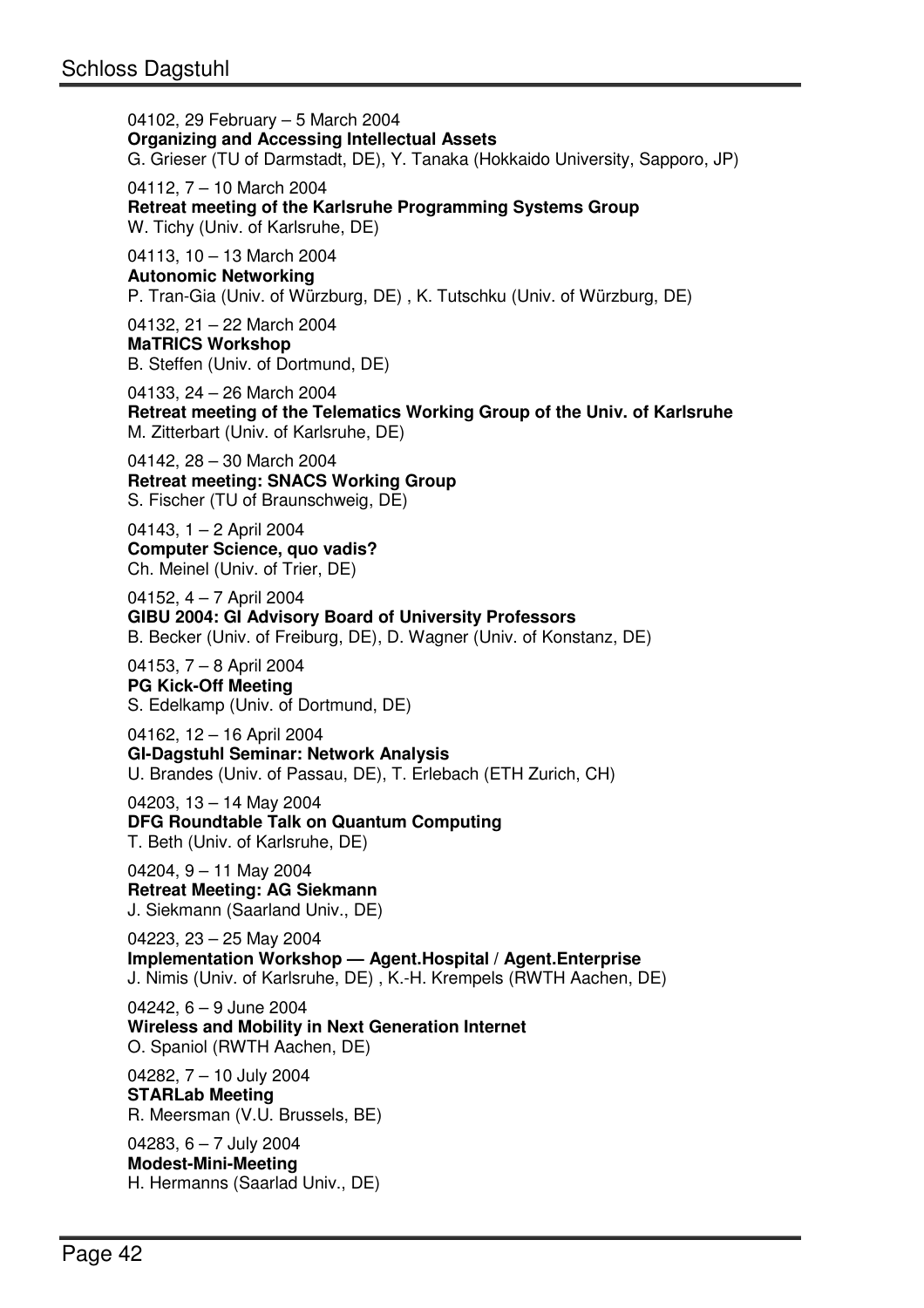04102, 29 February – 5 March 2004 **Organizing and Accessing Intellectual Assets**  G. Grieser (TU of Darmstadt, DE), Y. Tanaka (Hokkaido University, Sapporo, JP)

04112, 7 – 10 March 2004 **Retreat meeting of the Karlsruhe Programming Systems Group**  W. Tichy (Univ. of Karlsruhe, DE)

04113, 10 – 13 March 2004 **Autonomic Networking**  P. Tran-Gia (Univ. of Würzburg, DE) , K. Tutschku (Univ. of Würzburg, DE)

04132, 21 – 22 March 2004 **MaTRICS Workshop**  B. Steffen (Univ. of Dortmund, DE)

04133, 24 – 26 March 2004 **Retreat meeting of the Telematics Working Group of the Univ. of Karlsruhe**  M. Zitterbart (Univ. of Karlsruhe, DE)

04142, 28 – 30 March 2004 **Retreat meeting: SNACS Working Group**  S. Fischer (TU of Braunschweig, DE)

04143, 1 – 2 April 2004 **Computer Science, quo vadis?**  Ch. Meinel (Univ. of Trier, DE)

04152, 4 – 7 April 2004 **GIBU 2004: GI Advisory Board of University Professors**  B. Becker (Univ. of Freiburg, DE), D. Wagner (Univ. of Konstanz, DE)

04153, 7 – 8 April 2004 **PG Kick-Off Meeting**  S. Edelkamp (Univ. of Dortmund, DE)

04162, 12 – 16 April 2004 **GI-Dagstuhl Seminar: Network Analysis**  U. Brandes (Univ. of Passau, DE), T. Erlebach (ETH Zurich, CH)

04203, 13 – 14 May 2004 **DFG Roundtable Talk on Quantum Computing**  T. Beth (Univ. of Karlsruhe, DE)

04204, 9 – 11 May 2004 **Retreat Meeting: AG Siekmann**  J. Siekmann (Saarland Univ., DE)

04223, 23 – 25 May 2004 **Implementation Workshop — Agent.Hospital / Agent.Enterprise**  J. Nimis (Univ. of Karlsruhe, DE) , K.-H. Krempels (RWTH Aachen, DE)

04242, 6 – 9 June 2004 **Wireless and Mobility in Next Generation Internet**  O. Spaniol (RWTH Aachen, DE)

04282, 7 – 10 July 2004 **STARLab Meeting**  R. Meersman (V.U. Brussels, BE)

04283, 6 – 7 July 2004 **Modest-Mini-Meeting**  H. Hermanns (Saarlad Univ., DE)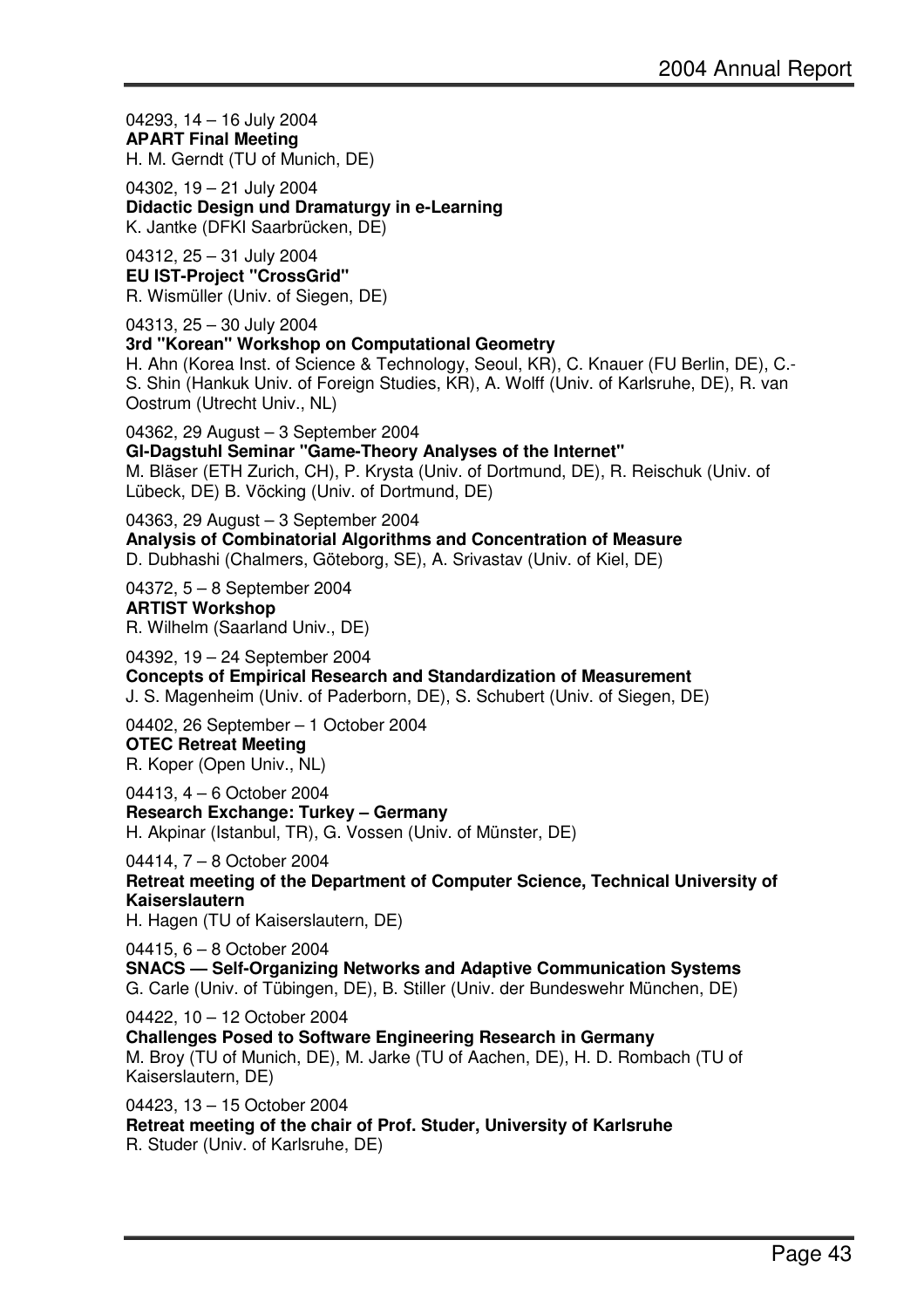04293, 14 – 16 July 2004 **APART Final Meeting**  H. M. Gerndt (TU of Munich, DE)

04302, 19 – 21 July 2004

**Didactic Design und Dramaturgy in e-Learning** 

K. Jantke (DFKI Saarbrücken, DE)

#### 04312, 25 – 31 July 2004 **EU IST-Project "CrossGrid"**

R. Wismüller (Univ. of Siegen, DE)

04313, 25 – 30 July 2004

**3rd "Korean" Workshop on Computational Geometry** 

H. Ahn (Korea Inst. of Science & Technology, Seoul, KR), C. Knauer (FU Berlin, DE), C.- S. Shin (Hankuk Univ. of Foreign Studies, KR), A. Wolff (Univ. of Karlsruhe, DE), R. van Oostrum (Utrecht Univ., NL)

04362, 29 August – 3 September 2004 **GI-Dagstuhl Seminar "Game-Theory Analyses of the Internet"**  M. Bläser (ETH Zurich, CH), P. Krysta (Univ. of Dortmund, DE), R. Reischuk (Univ. of Lübeck, DE) B. Vöcking (Univ. of Dortmund, DE)

04363, 29 August – 3 September 2004 **Analysis of Combinatorial Algorithms and Concentration of Measure**  D. Dubhashi (Chalmers, Göteborg, SE), A. Srivastav (Univ. of Kiel, DE)

04372, 5 – 8 September 2004 **ARTIST Workshop**  R. Wilhelm (Saarland Univ., DE)

04392, 19 – 24 September 2004

**Concepts of Empirical Research and Standardization of Measurement**  J. S. Magenheim (Univ. of Paderborn, DE), S. Schubert (Univ. of Siegen, DE)

04402, 26 September – 1 October 2004 **OTEC Retreat Meeting**  R. Koper (Open Univ., NL)

04413, 4 – 6 October 2004 **Research Exchange: Turkey – Germany**  H. Akpinar (Istanbul, TR), G. Vossen (Univ. of Münster, DE)

04414, 7 – 8 October 2004 **Retreat meeting of the Department of Computer Science, Technical University of Kaiserslautern** 

H. Hagen (TU of Kaiserslautern, DE)

04415, 6 – 8 October 2004 **SNACS — Self-Organizing Networks and Adaptive Communication Systems**  G. Carle (Univ. of Tübingen, DE), B. Stiller (Univ. der Bundeswehr München, DE)

04422, 10 – 12 October 2004

**Challenges Posed to Software Engineering Research in Germany**  M. Broy (TU of Munich, DE), M. Jarke (TU of Aachen, DE), H. D. Rombach (TU of Kaiserslautern, DE)

04423, 13 – 15 October 2004 **Retreat meeting of the chair of Prof. Studer, University of Karlsruhe**  R. Studer (Univ. of Karlsruhe, DE)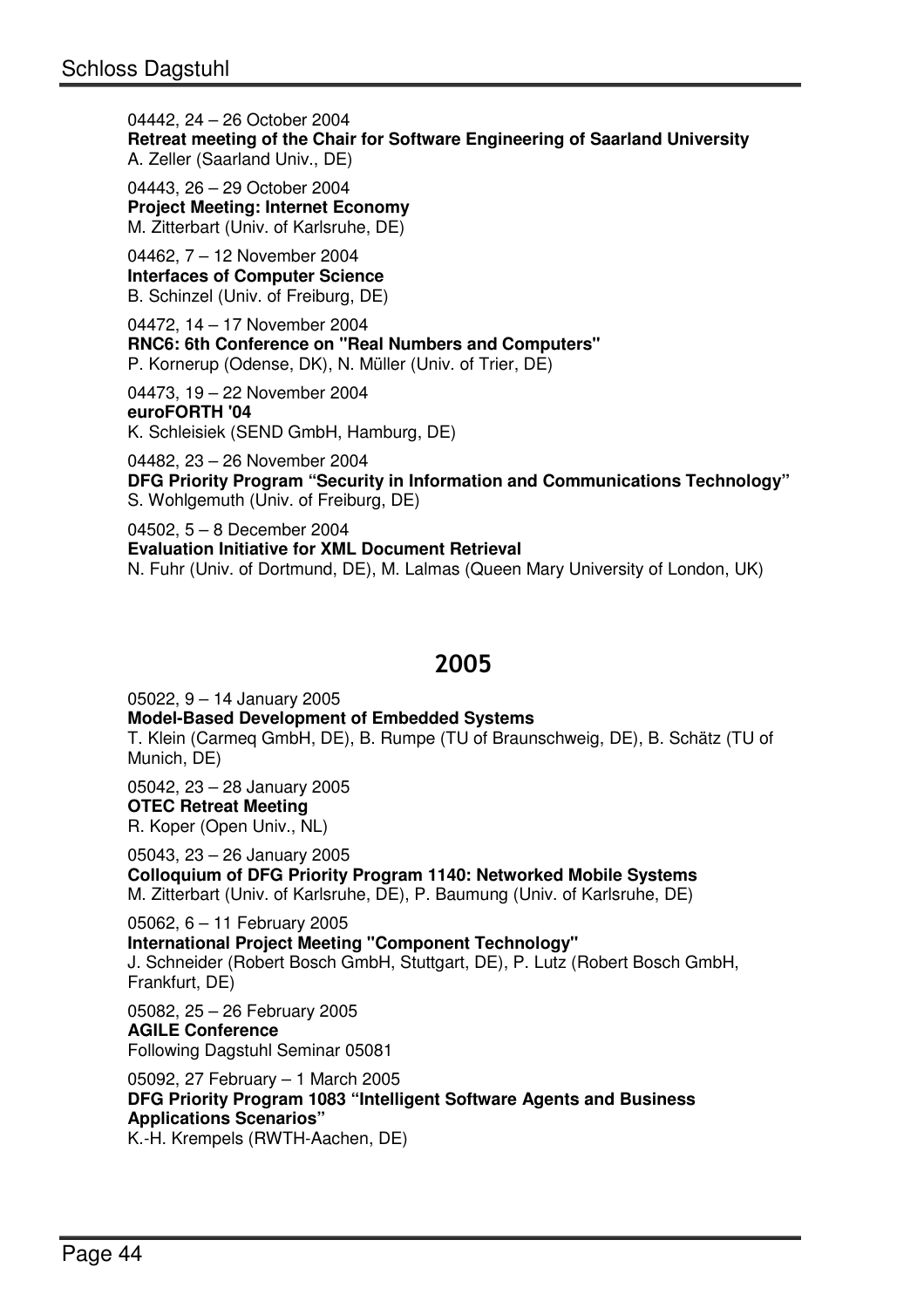04442, 24 – 26 October 2004 **Retreat meeting of the Chair for Software Engineering of Saarland University**  A. Zeller (Saarland Univ., DE)

04443, 26 – 29 October 2004 **Project Meeting: Internet Economy**  M. Zitterbart (Univ. of Karlsruhe, DE)

04462, 7 – 12 November 2004 **Interfaces of Computer Science**  B. Schinzel (Univ. of Freiburg, DE)

04472, 14 – 17 November 2004 **RNC6: 6th Conference on "Real Numbers and Computers"**  P. Kornerup (Odense, DK), N. Müller (Univ. of Trier, DE)

04473, 19 – 22 November 2004 **euroFORTH '04**  K. Schleisiek (SEND GmbH, Hamburg, DE)

04482, 23 – 26 November 2004 **DFG Priority Program "Security in Information and Communications Technology"**  S. Wohlgemuth (Univ. of Freiburg, DE)

04502, 5 – 8 December 2004 **Evaluation Initiative for XML Document Retrieval**  N. Fuhr (Univ. of Dortmund, DE), M. Lalmas (Queen Mary University of London, UK)

## 2005

05022, 9 – 14 January 2005 **Model-Based Development of Embedded Systems**  T. Klein (Carmeq GmbH, DE), B. Rumpe (TU of Braunschweig, DE), B. Schätz (TU of Munich, DE)

05042, 23 – 28 January 2005 **OTEC Retreat Meeting**  R. Koper (Open Univ., NL)

05043, 23 – 26 January 2005 **Colloquium of DFG Priority Program 1140: Networked Mobile Systems**  M. Zitterbart (Univ. of Karlsruhe, DE), P. Baumung (Univ. of Karlsruhe, DE)

05062, 6 – 11 February 2005 **International Project Meeting "Component Technology"**  J. Schneider (Robert Bosch GmbH, Stuttgart, DE), P. Lutz (Robert Bosch GmbH, Frankfurt, DE)

05082, 25 – 26 February 2005 **AGILE Conference**  Following Dagstuhl Seminar 05081

05092, 27 February – 1 March 2005 **DFG Priority Program 1083 "Intelligent Software Agents and Business Applications Scenarios"**  K.-H. Krempels (RWTH-Aachen, DE)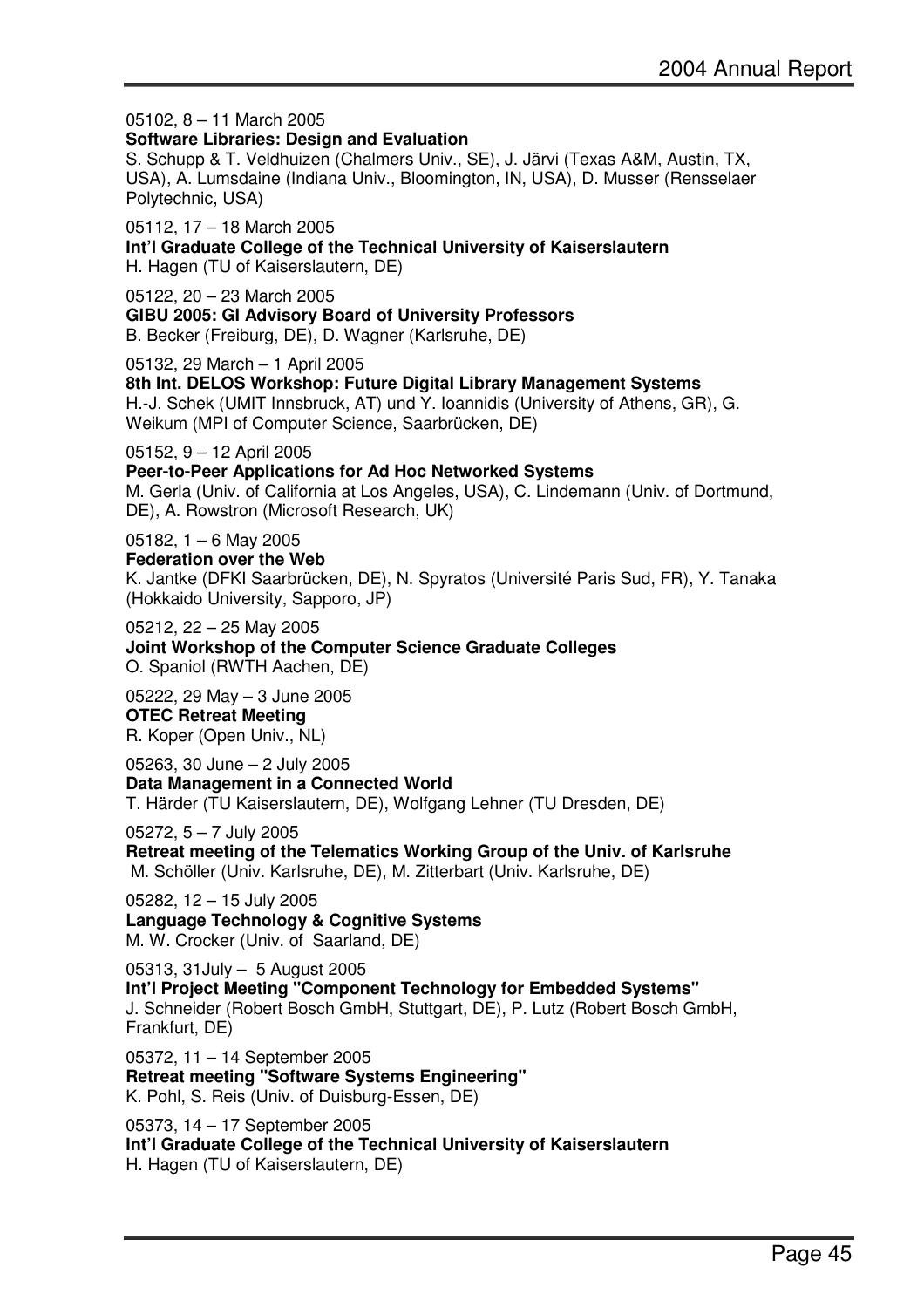05102, 8 – 11 March 2005 **Software Libraries: Design and Evaluation**  S. Schupp & T. Veldhuizen (Chalmers Univ., SE), J. Järvi (Texas A&M, Austin, TX, USA), A. Lumsdaine (Indiana Univ., Bloomington, IN, USA), D. Musser (Rensselaer Polytechnic, USA) 05112, 17 – 18 March 2005 **Int'l Graduate College of the Technical University of Kaiserslautern**  H. Hagen (TU of Kaiserslautern, DE) 05122, 20 – 23 March 2005 **GIBU 2005: GI Advisory Board of University Professors**  B. Becker (Freiburg, DE), D. Wagner (Karlsruhe, DE) 05132, 29 March – 1 April 2005 **8th Int. DELOS Workshop: Future Digital Library Management Systems**  H.-J. Schek (UMIT Innsbruck, AT) und Y. Ioannidis (University of Athens, GR), G. Weikum (MPI of Computer Science, Saarbrücken, DE) 05152, 9 – 12 April 2005 **Peer-to-Peer Applications for Ad Hoc Networked Systems**  M. Gerla (Univ. of California at Los Angeles, USA), C. Lindemann (Univ. of Dortmund, DE), A. Rowstron (Microsoft Research, UK) 05182, 1 – 6 May 2005 **Federation over the Web**  K. Jantke (DFKI Saarbrücken, DE), N. Spyratos (Université Paris Sud, FR), Y. Tanaka (Hokkaido University, Sapporo, JP) 05212, 22 – 25 May 2005 **Joint Workshop of the Computer Science Graduate Colleges**  O. Spaniol (RWTH Aachen, DE) 05222, 29 May – 3 June 2005 **OTEC Retreat Meeting**  R. Koper (Open Univ., NL) 05263, 30 June – 2 July 2005 **Data Management in a Connected World**  T. Härder (TU Kaiserslautern, DE), Wolfgang Lehner (TU Dresden, DE) 05272, 5 – 7 July 2005 **Retreat meeting of the Telematics Working Group of the Univ. of Karlsruhe**  M. Schöller (Univ. Karlsruhe, DE), M. Zitterbart (Univ. Karlsruhe, DE) 05282, 12 – 15 July 2005 **Language Technology & Cognitive Systems**  M. W. Crocker (Univ. of Saarland, DE) 05313, 31July – 5 August 2005 **Int'l Project Meeting "Component Technology for Embedded Systems"**  J. Schneider (Robert Bosch GmbH, Stuttgart, DE), P. Lutz (Robert Bosch GmbH, Frankfurt, DE) 05372, 11 – 14 September 2005 **Retreat meeting "Software Systems Engineering"**  K. Pohl, S. Reis (Univ. of Duisburg-Essen, DE) 05373, 14 – 17 September 2005 **Int'l Graduate College of the Technical University of Kaiserslautern** 

H. Hagen (TU of Kaiserslautern, DE)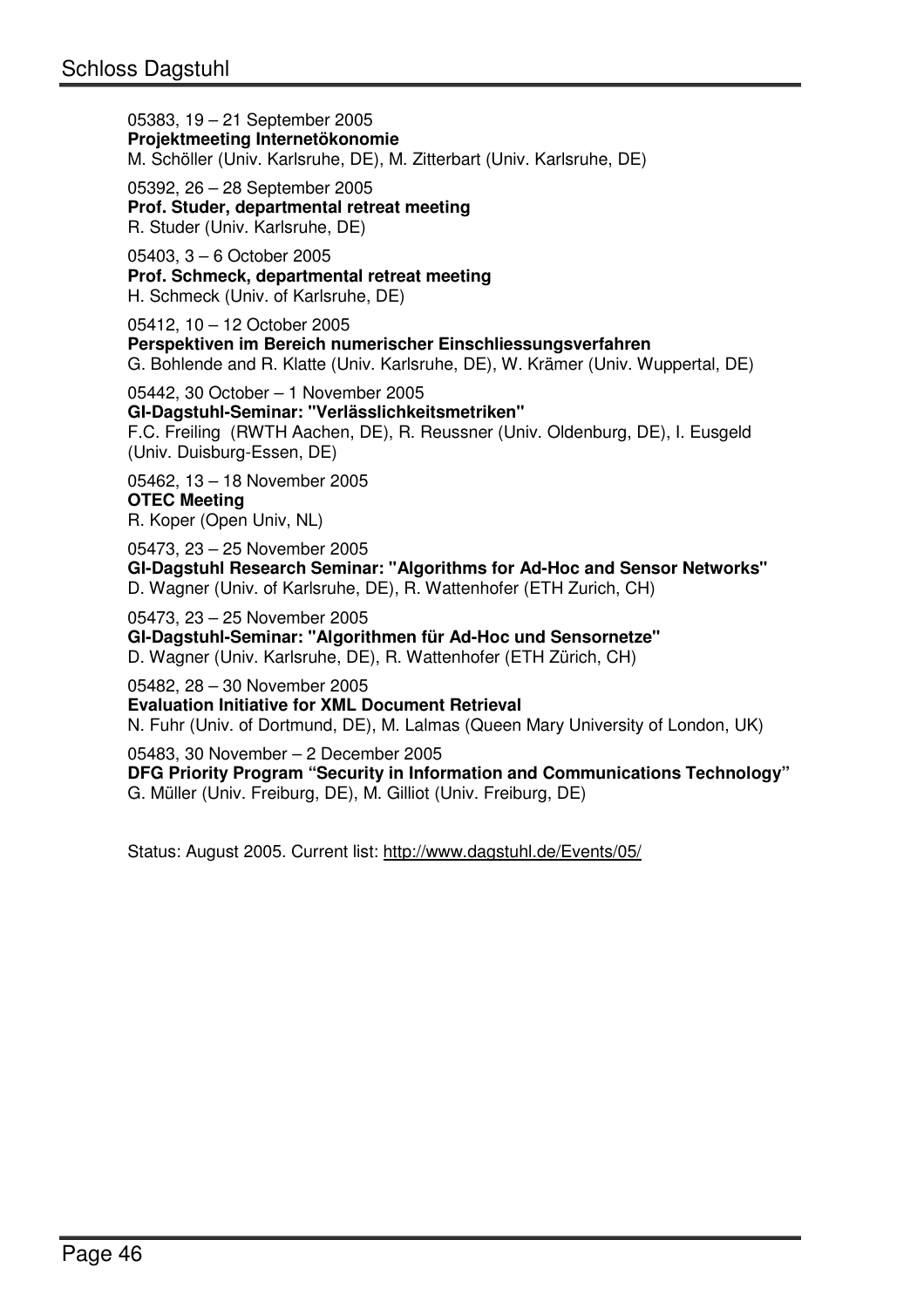05383, 19 – 21 September 2005 **Projektmeeting Internetökonomie**  M. Schöller (Univ. Karlsruhe, DE), M. Zitterbart (Univ. Karlsruhe, DE)

05392, 26 – 28 September 2005 **Prof. Studer, departmental retreat meeting**  R. Studer (Univ. Karlsruhe, DE)

05403, 3 – 6 October 2005 **Prof. Schmeck, departmental retreat meeting**  H. Schmeck (Univ. of Karlsruhe, DE)

05412, 10 – 12 October 2005 **Perspektiven im Bereich numerischer Einschliessungsverfahren**  G. Bohlende and R. Klatte (Univ. Karlsruhe, DE), W. Krämer (Univ. Wuppertal, DE)

05442, 30 October – 1 November 2005 **GI-Dagstuhl-Seminar: "Verlässlichkeitsmetriken"**  F.C. Freiling (RWTH Aachen, DE), R. Reussner (Univ. Oldenburg, DE), I. Eusgeld (Univ. Duisburg-Essen, DE)

05462, 13 – 18 November 2005 **OTEC Meeting**  R. Koper (Open Univ, NL)

05473, 23 – 25 November 2005 **GI-Dagstuhl Research Seminar: "Algorithms for Ad-Hoc and Sensor Networks"**  D. Wagner (Univ. of Karlsruhe, DE), R. Wattenhofer (ETH Zurich, CH)

05473, 23 – 25 November 2005

**GI-Dagstuhl-Seminar: "Algorithmen für Ad-Hoc und Sensornetze"**  D. Wagner (Univ. Karlsruhe, DE), R. Wattenhofer (ETH Zürich, CH)

05482, 28 – 30 November 2005

**Evaluation Initiative for XML Document Retrieval** 

N. Fuhr (Univ. of Dortmund, DE), M. Lalmas (Queen Mary University of London, UK)

05483, 30 November – 2 December 2005

**DFG Priority Program "Security in Information and Communications Technology"**  G. Müller (Univ. Freiburg, DE), M. Gilliot (Univ. Freiburg, DE)

Status: August 2005. Current list: http://www.dagstuhl.de/Events/05/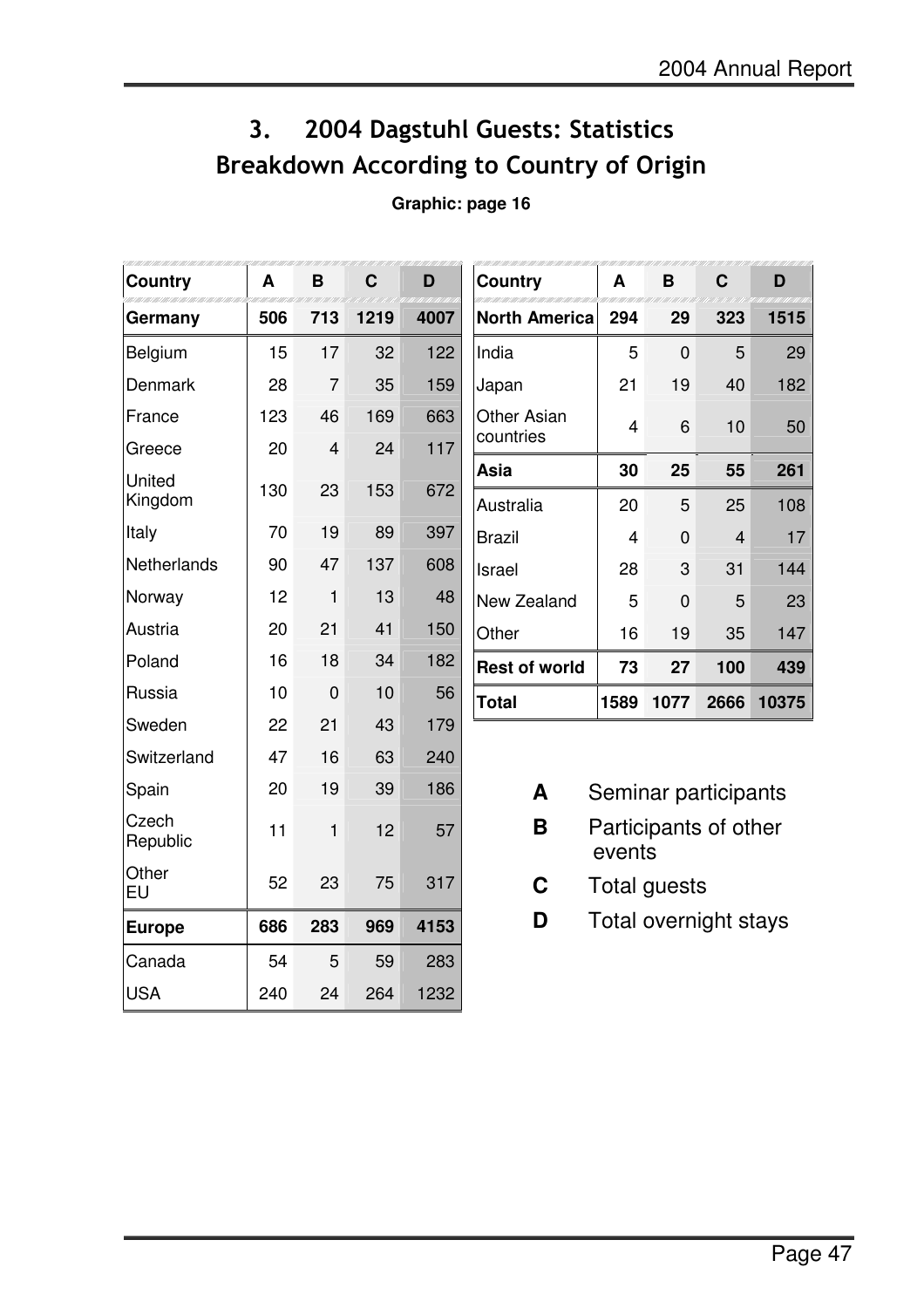## 3. 2004 Dagstuhl Guests: Statistics Breakdown According to Country of Origin

## **Graphic: page 16**

| <b>Country</b>    | A   | в   | C    | D    |
|-------------------|-----|-----|------|------|
| Germany           | 506 | 713 | 1219 | 4007 |
| Belgium           | 15  | 17  | 32   | 122  |
| Denmark           | 28  | 7   | 35   | 159  |
| France            | 123 | 46  | 169  | 663  |
| Greece            | 20  | 4   | 24   | 117  |
| United<br>Kingdom | 130 | 23  | 153  | 672  |
| Italy             | 70  | 19  | 89   | 397  |
| Netherlands       | 90  | 47  | 137  | 608  |
| Norway            | 12  | 1   | 13   | 48   |
| Austria           | 20  | 21  | 41   | 150  |
| Poland            | 16  | 18  | 34   | 182  |
| Russia            | 10  | 0   | 10   | 56   |
| Sweden            | 22  | 21  | 43   | 179  |
| Switzerland       | 47  | 16  | 63   | 240  |
| Spain             | 20  | 19  | 39   | 186  |
| Czech<br>Republic | 11  | 1   | 12   | 57   |
| Other<br>EU       | 52  | 23  | 75   | 317  |
| <b>Europe</b>     | 686 | 283 | 969  | 4153 |
| Canada            | 54  | 5   | 59   | 283  |
| <b>USA</b>        | 240 | 24  | 264  | 1232 |

| Country                         | A    | R    | С    | D     |
|---------------------------------|------|------|------|-------|
| <b>North America</b>            | 294  | 29   | 323  | 1515  |
| India                           | 5    | 0    | 5    | 29    |
| Japan                           | 21   | 19   | 40   | 182   |
| <b>Other Asian</b><br>countries | 4    | 6    | 10   | 50    |
| Asia                            | 30   | 25   | 55   | 261   |
| Australia                       | 20   | 5    | 25   | 108   |
| Brazil                          | 4    | O    | 4    | 17    |
| Israel                          | 28   | 3    | 31   | 144   |
| New Zealand                     | 5    | U    | 5    | 23    |
| Other                           | 16   | 19   | 35   | 147   |
| <b>Rest of world</b>            | 73   | 27   | 100  | 439   |
| <b>Total</b>                    | 1589 | 1077 | 2666 | 10375 |

- **A** Seminar participants
- **B** Participants of other events
- **C** Total guests
- **D** Total overnight stays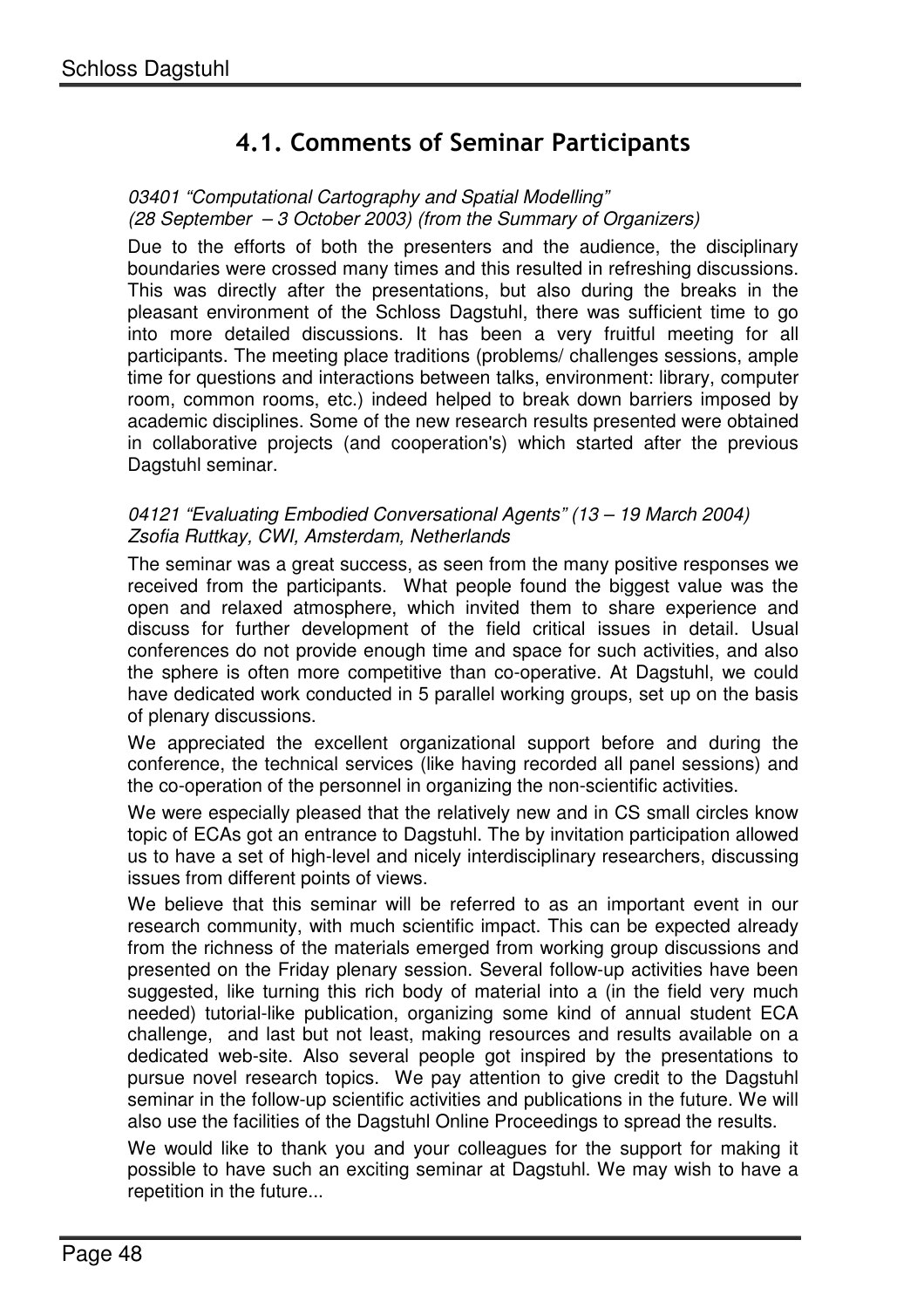## 4.1. Comments of Seminar Participants

### 03401 "Computational Cartography and Spatial Modelling" (28 September – 3 October 2003) (from the Summary of Organizers)

Due to the efforts of both the presenters and the audience, the disciplinary boundaries were crossed many times and this resulted in refreshing discussions. This was directly after the presentations, but also during the breaks in the pleasant environment of the Schloss Dagstuhl, there was sufficient time to go into more detailed discussions. It has been a very fruitful meeting for all participants. The meeting place traditions (problems/ challenges sessions, ample time for questions and interactions between talks, environment: library, computer room, common rooms, etc.) indeed helped to break down barriers imposed by academic disciplines. Some of the new research results presented were obtained in collaborative projects (and cooperation's) which started after the previous Dagstuhl seminar.

#### 04121 "Evaluating Embodied Conversational Agents" (13 – 19 March 2004) Zsofia Ruttkay, CWI, Amsterdam, Netherlands

The seminar was a great success, as seen from the many positive responses we received from the participants. What people found the biggest value was the open and relaxed atmosphere, which invited them to share experience and discuss for further development of the field critical issues in detail. Usual conferences do not provide enough time and space for such activities, and also the sphere is often more competitive than co-operative. At Dagstuhl, we could have dedicated work conducted in 5 parallel working groups, set up on the basis of plenary discussions.

We appreciated the excellent organizational support before and during the conference, the technical services (like having recorded all panel sessions) and the co-operation of the personnel in organizing the non-scientific activities.

We were especially pleased that the relatively new and in CS small circles know topic of ECAs got an entrance to Dagstuhl. The by invitation participation allowed us to have a set of high-level and nicely interdisciplinary researchers, discussing issues from different points of views.

We believe that this seminar will be referred to as an important event in our research community, with much scientific impact. This can be expected already from the richness of the materials emerged from working group discussions and presented on the Friday plenary session. Several follow-up activities have been suggested, like turning this rich body of material into a (in the field very much needed) tutorial-like publication, organizing some kind of annual student ECA challenge, and last but not least, making resources and results available on a dedicated web-site. Also several people got inspired by the presentations to pursue novel research topics. We pay attention to give credit to the Dagstuhl seminar in the follow-up scientific activities and publications in the future. We will also use the facilities of the Dagstuhl Online Proceedings to spread the results.

We would like to thank you and your colleagues for the support for making it possible to have such an exciting seminar at Dagstuhl. We may wish to have a repetition in the future...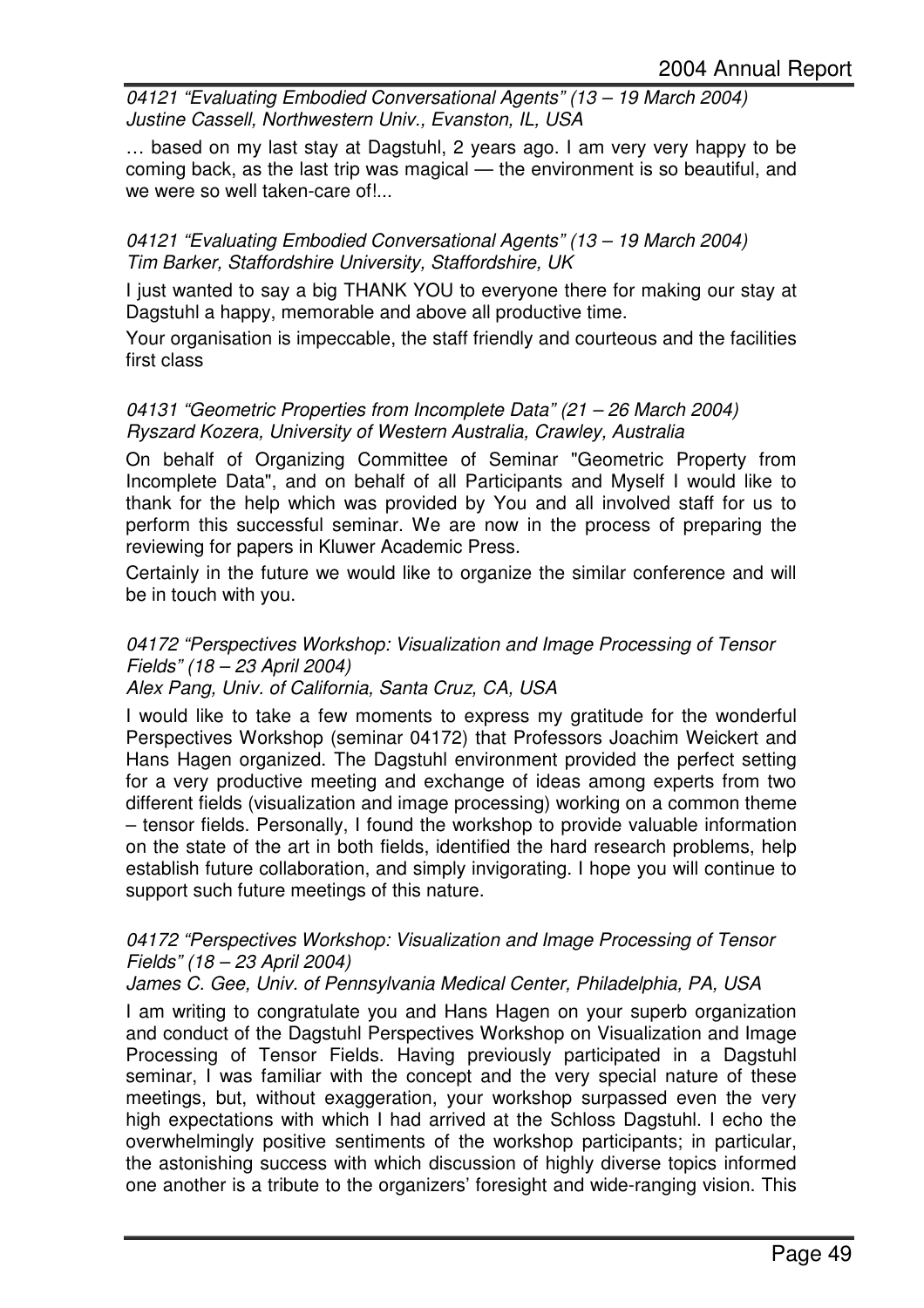04121 "Evaluating Embodied Conversational Agents" (13 – 19 March 2004) Justine Cassell, Northwestern Univ., Evanston, IL, USA

… based on my last stay at Dagstuhl, 2 years ago. I am very very happy to be coming back, as the last trip was magical — the environment is so beautiful, and we were so well taken-care of!...

#### 04121 "Evaluating Embodied Conversational Agents" (13 – 19 March 2004) Tim Barker, Staffordshire University, Staffordshire, UK

I just wanted to say a big THANK YOU to everyone there for making our stay at Dagstuhl a happy, memorable and above all productive time.

Your organisation is impeccable, the staff friendly and courteous and the facilities first class

#### 04131 "Geometric Properties from Incomplete Data" (21 – 26 March 2004) Ryszard Kozera, University of Western Australia, Crawley, Australia

On behalf of Organizing Committee of Seminar "Geometric Property from Incomplete Data", and on behalf of all Participants and Myself I would like to thank for the help which was provided by You and all involved staff for us to perform this successful seminar. We are now in the process of preparing the reviewing for papers in Kluwer Academic Press.

Certainly in the future we would like to organize the similar conference and will be in touch with you.

#### 04172 "Perspectives Workshop: Visualization and Image Processing of Tensor Fields" (18 – 23 April 2004)

#### Alex Pang, Univ. of California, Santa Cruz, CA, USA

I would like to take a few moments to express my gratitude for the wonderful Perspectives Workshop (seminar 04172) that Professors Joachim Weickert and Hans Hagen organized. The Dagstuhl environment provided the perfect setting for a very productive meeting and exchange of ideas among experts from two different fields (visualization and image processing) working on a common theme – tensor fields. Personally, I found the workshop to provide valuable information on the state of the art in both fields, identified the hard research problems, help establish future collaboration, and simply invigorating. I hope you will continue to support such future meetings of this nature.

#### 04172 "Perspectives Workshop: Visualization and Image Processing of Tensor Fields" (18 – 23 April 2004)

#### James C. Gee, Univ. of Pennsylvania Medical Center, Philadelphia, PA, USA

I am writing to congratulate you and Hans Hagen on your superb organization and conduct of the Dagstuhl Perspectives Workshop on Visualization and Image Processing of Tensor Fields. Having previously participated in a Dagstuhl seminar, I was familiar with the concept and the very special nature of these meetings, but, without exaggeration, your workshop surpassed even the very high expectations with which I had arrived at the Schloss Dagstuhl. I echo the overwhelmingly positive sentiments of the workshop participants; in particular, the astonishing success with which discussion of highly diverse topics informed one another is a tribute to the organizers' foresight and wide-ranging vision. This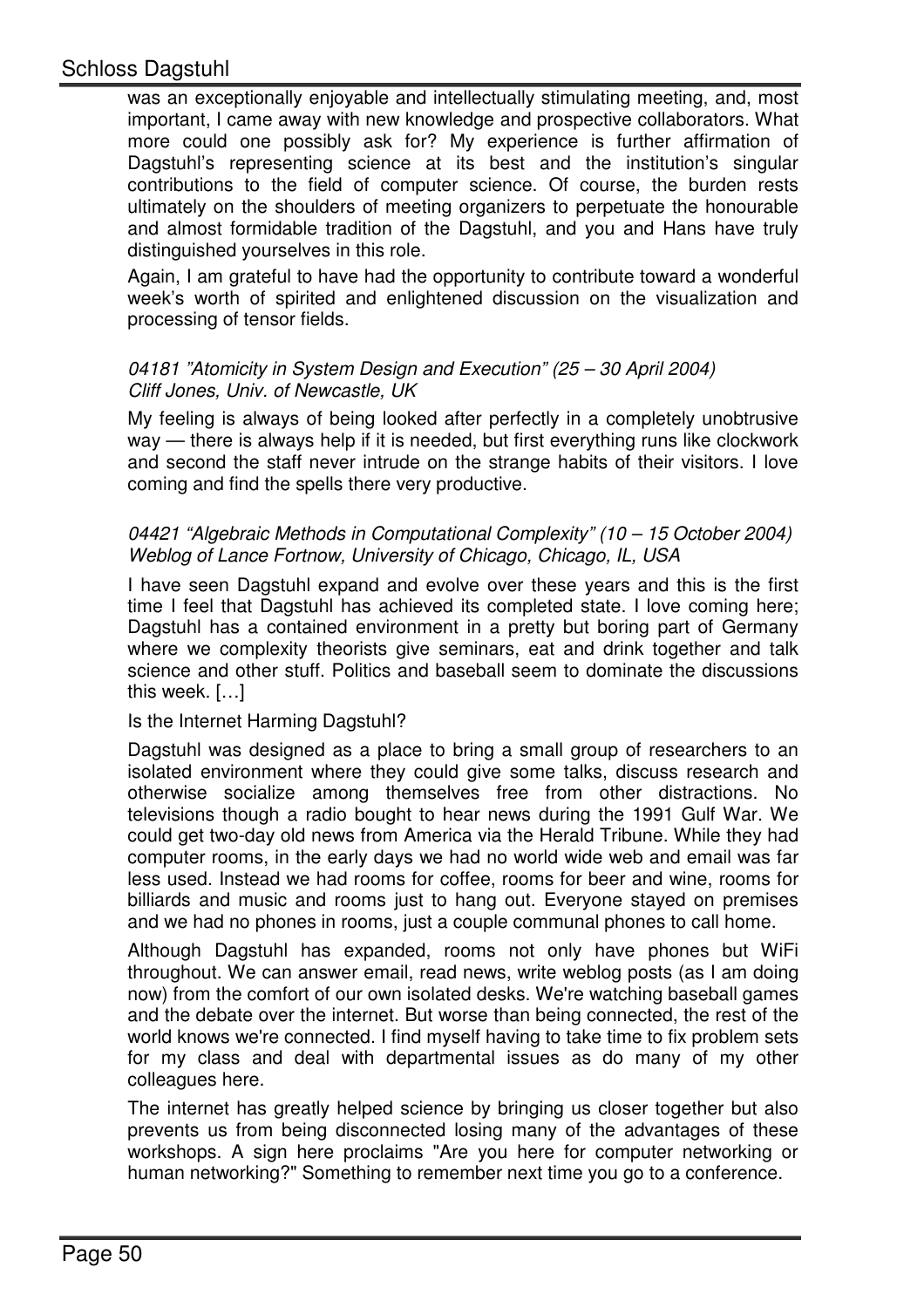### Schloss Dagstuhl

was an exceptionally enjoyable and intellectually stimulating meeting, and, most important, I came away with new knowledge and prospective collaborators. What more could one possibly ask for? My experience is further affirmation of Dagstuhl's representing science at its best and the institution's singular contributions to the field of computer science. Of course, the burden rests ultimately on the shoulders of meeting organizers to perpetuate the honourable and almost formidable tradition of the Dagstuhl, and you and Hans have truly distinguished yourselves in this role.

Again, I am grateful to have had the opportunity to contribute toward a wonderful week's worth of spirited and enlightened discussion on the visualization and processing of tensor fields.

#### 04181 "Atomicity in System Design and Execution" (25 – 30 April 2004) Cliff Jones, Univ. of Newcastle, UK

My feeling is always of being looked after perfectly in a completely unobtrusive way — there is always help if it is needed, but first everything runs like clockwork and second the staff never intrude on the strange habits of their visitors. I love coming and find the spells there very productive.

#### 04421 "Algebraic Methods in Computational Complexity" (10 – 15 October 2004) Weblog of Lance Fortnow, University of Chicago, Chicago, IL, USA

I have seen Dagstuhl expand and evolve over these years and this is the first time I feel that Dagstuhl has achieved its completed state. I love coming here; Dagstuhl has a contained environment in a pretty but boring part of Germany where we complexity theorists give seminars, eat and drink together and talk science and other stuff. Politics and baseball seem to dominate the discussions this week. […]

#### Is the Internet Harming Dagstuhl?

Dagstuhl was designed as a place to bring a small group of researchers to an isolated environment where they could give some talks, discuss research and otherwise socialize among themselves free from other distractions. No televisions though a radio bought to hear news during the 1991 Gulf War. We could get two-day old news from America via the Herald Tribune. While they had computer rooms, in the early days we had no world wide web and email was far less used. Instead we had rooms for coffee, rooms for beer and wine, rooms for billiards and music and rooms just to hang out. Everyone stayed on premises and we had no phones in rooms, just a couple communal phones to call home.

Although Dagstuhl has expanded, rooms not only have phones but WiFi throughout. We can answer email, read news, write weblog posts (as I am doing now) from the comfort of our own isolated desks. We're watching baseball games and the debate over the internet. But worse than being connected, the rest of the world knows we're connected. I find myself having to take time to fix problem sets for my class and deal with departmental issues as do many of my other colleagues here.

The internet has greatly helped science by bringing us closer together but also prevents us from being disconnected losing many of the advantages of these workshops. A sign here proclaims "Are you here for computer networking or human networking?" Something to remember next time you go to a conference.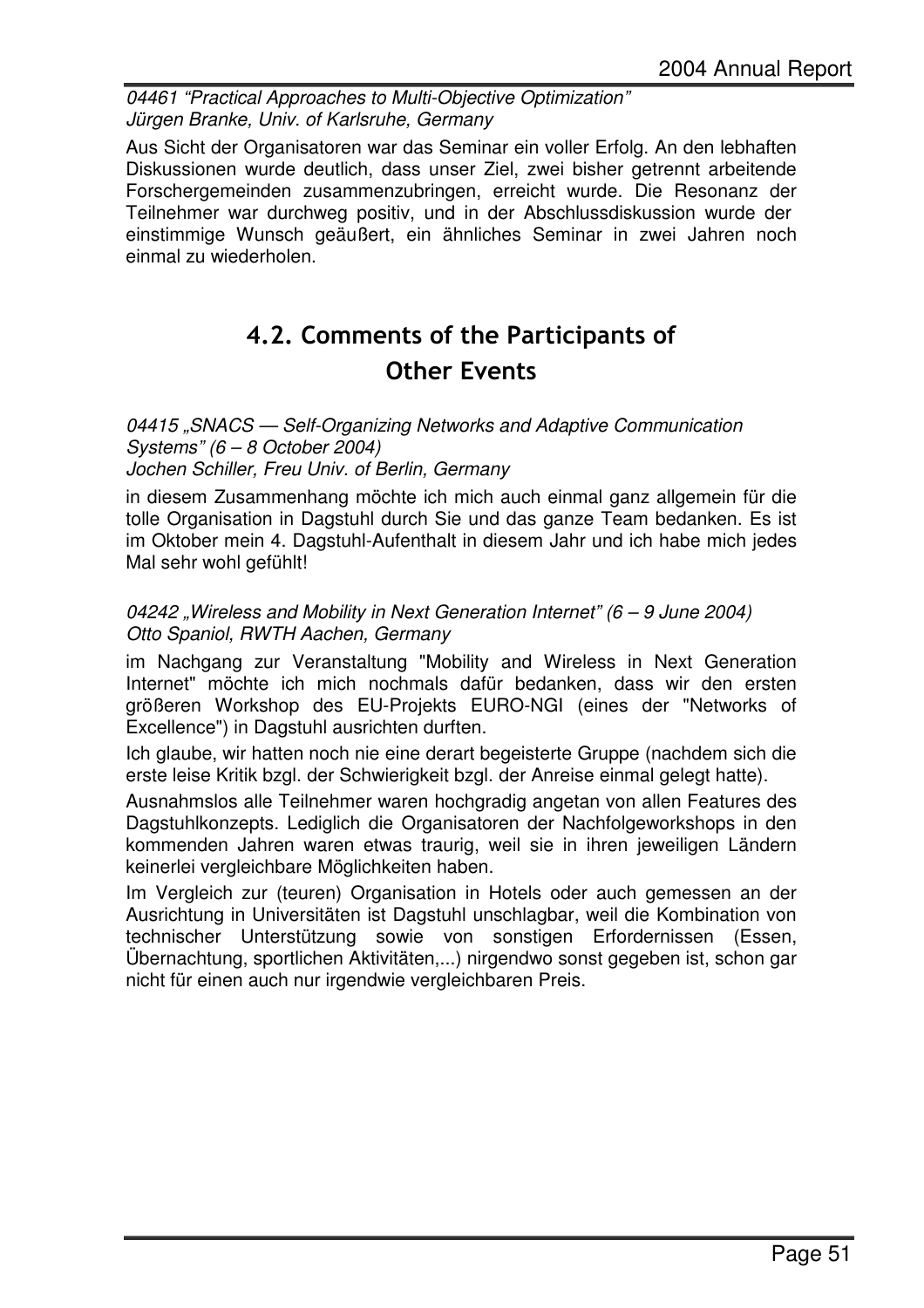04461 "Practical Approaches to Multi-Objective Optimization" Jürgen Branke, Univ. of Karlsruhe, Germany

Aus Sicht der Organisatoren war das Seminar ein voller Erfolg. An den lebhaften Diskussionen wurde deutlich, dass unser Ziel, zwei bisher getrennt arbeitende Forschergemeinden zusammenzubringen, erreicht wurde. Die Resonanz der Teilnehmer war durchweg positiv, und in der Abschlussdiskussion wurde der einstimmige Wunsch geäußert, ein ähnliches Seminar in zwei Jahren noch einmal zu wiederholen.

## 4.2. Comments of the Participants of Other Events

04415 "SNACS — Self-Organizing Networks and Adaptive Communication Systems" (6 – 8 October 2004)

Jochen Schiller, Freu Univ. of Berlin, Germany

in diesem Zusammenhang möchte ich mich auch einmal ganz allgemein für die tolle Organisation in Dagstuhl durch Sie und das ganze Team bedanken. Es ist im Oktober mein 4. Dagstuhl-Aufenthalt in diesem Jahr und ich habe mich jedes Mal sehr wohl gefühlt!

#### 04242 "Wireless and Mobility in Next Generation Internet" ( $6 - 9$  June 2004) Otto Spaniol, RWTH Aachen, Germany

im Nachgang zur Veranstaltung "Mobility and Wireless in Next Generation Internet" möchte ich mich nochmals dafür bedanken, dass wir den ersten größeren Workshop des EU-Projekts EURO-NGI (eines der "Networks of Excellence") in Dagstuhl ausrichten durften.

Ich glaube, wir hatten noch nie eine derart begeisterte Gruppe (nachdem sich die erste leise Kritik bzgl. der Schwierigkeit bzgl. der Anreise einmal gelegt hatte).

Ausnahmslos alle Teilnehmer waren hochgradig angetan von allen Features des Dagstuhlkonzepts. Lediglich die Organisatoren der Nachfolgeworkshops in den kommenden Jahren waren etwas traurig, weil sie in ihren jeweiligen Ländern keinerlei vergleichbare Möglichkeiten haben.

Im Vergleich zur (teuren) Organisation in Hotels oder auch gemessen an der Ausrichtung in Universitäten ist Dagstuhl unschlagbar, weil die Kombination von technischer Unterstützung sowie von sonstigen Erfordernissen (Essen, Übernachtung, sportlichen Aktivitäten,...) nirgendwo sonst gegeben ist, schon gar nicht für einen auch nur irgendwie vergleichbaren Preis.